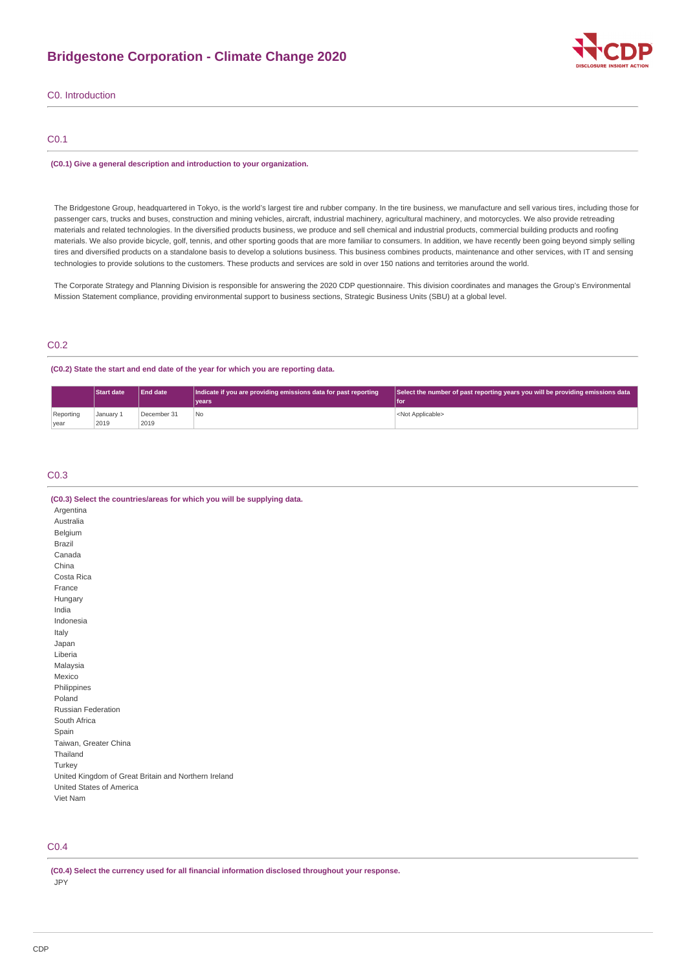# **Bridgestone Corporation - Climate Change 2020**



C0. Introduction

# C0.1

## **(C0.1) Give a general description and introduction to your organization.**

The Bridgestone Group, headquartered in Tokyo, is the world's largest tire and rubber company. In the tire business, we manufacture and sell various tires, including those for passenger cars, trucks and buses, construction and mining vehicles, aircraft, industrial machinery, agricultural machinery, and motorcycles. We also provide retreading materials and related technologies. In the diversified products business, we produce and sell chemical and industrial products, commercial building products and roofing materials. We also provide bicycle, golf, tennis, and other sporting goods that are more familiar to consumers. In addition, we have recently been going beyond simply selling tires and diversified products on a standalone basis to develop a solutions business. This business combines products, maintenance and other services, with IT and sensing technologies to provide solutions to the customers. These products and services are sold in over 150 nations and territories around the world.

The Corporate Strategy and Planning Division is responsible for answering the 2020 CDP questionnaire. This division coordinates and manages the Group's Environmental Mission Statement compliance, providing environmental support to business sections, Strategic Business Units (SBU) at a global level.

# C0.2

# **(C0.2) State the start and end date of the year for which you are reporting data.**

|                   | <b>Start date</b> | End date            | Indicate if you are providing emissions data for past reporting | Select the number of past reporting years you will be providing emissions data |
|-------------------|-------------------|---------------------|-----------------------------------------------------------------|--------------------------------------------------------------------------------|
|                   |                   |                     | vears                                                           | l for                                                                          |
| Reporting<br>year | January 1<br>2019 | December 31<br>2019 | No                                                              | <not applicable=""></not>                                                      |

# C0.3

| (C0.3) Select the countries/areas for which you will be supplying data. |
|-------------------------------------------------------------------------|
| Argentina                                                               |
| Australia                                                               |
| Belgium                                                                 |
| Brazil                                                                  |
| Canada                                                                  |
| China                                                                   |
| Costa Rica                                                              |
| France                                                                  |
| Hungary                                                                 |
| India                                                                   |
| Indonesia                                                               |
| Italy                                                                   |
| Japan                                                                   |
| Liberia                                                                 |
| Malaysia                                                                |
| Mexico                                                                  |
| Philippines                                                             |
| Poland                                                                  |
| <b>Russian Federation</b>                                               |
| South Africa                                                            |
| Spain                                                                   |
| Taiwan, Greater China                                                   |
| Thailand                                                                |
| Turkey                                                                  |
| United Kingdom of Great Britain and Northern Ireland                    |
| United States of America                                                |
| Viet Nam                                                                |

# C0.4

**(C0.4) Select the currency used for all financial information disclosed throughout your response.** JPY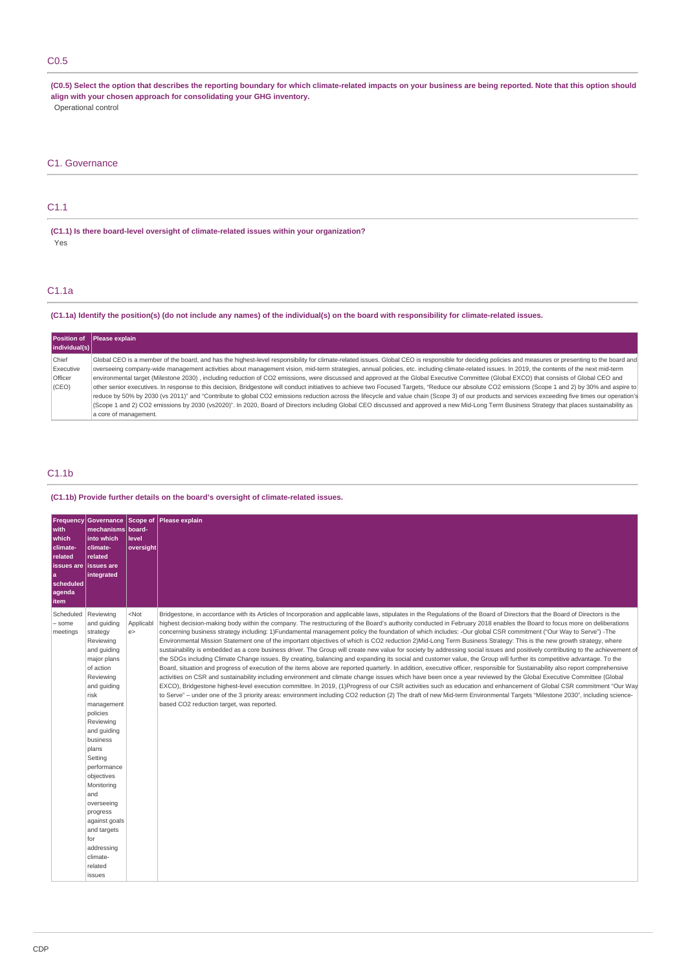# C0.5

**(C0.5) Select the option that describes the reporting boundary for which climate-related impacts on your business are being reported. Note that this option should align with your chosen approach for consolidating your GHG inventory.** Operational control

# C1. Governance

# C1.1

**(C1.1) Is there board-level oversight of climate-related issues within your organization?** Yes

# C1.1a

# **(C1.1a) Identify the position(s) (do not include any names) of the individual(s) on the board with responsibility for climate-related issues.**

|                | Position of Please explain                                                                                                                                                                            |
|----------------|-------------------------------------------------------------------------------------------------------------------------------------------------------------------------------------------------------|
| individual(s)  |                                                                                                                                                                                                       |
| Chief          | Global CEO is a member of the board, and has the highest-level responsibility for climate-related issues. Global CEO is responsible for deciding policies and measures or presenting to the board and |
| Executive      | overseeing company-wide management activities about management vision, mid-term strategies, annual policies, etc. including climate-related issues. In 2019, the contents of the next mid-term        |
| <b>Officer</b> | environmental target (Milestone 2030), including reduction of CO2 emissions, were discussed and approved at the Global Executive Committee (Global EXCO) that consists of Global CEO and              |
| (CEO)          | other senior executives. In response to this decision, Bridgestone will conduct initiatives to achieve two Focused Targets, "Reduce our absolute CO2 emissions (Scope 1 and 2) by 30% and aspire to   |
|                | reduce by 50% by 2030 (vs 2011)" and "Contribute to global CO2 emissions reduction across the lifecycle and value chain (Scope 3) of our products and services exceeding five times our operation's   |
|                | (Scope 1 and 2) CO2 emissions by 2030 (vs2020)". In 2020, Board of Directors including Global CEO discussed and approved a new Mid-Long Term Business Strategy that places sustainability as          |
|                | a core of management.                                                                                                                                                                                 |

# C1.1b

# **(C1.1b) Provide further details on the board's oversight of climate-related issues.**

| Frequency<br>with<br>which<br>climate-<br>related<br>issues are<br>۱a<br>scheduled<br>agenda<br>item | mechanisms board-<br>into which<br>climate-<br>related<br>l issues are<br>integrated                                                                                                                                                                                                                                                                                                     | level<br>oversight        | Governance Scope of Please explain                                                                                                                                                                                                                                                                                                                                                                                                                                                                                                                                                                                                                                                                                                                                                                                                                                                                                                                                                                                                                                                                                                                                                                                                                                                                                                                                                                                                                                                                                                                                                                                                                                                                                                                                                                                           |
|------------------------------------------------------------------------------------------------------|------------------------------------------------------------------------------------------------------------------------------------------------------------------------------------------------------------------------------------------------------------------------------------------------------------------------------------------------------------------------------------------|---------------------------|------------------------------------------------------------------------------------------------------------------------------------------------------------------------------------------------------------------------------------------------------------------------------------------------------------------------------------------------------------------------------------------------------------------------------------------------------------------------------------------------------------------------------------------------------------------------------------------------------------------------------------------------------------------------------------------------------------------------------------------------------------------------------------------------------------------------------------------------------------------------------------------------------------------------------------------------------------------------------------------------------------------------------------------------------------------------------------------------------------------------------------------------------------------------------------------------------------------------------------------------------------------------------------------------------------------------------------------------------------------------------------------------------------------------------------------------------------------------------------------------------------------------------------------------------------------------------------------------------------------------------------------------------------------------------------------------------------------------------------------------------------------------------------------------------------------------------|
| Scheduled<br>- some<br>meetings                                                                      | Reviewing<br>and quiding<br>strategy<br>Reviewing<br>and guiding<br>major plans<br>of action<br>Reviewing<br>and guiding<br>risk<br>management<br>policies<br>Reviewing<br>and guiding<br>business<br>plans<br>Setting<br>performance<br>objectives<br>Monitoring<br>and<br>overseeing<br>progress<br>against goals<br>and targets<br>for<br>addressing<br>climate-<br>related<br>issues | $<$ Not<br>Applicabl<br>e | Bridgestone, in accordance with its Articles of Incorporation and applicable laws, stipulates in the Regulations of the Board of Directors that the Board of Directors is the<br>highest decision-making body within the company. The restructuring of the Board's authority conducted in February 2018 enables the Board to focus more on deliberations<br>concerning business strategy including: 1)Fundamental management policy the foundation of which includes: -Our global CSR commitment ("Our Way to Serve") -The<br>Environmental Mission Statement one of the important objectives of which is CO2 reduction 2) Mid-Long Term Business Strategy: This is the new growth strategy, where<br>sustainability is embedded as a core business driver. The Group will create new value for society by addressing social issues and positively contributing to the achievement of<br>the SDGs including Climate Change issues. By creating, balancing and expanding its social and customer value, the Group will further its competitive advantage. To the<br>Board, situation and progress of execution of the items above are reported quarterly. In addition, executive officer, responsible for Sustainability also report comprehensive<br>activities on CSR and sustainability including environment and climate change issues which have been once a year reviewed by the Global Executive Committee (Global<br>EXCO), Bridgestone highest-level execution committee. In 2019, (1)Progress of our CSR activities such as education and enhancement of Global CSR commitment "Our Way<br>to Serve" - under one of the 3 priority areas: environment including CO2 reduction (2) The draft of new Mid-term Environmental Targets "Milestone 2030", including science-<br>based CO2 reduction target, was reported. |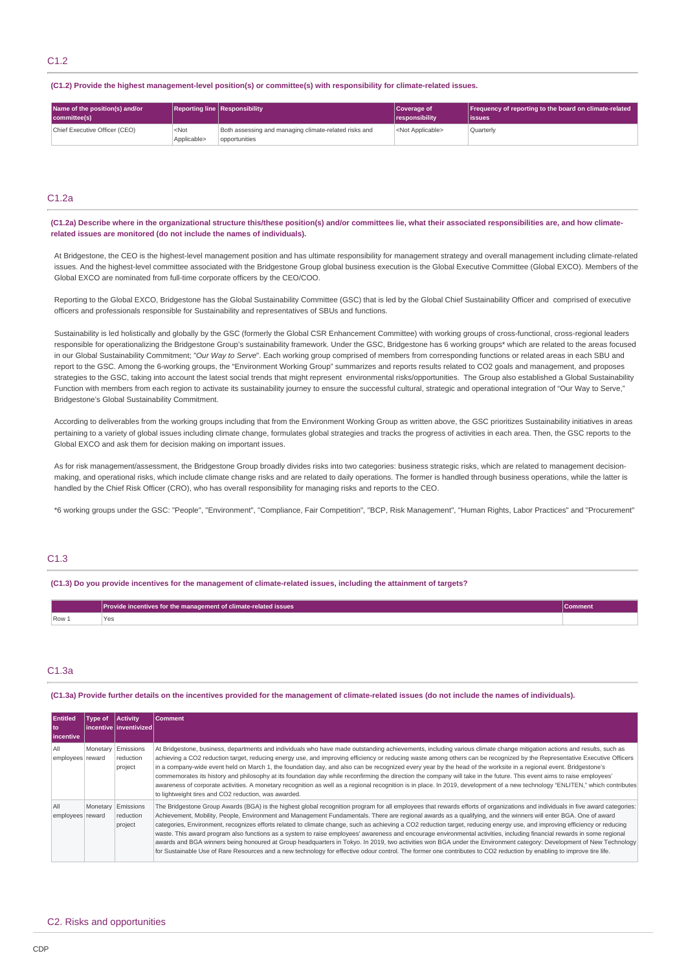**(C1.2) Provide the highest management-level position(s) or committee(s) with responsibility for climate-related issues.**

| Name of the position(s) and/or<br>committee(s) |                        | <b>Reporting line Responsibility</b>                                   | Coverage of<br><i><u><b>I</b></u></i> responsibility | Frequency of reporting to the board on climate-related<br>lissues |
|------------------------------------------------|------------------------|------------------------------------------------------------------------|------------------------------------------------------|-------------------------------------------------------------------|
| Chief Executive Officer (CEO)                  | $<$ Not<br>Applicable> | Both assessing and managing climate-related risks and<br>opportunities | <not applicable=""></not>                            | Quarterly                                                         |

# C1.2a

**(C1.2a) Describe where in the organizational structure this/these position(s) and/or committees lie, what their associated responsibilities are, and how climaterelated issues are monitored (do not include the names of individuals).**

At Bridgestone, the CEO is the highest-level management position and has ultimate responsibility for management strategy and overall management including climate-related issues. And the highest-level committee associated with the Bridgestone Group global business execution is the Global Executive Committee (Global EXCO). Members of the Global EXCO are nominated from full-time corporate officers by the CEO/COO.

Reporting to the Global EXCO, Bridgestone has the Global Sustainability Committee (GSC) that is led by the Global Chief Sustainability Officer and comprised of executive officers and professionals responsible for Sustainability and representatives of SBUs and functions.

Sustainability is led holistically and globally by the GSC (formerly the Global CSR Enhancement Committee) with working groups of cross-functional, cross-regional leaders responsible for operationalizing the Bridgestone Group's sustainability framework. Under the GSC, Bridgestone has 6 working groups\* which are related to the areas focused in our Global Sustainability Commitment; "*Our Way to Serve*". Each working group comprised of members from corresponding functions or related areas in each SBU and report to the GSC. Among the 6-working groups, the "Environment Working Group" summarizes and reports results related to CO2 goals and management, and proposes strategies to the GSC, taking into account the latest social trends that might represent environmental risks/opportunities. The Group also established a Global Sustainability Function with members from each region to activate its sustainability journey to ensure the successful cultural, strategic and operational integration of "Our Way to Serve," Bridgestone's Global Sustainability Commitment.

According to deliverables from the working groups including that from the Environment Working Group as written above, the GSC prioritizes Sustainability initiatives in areas pertaining to a variety of global issues including climate change, formulates global strategies and tracks the progress of activities in each area. Then, the GSC reports to the Global EXCO and ask them for decision making on important issues.

As for risk management/assessment, the Bridgestone Group broadly divides risks into two categories: business strategic risks, which are related to management decisionmaking, and operational risks, which include climate change risks and are related to daily operations. The former is handled through business operations, while the latter is handled by the Chief Risk Officer (CRO), who has overall responsibility for managing risks and reports to the CEO.

\*6 working groups under the GSC: "People", "Environment", "Compliance, Fair Competition", "BCP, Risk Management", "Human Rights, Labor Practices" and "Procurement"

# C1.3

**(C1.3) Do you provide incentives for the management of climate-related issues, including the attainment of targets?**

|         | Provide incentives for the management of climate-related issues | <b>\Comment</b> |
|---------|-----------------------------------------------------------------|-----------------|
| $Row_1$ | 1 F.P                                                           |                 |

# C1.3a

**(C1.3a) Provide further details on the incentives provided for the management of climate-related issues (do not include the names of individuals).**

| <b>Entitled</b><br>l to<br>incentive | Type of | <b>Activity</b><br>l incentive l inventivized l | <b>Comment</b>                                                                                                                                                                                                                                                                                                                                                                                                                                                                                                                                                                                                                                                                                                                                                                                                                                                                                                                                                                                                                                             |
|--------------------------------------|---------|-------------------------------------------------|------------------------------------------------------------------------------------------------------------------------------------------------------------------------------------------------------------------------------------------------------------------------------------------------------------------------------------------------------------------------------------------------------------------------------------------------------------------------------------------------------------------------------------------------------------------------------------------------------------------------------------------------------------------------------------------------------------------------------------------------------------------------------------------------------------------------------------------------------------------------------------------------------------------------------------------------------------------------------------------------------------------------------------------------------------|
| All<br>employees reward              |         | Monetary Emissions<br>reduction<br>project      | At Bridgestone, business, departments and individuals who have made outstanding achievements, including various climate change mitigation actions and results, such as<br>achieving a CO2 reduction target, reducing energy use, and improving efficiency or reducing waste among others can be recognized by the Representative Executive Officers<br>in a company-wide event held on March 1, the foundation day, and also can be recognized every year by the head of the worksite in a regional event. Bridgestone's<br>commemorates its history and philosophy at its foundation day while reconfirming the direction the company will take in the future. This event aims to raise employees'<br>awareness of corporate activities. A monetary recognition as well as a regional recognition is in place. In 2019, development of a new technology "ENLITEN," which contributes<br>to lightweight tires and CO2 reduction, was awarded.                                                                                                              |
| All<br>employees reward              |         | Monetary Emissions<br>reduction<br>project      | The Bridgestone Group Awards (BGA) is the highest global recognition program for all employees that rewards efforts of organizations and individuals in five award categories:<br>Achievement, Mobility, People, Environment and Management Fundamentals. There are regional awards as a qualifying, and the winners will enter BGA. One of award<br>categories, Environment, recognizes efforts related to climate change, such as achieving a CO2 reduction target, reducing energy use, and improving efficiency or reducing<br>waste. This award program also functions as a system to raise employees' awareness and encourage environmental activities, including financial rewards in some regional<br>awards and BGA winners being honoured at Group headquarters in Tokyo. In 2019, two activities won BGA under the Environment category: Development of New Technology<br>for Sustainable Use of Rare Resources and a new technology for effective odour control. The former one contributes to CO2 reduction by enabling to improve tire life. |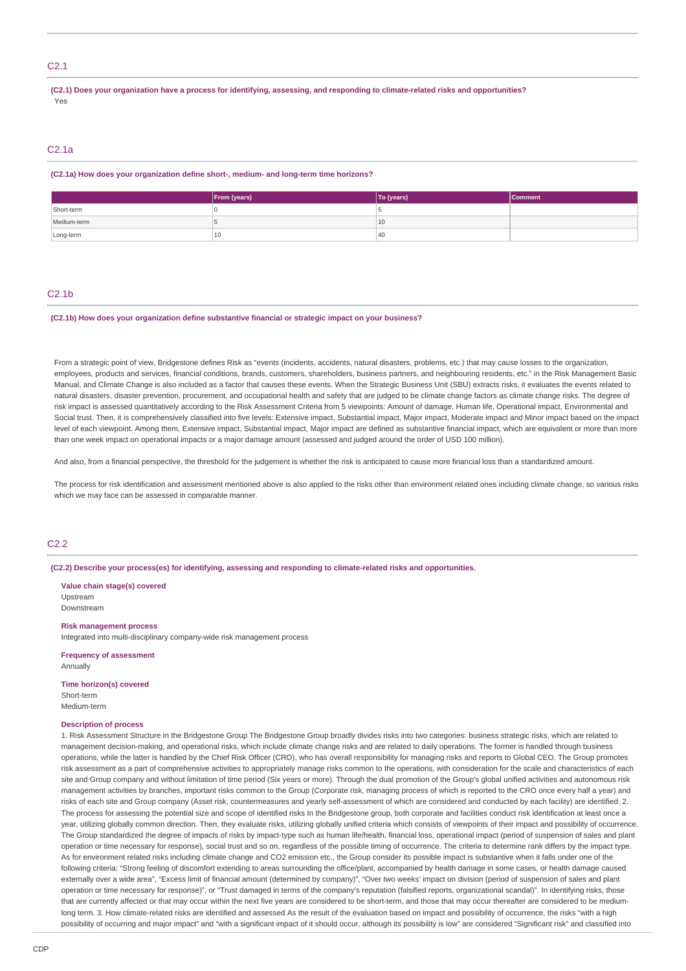# C2.1

**(C2.1) Does your organization have a process for identifying, assessing, and responding to climate-related risks and opportunities?** Yes

# C2.1a

#### **(C2.1a) How does your organization define short-, medium- and long-term time horizons?**

|             | From (years) | To (years) | Comment |
|-------------|--------------|------------|---------|
| Short-term  |              |            |         |
| Medium-term |              | 10         |         |
| Long-term   | 10           | 40         |         |

## C2.1b

#### **(C2.1b) How does your organization define substantive financial or strategic impact on your business?**

From a strategic point of view, Bridgestone defines Risk as "events (incidents, accidents, natural disasters, problems, etc.) that may cause losses to the organization employees, products and services, financial conditions, brands, customers, shareholders, business partners, and neighbouring residents, etc." in the Risk Management Basic Manual, and Climate Change is also included as a factor that causes these events. When the Strategic Business Unit (SBU) extracts risks, it evaluates the events related to natural disasters, disaster prevention, procurement, and occupational health and safety that are judged to be climate change factors as climate change risks. The degree of risk impact is assessed quantitatively according to the Risk Assessment Criteria from 5 viewpoints: Amount of damage, Human life, Operational impact, Environmental and Social trust. Then, it is comprehensively classified into five levels: Extensive impact, Substantial impact, Major impact, Moderate impact and Minor impact based on the impact level of each viewpoint. Among them, Extensive impact, Substantial impact, Major impact are defined as substantive financial impact, which are equivalent or more than more than one week impact on operational impacts or a major damage amount (assessed and judged around the order of USD 100 million).

And also, from a financial perspective, the threshold for the judgement is whether the risk is anticipated to cause more financial loss than a standardized amount.

The process for risk identification and assessment mentioned above is also applied to the risks other than environment related ones including climate change, so various risks which we may face can be assessed in comparable manner.

# C2.2

**(C2.2) Describe your process(es) for identifying, assessing and responding to climate-related risks and opportunities.**

**Value chain stage(s) covered** Upstream Downstream

# **Risk management process**

Integrated into multi-disciplinary company-wide risk management process

**Frequency of assessment Annually** 

**Time horizon(s) covered** Short-term Medium-term

# **Description of process**

1. Risk Assessment Structure in the Bridgestone Group The Bridgestone Group broadly divides risks into two categories: business strategic risks, which are related to management decision-making, and operational risks, which include climate change risks and are related to daily operations. The former is handled through business operations, while the latter is handled by the Chief Risk Officer (CRO), who has overall responsibility for managing risks and reports to Global CEO. The Group promotes risk assessment as a part of comprehensive activities to appropriately manage risks common to the operations, with consideration for the scale and characteristics of each site and Group company and without limitation of time period (Six years or more). Through the dual promotion of the Group's global unified activities and autonomous risk management activities by branches, important risks common to the Group (Corporate risk, managing process of which is reported to the CRO once every half a year) and risks of each site and Group company (Asset risk, countermeasures and yearly self-assessment of which are considered and conducted by each facility) are identified. 2. The process for assessing the potential size and scope of identified risks In the Bridgestone group, both corporate and facilities conduct risk identification at least once a year, utilizing globally common direction. Then, they evaluate risks, utilizing globally unified criteria which consists of viewpoints of their impact and possibility of occurrence. The Group standardized the degree of impacts of risks by impact-type such as human life/health, financial loss, operational impact (period of suspension of sales and plant operation or time necessary for response), social trust and so on, regardless of the possible timing of occurrence. The criteria to determine rank differs by the impact type. As for environment related risks including climate change and CO2 emission etc., the Group consider its possible impact is substantive when it falls under one of the following criteria: "Strong feeling of discomfort extending to areas surrounding the office/plant, accompanied by health damage in some cases, or health damage caused externally over a wide area", "Excess limit of financial amount (determined by company)", "Over two weeks' impact on division (period of suspension of sales and plant operation or time necessary for response)", or "Trust damaged in terms of the company's reputation (falsified reports, organizational scandal)". In identifying risks, those that are currently affected or that may occur within the next five years are considered to be short-term, and those that may occur thereafter are considered to be mediumlong term. 3. How climate-related risks are identified and assessed As the result of the evaluation based on impact and possibility of occurrence, the risks "with a high possibility of occurring and major impact" and "with a significant impact of it should occur, although its possibility is low" are considered "Significant risk" and classified into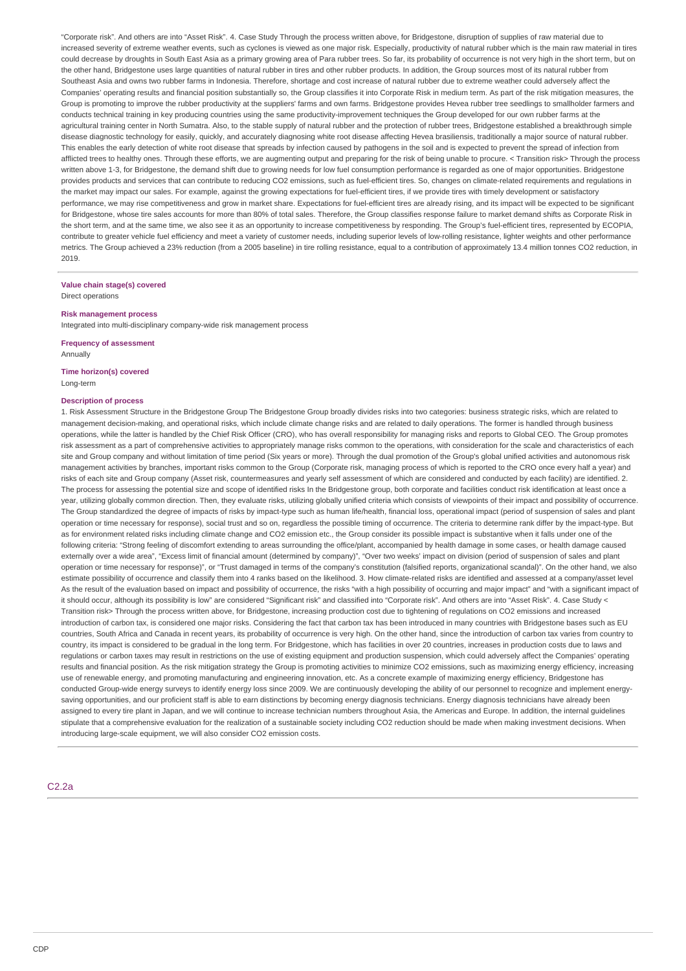"Corporate risk". And others are into "Asset Risk". 4. Case Study Through the process written above, for Bridgestone, disruption of supplies of raw material due to increased severity of extreme weather events, such as cyclones is viewed as one major risk. Especially, productivity of natural rubber which is the main raw material in tires could decrease by droughts in South East Asia as a primary growing area of Para rubber trees. So far, its probability of occurrence is not very high in the short term, but on the other hand, Bridgestone uses large quantities of natural rubber in tires and other rubber products. In addition, the Group sources most of its natural rubber from Southeast Asia and owns two rubber farms in Indonesia. Therefore, shortage and cost increase of natural rubber due to extreme weather could adversely affect the Companies' operating results and financial position substantially so, the Group classifies it into Corporate Risk in medium term. As part of the risk mitigation measures, the Group is promoting to improve the rubber productivity at the suppliers' farms and own farms. Bridgestone provides Hevea rubber tree seedlings to smallholder farmers and conducts technical training in key producing countries using the same productivity-improvement techniques the Group developed for our own rubber farms at the agricultural training center in North Sumatra. Also, to the stable supply of natural rubber and the protection of rubber trees, Bridgestone established a breakthrough simple disease diagnostic technology for easily, quickly, and accurately diagnosing white root disease affecting Hevea brasiliensis, traditionally a major source of natural rubber. This enables the early detection of white root disease that spreads by infection caused by pathogens in the soil and is expected to prevent the spread of infection from afflicted trees to healthy ones. Through these efforts, we are augmenting output and preparing for the risk of being unable to procure. < Transition risk> Through the process written above 1-3, for Bridgestone, the demand shift due to growing needs for low fuel consumption performance is regarded as one of major opportunities. Bridgestone provides products and services that can contribute to reducing CO2 emissions, such as fuel-efficient tires. So, changes on climate-related requirements and regulations in the market may impact our sales. For example, against the growing expectations for fuel-efficient tires, if we provide tires with timely development or satisfactory performance, we may rise competitiveness and grow in market share. Expectations for fuel-efficient tires are already rising, and its impact will be expected to be significant for Bridgestone, whose tire sales accounts for more than 80% of total sales. Therefore, the Group classifies response failure to market demand shifts as Corporate Risk in the short term, and at the same time, we also see it as an opportunity to increase competitiveness by responding. The Group's fuel-efficient tires, represented by ECOPIA, contribute to greater vehicle fuel efficiency and meet a variety of customer needs, including superior levels of low-rolling resistance, lighter weights and other performance metrics. The Group achieved a 23% reduction (from a 2005 baseline) in tire rolling resistance, equal to a contribution of approximately 13.4 million tonnes CO2 reduction, in 2019.

#### **Value chain stage(s) covered** Direct operations

#### **Risk management process**

Integrated into multi-disciplinary company-wide risk management process

#### **Frequency of assessment Annually**

**Time horizon(s) covered** Long-term

#### **Description of process**

1. Risk Assessment Structure in the Bridgestone Group The Bridgestone Group broadly divides risks into two categories: business strategic risks, which are related to management decision-making, and operational risks, which include climate change risks and are related to daily operations. The former is handled through business operations, while the latter is handled by the Chief Risk Officer (CRO), who has overall responsibility for managing risks and reports to Global CEO. The Group promotes risk assessment as a part of comprehensive activities to appropriately manage risks common to the operations, with consideration for the scale and characteristics of each site and Group company and without limitation of time period (Six years or more). Through the dual promotion of the Group's global unified activities and autonomous risk management activities by branches, important risks common to the Group (Corporate risk, managing process of which is reported to the CRO once every half a year) and risks of each site and Group company (Asset risk, countermeasures and yearly self assessment of which are considered and conducted by each facility) are identified. 2. The process for assessing the potential size and scope of identified risks In the Bridgestone group, both corporate and facilities conduct risk identification at least once a year, utilizing globally common direction. Then, they evaluate risks, utilizing globally unified criteria which consists of viewpoints of their impact and possibility of occurrence. The Group standardized the degree of impacts of risks by impact-type such as human life/health, financial loss, operational impact (period of suspension of sales and plant operation or time necessary for response), social trust and so on, regardless the possible timing of occurrence. The criteria to determine rank differ by the impact-type. But as for environment related risks including climate change and CO2 emission etc., the Group consider its possible impact is substantive when it falls under one of the following criteria: "Strong feeling of discomfort extending to areas surrounding the office/plant, accompanied by health damage in some cases, or health damage caused externally over a wide area", "Excess limit of financial amount (determined by company)", "Over two weeks' impact on division (period of suspension of sales and plant operation or time necessary for response)", or "Trust damaged in terms of the company's constitution (falsified reports, organizational scandal)". On the other hand, we also estimate possibility of occurrence and classify them into 4 ranks based on the likelihood. 3. How climate-related risks are identified and assessed at a company/asset level As the result of the evaluation based on impact and possibility of occurrence, the risks "with a high possibility of occurring and major impact" and "with a significant impact of it should occur, although its possibility is low" are considered "Significant risk" and classified into "Corporate risk". And others are into "Asset Risk". 4. Case Study < Transition risk> Through the process written above, for Bridgestone, increasing production cost due to tightening of regulations on CO2 emissions and increased introduction of carbon tax, is considered one major risks. Considering the fact that carbon tax has been introduced in many countries with Bridgestone bases such as EU countries, South Africa and Canada in recent years, its probability of occurrence is very high. On the other hand, since the introduction of carbon tax varies from country to country, its impact is considered to be gradual in the long term. For Bridgestone, which has facilities in over 20 countries, increases in production costs due to laws and regulations or carbon taxes may result in restrictions on the use of existing equipment and production suspension, which could adversely affect the Companies' operating results and financial position. As the risk mitigation strategy the Group is promoting activities to minimize CO2 emissions, such as maximizing energy efficiency, increasing use of renewable energy, and promoting manufacturing and engineering innovation, etc. As a concrete example of maximizing energy efficiency, Bridgestone has conducted Group-wide energy surveys to identify energy loss since 2009. We are continuously developing the ability of our personnel to recognize and implement energysaving opportunities, and our proficient staff is able to earn distinctions by becoming energy diagnosis technicians stechnicians have already been assigned to every tire plant in Japan, and we will continue to increase technician numbers throughout Asia, the Americas and Europe. In addition, the internal guidelines stipulate that a comprehensive evaluation for the realization of a sustainable society including CO2 reduction should be made when making investment decisions. When introducing large-scale equipment, we will also consider CO2 emission costs.

C2.2a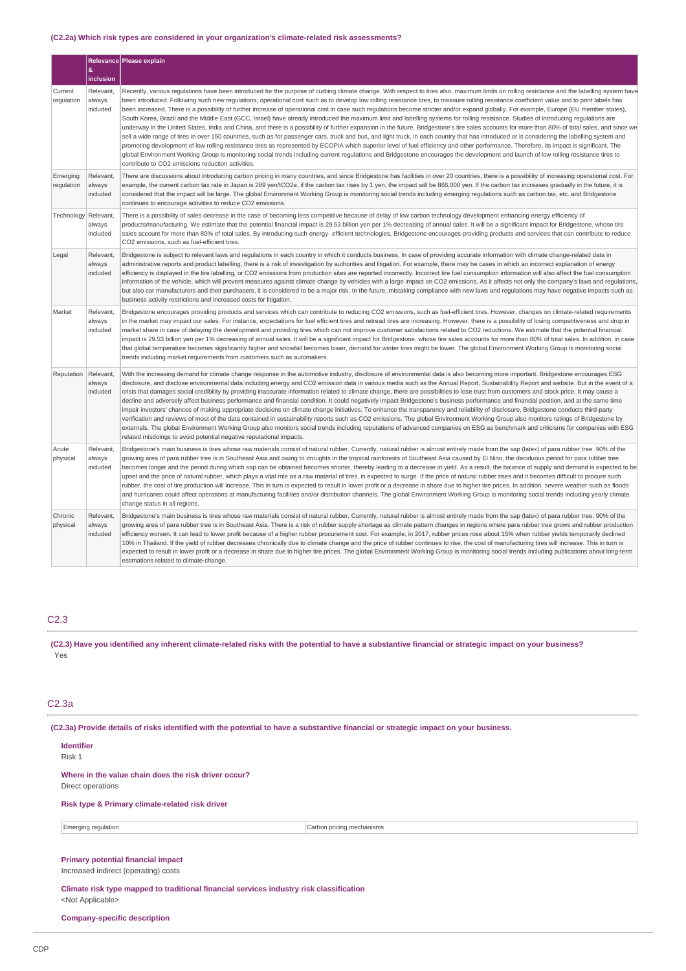# **(C2.2a) Which risk types are considered in your organization's climate-related risk assessments?**

|                        | &                               | Relevance Please explain                                                                                                                                                                                                                                                                                                                                                                                                                                                                                                                                                                                                                                                                                                                                                                                                                                                                                                                                                                                                                                                                                                                                                                                                                                                                                                                                                                                                                                                                                                                                                                                                |
|------------------------|---------------------------------|-------------------------------------------------------------------------------------------------------------------------------------------------------------------------------------------------------------------------------------------------------------------------------------------------------------------------------------------------------------------------------------------------------------------------------------------------------------------------------------------------------------------------------------------------------------------------------------------------------------------------------------------------------------------------------------------------------------------------------------------------------------------------------------------------------------------------------------------------------------------------------------------------------------------------------------------------------------------------------------------------------------------------------------------------------------------------------------------------------------------------------------------------------------------------------------------------------------------------------------------------------------------------------------------------------------------------------------------------------------------------------------------------------------------------------------------------------------------------------------------------------------------------------------------------------------------------------------------------------------------------|
|                        | inclusion                       |                                                                                                                                                                                                                                                                                                                                                                                                                                                                                                                                                                                                                                                                                                                                                                                                                                                                                                                                                                                                                                                                                                                                                                                                                                                                                                                                                                                                                                                                                                                                                                                                                         |
| Current<br>regulation  | Relevant,<br>always<br>included | Recently, various regulations have been introduced for the purpose of curbing climate change. With respect to tires also, maximum limits on rolling resistance and the labelling system have<br>been introduced. Following such new regulations, operational cost such as to develop low rolling resistance tires, to measure rolling resistance coefficient value and to print labels has<br>been increased. There is a possibility of further increase of operational cost in case such requlations become stricter and/or expand globally. For example, Europe (EU member states),<br>South Korea, Brazil and the Middle East (GCC, Israel) have already introduced the maximum limit and labelling systems for rolling resistance. Studies of introducing regulations are<br>underway in the United States, India and China, and there is a possibility of further expansion in the future. Bridgestone's tire sales accounts for more than 80% of total sales, and since we<br>sell a wide range of tires in over 150 countries, such as for passenger cars, truck and bus, and light truck, in each country that has introduced or is considering the labelling system and<br>promoting development of low rolling resistance tires as represented by ECOPIA which superior level of fuel efficiency and other performance. Therefore, its impact is significant. The<br>global Environment Working Group is monitoring social trends including current regulations and Bridgestone encourages the development and launch of low rolling resistance tires to<br>contribute to CO2 emissions reduction activities. |
| Emerging<br>regulation | Relevant,<br>always<br>included | There are discussions about introducing carbon pricing in many countries, and since Bridgestone has facilities in over 20 countries, there is a possibility of increasing operational cost. For<br>example, the current carbon tax rate in Japan is 289 yen/tCO2e, if the carbon tax rises by 1 yen, the impact will be 866,000 yen. If the carbon tax increases gradually in the future, it is<br>considered that the impact will be large. The global Environment Working Group is monitoring social trends including emerging regulations such as carbon tax, etc. and Bridgestone<br>continues to encourage activities to reduce CO2 emissions.                                                                                                                                                                                                                                                                                                                                                                                                                                                                                                                                                                                                                                                                                                                                                                                                                                                                                                                                                                     |
| Technology             | Relevant,<br>always<br>included | There is a possibility of sales decrease in the case of becoming less competitive because of delay of low carbon technology development enhancing energy efficiency of<br>products/manufacturing. We estimate that the potential financial impact is 29.53 billion yen per 1% decreasing of annual sales. It will be a significant impact for Bridgestone, whose tire<br>sales account for more than 80% of total sales. By introducing such energy- efficient technologies, Bridgestone encourages providing products and services that can contribute to reduce<br>CO2 emissions, such as fuel-efficient tires.                                                                                                                                                                                                                                                                                                                                                                                                                                                                                                                                                                                                                                                                                                                                                                                                                                                                                                                                                                                                       |
| Legal                  | Relevant,<br>always<br>included | Bridgestone is subject to relevant laws and regulations in each country in which it conducts business. In case of providing accurate information with climate change-related data in<br>administrative reports and product labelling, there is a risk of investigation by authorities and litigation. For example, there may be cases in which an incorrect explanation of energy<br>efficiency is displayed in the tire labelling, or CO2 emissions from production sites are reported incorrectly. Incorrect tire fuel consumption information will also affect the fuel consumption<br>information of the vehicle, which will prevent measures against climate change by vehicles with a large impact on CO2 emissions. As it affects not only the company's laws and regulations,<br>but also car manufacturers and their purchasers, it is considered to be a major risk. In the future, mistaking compliance with new laws and regulations may have negative impacts such as<br>business activity restrictions and increased costs for litigation.                                                                                                                                                                                                                                                                                                                                                                                                                                                                                                                                                                |
| Market                 | Relevant,<br>always<br>included | Bridgestone encourages providing products and services which can contribute to reducing CO2 emissions, such as fuel-efficient tires. However, changes on climate-related requirements<br>in the market may impact our sales. For instance, expectations for fuel efficient tires and retread tires are increasing. However, there is a possibility of losing competitiveness and drop in<br>market share in case of delaying the development and providing tires which can not improve customer satisfactions related to CO2 reductions. We estimate that the potential financial<br>impact is 29.53 billion yen per 1% decreasing of annual sales. It will be a significant impact for Bridgestone, whose tire sales accounts for more than 80% of total sales. In addition, in case<br>that global temperature becomes significantly higher and snowfall becomes lower, demand for winter tires might be lower. The global Environment Working Group is monitoring social<br>trends including market requirements from customers such as automakers.                                                                                                                                                                                                                                                                                                                                                                                                                                                                                                                                                                  |
| Reputation             | Relevant,<br>always<br>included | With the increasing demand for climate change response in the automotive industry, disclosure of environmental data is also becoming more important. Bridgestone encourages ESG<br>disclosure, and disclose environmental data including energy and CO2 emission data in various media such as the Annual Report, Sustainability Report and website. But in the event of a<br>crisis that damages social credibility by providing inaccurate information related to climate change, there are possibilities to lose trust from customers and stock price. It may cause a<br>decline and adversely affect business performance and financial condition. It could negatively impact Bridgestone's business performance and financial position, and at the same time<br>impair investors' chances of making appropriate decisions on climate change initiatives. To enhance the transparency and reliability of disclosure, Bridgestone conducts third-party<br>verification and reviews of most of the data contained in sustainability reports such as CO2 emissions. The global Environment Working Group also monitors ratings of Bridgestone by<br>externals. The global Environment Working Group also monitors social trends including reputations of advanced companies on ESG as benchmark and criticisms for companies with ESG<br>related misdoings to avoid potential negative reputational impacts.                                                                                                                                                                                                           |
| Acute<br>physical      | Relevant,<br>always<br>included | Bridgestone's main business is tires whose raw materials consist of natural rubber. Currently, natural rubber is almost entirely made from the sap (latex) of para rubber tree. 90% of the<br>growing area of para rubber tree is in Southeast Asia and owing to droughts in the tropical rainforests of Southeast Asia caused by El Nino, the deciduous period for para rubber tree<br>becomes longer and the period during which sap can be obtained becomes shorter, thereby leading to a decrease in yield. As a result, the balance of supply and demand is expected to be<br>upset and the price of natural rubber, which plays a vital role as a raw material of tires, is expected to surge. If the price of natural rubber rises and it becomes difficult to procure such<br>rubber, the cost of tire production will increase. This in turn is expected to result in lower profit or a decrease in share due to higher tire prices. In addition, severe weather such as floods<br>and hurricanes could affect operations at manufacturing facilities and/or distribution channels. The global Environment Working Group is monitoring social trends including yearly climate<br>change status in all regions.                                                                                                                                                                                                                                                                                                                                                                                                 |
| Chronic<br>physical    | Relevant,<br>always<br>included | Bridgestone's main business is tires whose raw materials consist of natural rubber. Currently, natural rubber is almost entirely made from the sap (latex) of para rubber tree. 90% of the<br>growing area of para rubber tree is in Southeast Asia. There is a risk of rubber supply shortage as climate pattern changes in regions where para rubber tree grows and rubber production<br>efficiency worsen. It can lead to lower profit because of a higher rubber procurement cost. For example, in 2017, rubber prices rose about 15% when rubber yields temporarily declined<br>10% in Thailand. If the yield of rubber decreases chronically due to climate change and the price of rubber continues to rise, the cost of manufacturing tires will increase. This in turn is<br>expected to result in lower profit or a decrease in share due to higher tire prices. The global Environment Working Group is monitoring social trends including publications about long-term<br>estimations related to climate-change.                                                                                                                                                                                                                                                                                                                                                                                                                                                                                                                                                                                            |

# C2.3

**(C2.3) Have you identified any inherent climate-related risks with the potential to have a substantive financial or strategic impact on your business?** Yes

# C2.3a

**(C2.3a) Provide details of risks identified with the potential to have a substantive financial or strategic impact on your business.**

**Identifier** Risk 1

**Where in the value chain does the risk driver occur?**

Direct operations

**Risk type & Primary climate-related risk driver**

Emerging regulation Carbon pricing mechanisms

# **Primary potential financial impact**

Increased indirect (operating) costs

**Climate risk type mapped to traditional financial services industry risk classification** <Not Applicable>

**Company-specific description**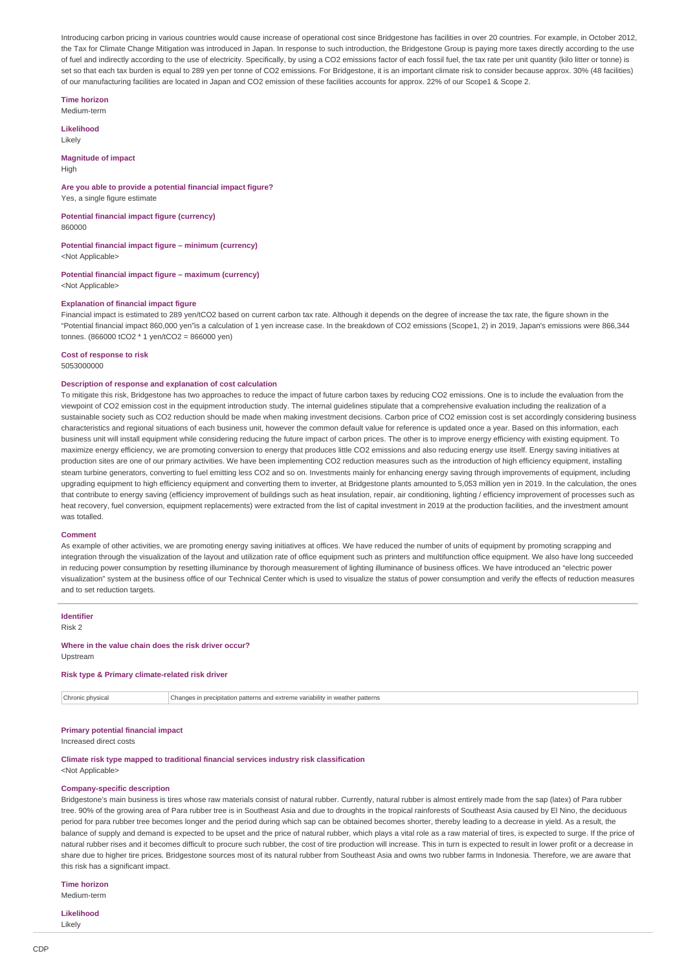Introducing carbon pricing in various countries would cause increase of operational cost since Bridgestone has facilities in over 20 countries. For example, in October 2012, the Tax for Climate Change Mitigation was introduced in Japan. In response to such introduction, the Bridgestone Group is paying more taxes directly according to the use of fuel and indirectly according to the use of electricity. Specifically, by using a CO2 emissions factor of each fossil fuel, the tax rate per unit quantity (kilo litter or tonne) is set so that each tax burden is equal to 289 yen per tonne of CO2 emissions. For Bridgestone, it is an important climate risk to consider because approx. 30% (48 facilities) of our manufacturing facilities are located in Japan and CO2 emission of these facilities accounts for approx. 22% of our Scope1 & Scope 2.

**Time horizon** Medium-term

**Likelihood**

Likely

**Magnitude of impact**

High

**Are you able to provide a potential financial impact figure?** Yes, a single figure estimate

**Potential financial impact figure (currency)** 860000

**Potential financial impact figure – minimum (currency)**

<Not Applicable>

**Potential financial impact figure – maximum (currency)** <Not Applicable>

## **Explanation of financial impact figure**

Financial impact is estimated to 289 yen/tCO2 based on current carbon tax rate. Although it depends on the degree of increase the tax rate, the figure shown in the "Potential financial impact 860,000 yen"is a calculation of 1 yen increase case. In the breakdown of CO2 emissions (Scope1, 2) in 2019, Japan's emissions were 866,344 tonnes. (866000 tCO2 \* 1 yen/tCO2 = 866000 yen)

**Cost of response to risk** 5053000000

## **Description of response and explanation of cost calculation**

To mitigate this risk, Bridgestone has two approaches to reduce the impact of future carbon taxes by reducing CO2 emissions. One is to include the evaluation from the viewpoint of CO2 emission cost in the equipment introduction study. The internal guidelines stipulate that a comprehensive evaluation including the realization of a sustainable society such as CO2 reduction should be made when making investment decisions. Carbon price of CO2 emission cost is set accordingly considering business characteristics and regional situations of each business unit, however the common default value for reference is updated once a year. Based on this information, each business unit will install equipment while considering reducing the future impact of carbon prices. The other is to improve energy efficiency with existing equipment. To maximize energy efficiency, we are promoting conversion to energy that produces little CO2 emissions and also reducing energy use itself. Energy saving initiatives at production sites are one of our primary activities. We have been implementing CO2 reduction measures such as the introduction of high efficiency equipment, installing steam turbine generators, converting to fuel emitting less CO2 and so on. Investments mainly for enhancing energy saving through improvements of equipment, including upgrading equipment to high efficiency equipment and converting them to inverter, at Bridgestone plants amounted to 5,053 million yen in 2019. In the calculation, the ones that contribute to energy saving (efficiency improvement of buildings such as heat insulation, repair, air conditioning, lighting / efficiency improvement of processes such as heat recovery, fuel conversion, equipment replacements) were extracted from the list of capital investment in 2019 at the production facilities, and the investment amount was totalled.

#### **Comment**

As example of other activities, we are promoting energy saving initiatives at offices. We have reduced the number of units of equipment by promoting scrapping and integration through the visualization of the layout and utilization rate of office equipment such as printers and multifunction office equipment. We also have long succeeded in reducing power consumption by resetting illuminance by thorough measurement of lighting illuminance of business offices. We have introduced an "electric power visualization" system at the business office of our Technical Center which is used to visualize the status of power consumption and verify the effects of reduction measures and to set reduction targets.

## **Identifier**

Risk 2

**Where in the value chain does the risk driver occur?** Upstream

## **Risk type & Primary climate-related risk driver**

Chronic physical Changes in precipitation patterns and extreme variability in weather patterns

**Primary potential financial impact** Increased direct costs

**Climate risk type mapped to traditional financial services industry risk classification**

<Not Applicable>

# **Company-specific description**

Bridgestone's main business is tires whose raw materials consist of natural rubber. Currently, natural rubber is almost entirely made from the sap (latex) of Para rubber tree. 90% of the growing area of Para rubber tree is in Southeast Asia and due to droughts in the tropical rainforests of Southeast Asia caused by El Nino, the deciduous period for para rubber tree becomes longer and the period during which sap can be obtained becomes shorter, thereby leading to a decrease in yield. As a result, the balance of supply and demand is expected to be upset and the price of natural rubber, which plays a vital role as a raw material of tires, is expected to surge. If the price of natural rubber rises and it becomes difficult to procure such rubber, the cost of tire production will increase. This in turn is expected to result in lower profit or a decrease in share due to higher tire prices. Bridgestone sources most of its natural rubber from Southeast Asia and owns two rubber farms in Indonesia. Therefore, we are aware that this risk has a significant impact.

**Time horizon**

Medium-term

**Likelihood** Likely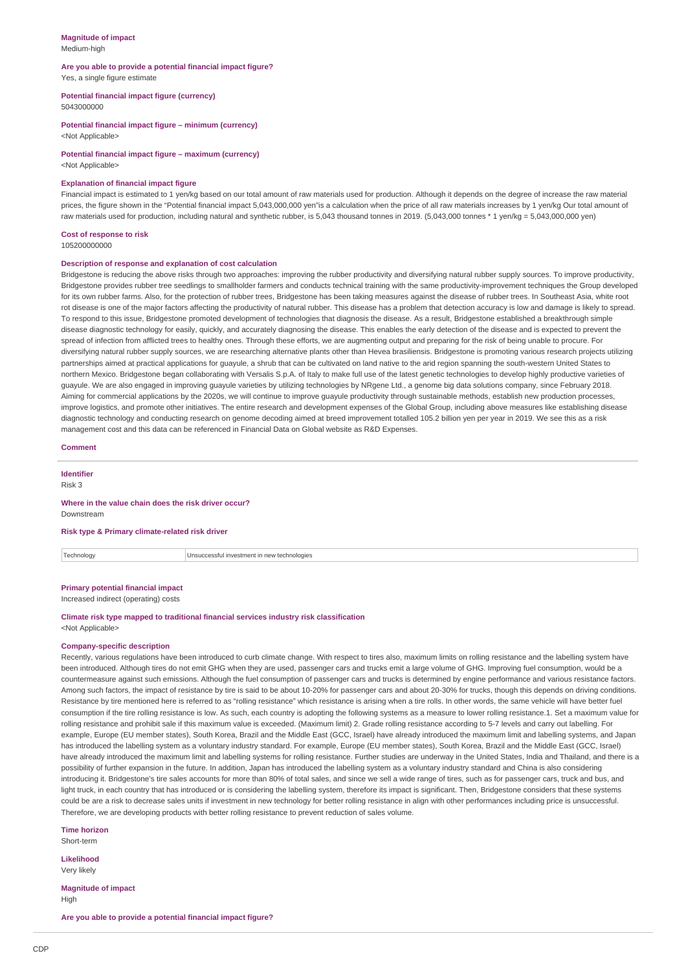#### **Magnitude of impact** Medium-high

# **Are you able to provide a potential financial impact figure?** Yes, a single figure estimate

#### **Potential financial impact figure (currency)** 5043000000

**Potential financial impact figure – minimum (currency)** <Not Applicable>

**Potential financial impact figure – maximum (currency)**

# <Not Applicable>

## **Explanation of financial impact figure**

Financial impact is estimated to 1 yen/kg based on our total amount of raw materials used for production. Although it depends on the degree of increase the raw material prices, the figure shown in the "Potential financial impact 5,043,000,000 yen"is a calculation when the price of all raw materials increases by 1 yen/kg Our total amount of raw materials used for production, including natural and synthetic rubber, is 5,043 thousand tonnes in 2019. (5,043,000 tonnes \* 1 yen/kg = 5,043,000,000 yen)

## **Cost of response to risk**

105200000000

## **Description of response and explanation of cost calculation**

Bridgestone is reducing the above risks through two approaches: improving the rubber productivity and diversifying natural rubber supply sources. To improve productivity, Bridgestone provides rubber tree seedlings to smallholder farmers and conducts technical training with the same productivity-improvement techniques the Group developed for its own rubber farms. Also, for the protection of rubber trees, Bridgestone has been taking measures against the disease of rubber trees. In Southeast Asia, white root rot disease is one of the major factors affecting the productivity of natural rubber. This disease has a problem that detection accuracy is low and damage is likely to spread. To respond to this issue, Bridgestone promoted development of technologies that diagnosis the disease. As a result, Bridgestone established a breakthrough simple disease diagnostic technology for easily, quickly, and accurately diagnosing the disease. This enables the early detection of the disease and is expected to prevent the spread of infection from afflicted trees to healthy ones. Through these efforts, we are augmenting output and preparing for the risk of being unable to procure. For diversifying natural rubber supply sources, we are researching alternative plants other than Hevea brasiliensis. Bridgestone is promoting various research projects utilizing partnerships aimed at practical applications for guayule, a shrub that can be cultivated on land native to the arid region spanning the south-western United States to northern Mexico. Bridgestone began collaborating with Versalis S.p.A. of Italy to make full use of the latest genetic technologies to develop highly productive varieties of guayule. We are also engaged in improving guayule varieties by utilizing technologies by NRgene Ltd., a genome big data solutions company, since February 2018. Aiming for commercial applications by the 2020s, we will continue to improve guayule productivity through sustainable methods, establish new production processes, improve logistics, and promote other initiatives. The entire research and development expenses of the Global Group, including above measures like establishing disease diagnostic technology and conducting research on genome decoding aimed at breed improvement totalled 105.2 billion yen per year in 2019. We see this as a risk management cost and this data can be referenced in Financial Data on Global website as R&D Expenses.

### **Comment**

**Identifier**

#### Risk 3

#### **Where in the value chain does the risk driver occur?**

Downstream

#### **Risk type & Primary climate-related risk driver**

Technology Unsuccessful investment in new technologies

# **Primary potential financial impact**

Increased indirect (operating) costs

#### **Climate risk type mapped to traditional financial services industry risk classification** <Not Applicable>

#### **Company-specific description**

Recently, various regulations have been introduced to curb climate change. With respect to tires also, maximum limits on rolling resistance and the labelling system have been introduced. Although tires do not emit GHG when they are used, passenger cars and trucks emit a large volume of GHG. Improving fuel consumption, would be a countermeasure against such emissions. Although the fuel consumption of passenger cars and trucks is determined by engine performance and various resistance factors. Among such factors, the impact of resistance by tire is said to be about 10-20% for passenger cars and about 20-30% for trucks, though this depends on driving conditions. Resistance by tire mentioned here is referred to as "rolling resistance" which resistance is arising when a tire rolls. In other words, the same vehicle will have better fuel consumption if the tire rolling resistance is low. As such, each country is adopting the following systems as a measure to lower rolling resistance.1. Set a maximum value for rolling resistance and prohibit sale if this maximum value is exceeded. (Maximum limit) 2. Grade rolling resistance according to 5-7 levels and carry out labelling. For example, Europe (EU member states), South Korea, Brazil and the Middle East (GCC, Israel) have already introduced the maximum limit and labelling systems, and Japan has introduced the labelling system as a voluntary industry standard. For example, Europe (EU member states), South Korea, Brazil and the Middle East (GCC, Israel) have already introduced the maximum limit and labelling systems for rolling resistance. Further studies are underway in the United States, India and Thailand, and there is a possibility of further expansion in the future. In addition, Japan has introduced the labelling system as a voluntary industry standard and China is also considering introducing it. Bridgestone's tire sales accounts for more than 80% of total sales, and since we sell a wide range of tires, such as for passenger cars, truck and bus, and light truck, in each country that has introduced or is considering the labelling system, therefore its impact is significant. Then, Bridgestone considers that these systems could be are a risk to decrease sales units if investment in new technology for better rolling resistance in align with other performances including price is unsuccessful. Therefore, we are developing products with better rolling resistance to prevent reduction of sales volume.

**Time horizon** Short-term

# **Likelihood**

Very likely

**Magnitude of impact** High

**Are you able to provide a potential financial impact figure?**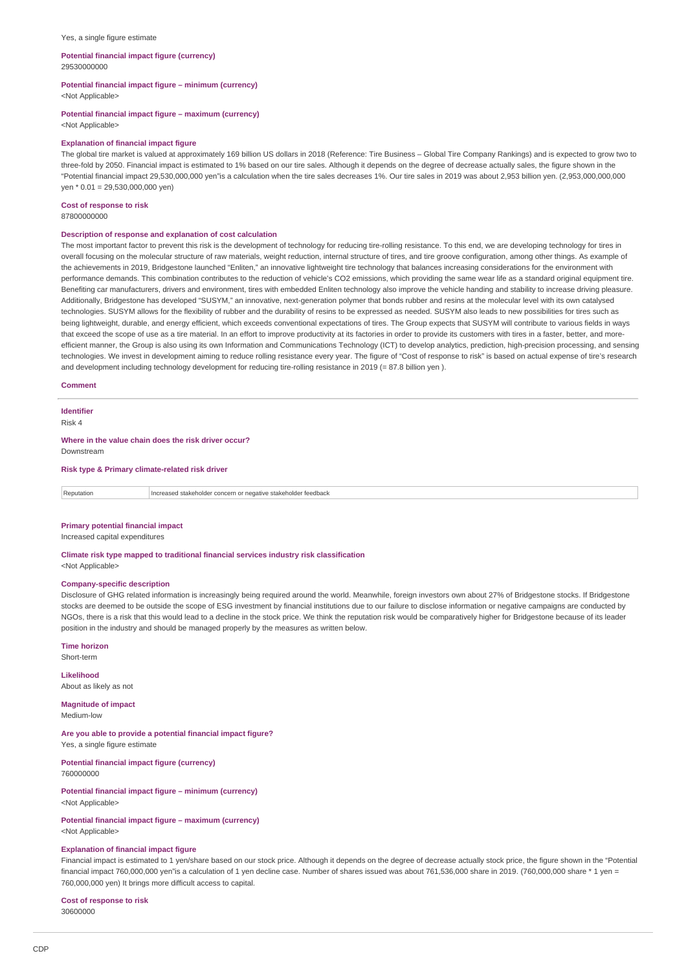#### Yes, a single figure estimate

#### **Potential financial impact figure (currency)** 29530000000

**Potential financial impact figure – minimum (currency)**

<Not Applicable>

#### **Potential financial impact figure – maximum (currency)**

<Not Applicable>

#### **Explanation of financial impact figure**

The global tire market is valued at approximately 169 billion US dollars in 2018 (Reference: Tire Business – Global Tire Company Rankings) and is expected to grow two to three-fold by 2050. Financial impact is estimated to 1% based on our tire sales. Although it depends on the degree of decrease actually sales, the figure shown in the "Potential financial impact 29,530,000,000 yen"is a calculation when the tire sales decreases 1%. Our tire sales in 2019 was about 2,953 billion yen. (2,953,000,000,000 yen \* 0.01 = 29,530,000,000 yen)

#### **Cost of response to risk** 87800000000

# **Description of response and explanation of cost calculation**

The most important factor to prevent this risk is the development of technology for reducing tire-rolling resistance. To this end, we are developing technology for tires in overall focusing on the molecular structure of raw materials, weight reduction, internal structure of tires, and tire groove configuration, among other things. As example of the achievements in 2019, Bridgestone launched "Enliten," an innovative lightweight tire technology that balances increasing considerations for the environment with performance demands. This combination contributes to the reduction of vehicle's CO2 emissions, which providing the same wear life as a standard original equipment tire. Benefiting car manufacturers, drivers and environment, tires with embedded Enliten technology also improve the vehicle handing and stability to increase driving pleasure. Additionally, Bridgestone has developed "SUSYM," an innovative, next-generation polymer that bonds rubber and resins at the molecular level with its own catalysed technologies. SUSYM allows for the flexibility of rubber and the durability of resins to be expressed as needed. SUSYM also leads to new possibilities for tires such as being lightweight, durable, and energy efficient, which exceeds conventional expectations of tires. The Group expects that SUSYM will contribute to various fields in ways that exceed the scope of use as a tire material. In an effort to improve productivity at its factories in order to provide its customers with tires in a faster, better, and moreefficient manner, the Group is also using its own Information and Communications Technology (ICT) to develop analytics, prediction, high-precision processing, and sensing technologies. We invest in development aiming to reduce rolling resistance every year. The figure of "Cost of response to risk" is based on actual expense of tire's research and development including technology development for reducing tire-rolling resistance in 2019 (= 87.8 billion yen ).

## **Comment**

**Identifier** Risk 4

# **Where in the value chain does the risk driver occur?**

Downstream

## **Risk type & Primary climate-related risk driver**

| Reputation | Thereased stakeholder concern or negative stakeholder<br>r feedback |
|------------|---------------------------------------------------------------------|
|            |                                                                     |

## **Primary potential financial impact**

Increased capital expenditures

#### **Climate risk type mapped to traditional financial services industry risk classification**

<Not Applicable>

#### **Company-specific description**

Disclosure of GHG related information is increasingly being required around the world. Meanwhile, foreign investors own about 27% of Bridgestone stocks. If Bridgestone stocks are deemed to be outside the scope of ESG investment by financial institutions due to our failure to disclose information or negative campaigns are conducted by NGOs, there is a risk that this would lead to a decline in the stock price. We think the reputation risk would be comparatively higher for Bridgestone because of its leader position in the industry and should be managed properly by the measures as written below.

**Time horizon**

Short-term

**Likelihood** About as likely as not

**Magnitude of impact** Medium-low

**Are you able to provide a potential financial impact figure?** Yes, a single figure estimate

**Potential financial impact figure (currency)** 760000000

**Potential financial impact figure – minimum (currency)** <Not Applicable>

#### **Potential financial impact figure – maximum (currency)** <Not Applicable>

# **Explanation of financial impact figure**

Financial impact is estimated to 1 yen/share based on our stock price. Although it depends on the degree of decrease actually stock price, the figure shown in the "Potential financial impact 760,000,000 yen"is a calculation of 1 yen decline case. Number of shares issued was about 761,536,000 share in 2019. (760,000,000 share \* 1 yen = 760,000,000 yen) It brings more difficult access to capital.

**Cost of response to risk** 30600000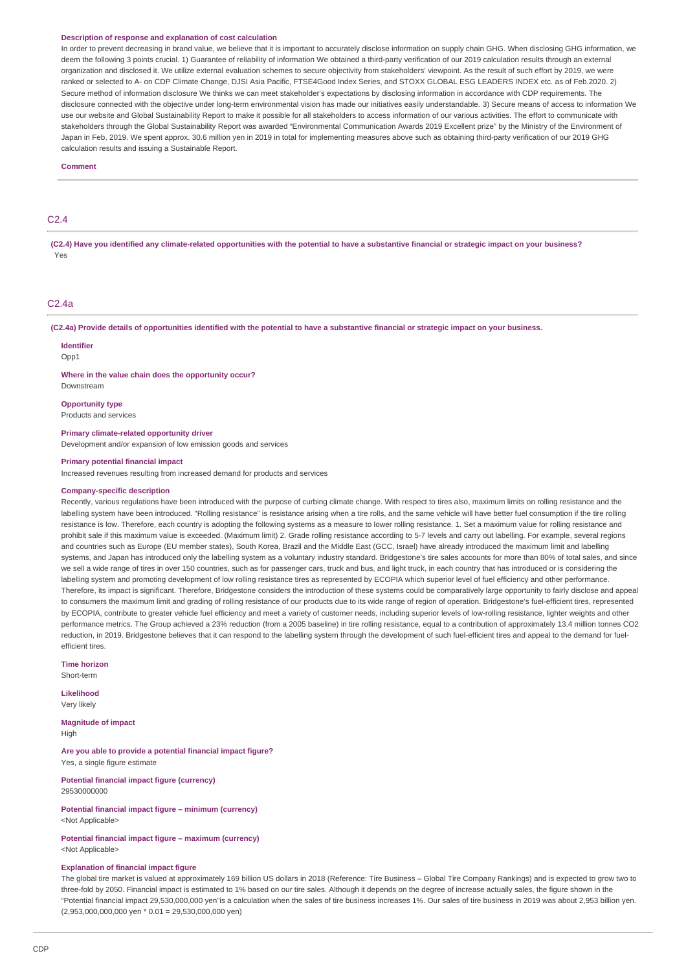#### **Description of response and explanation of cost calculation**

In order to prevent decreasing in brand value, we believe that it is important to accurately disclose information on supply chain GHG. When disclosing GHG information, we deem the following 3 points crucial. 1) Guarantee of reliability of information We obtained a third-party verification of our 2019 calculation results through an external organization and disclosed it. We utilize external evaluation schemes to secure objectivity from stakeholders' viewpoint. As the result of such effort by 2019, we were ranked or selected to A- on CDP Climate Change, DJSI Asia Pacific, FTSE4Good Index Series, and STOXX GLOBAL ESG LEADERS INDEX etc. as of Feb.2020. 2) Secure method of information disclosure We thinks we can meet stakeholder's expectations by disclosing information in accordance with CDP requirements. The disclosure connected with the objective under long-term environmental vision has made our initiatives easily understandable. 3) Secure means of access to information We use our website and Global Sustainability Report to make it possible for all stakeholders to access information of our various activities. The effort to communicate with stakeholders through the Global Sustainability Report was awarded "Environmental Communication Awards 2019 Excellent prize" by the Ministry of the Environment of Japan in Feb, 2019. We spent approx. 30.6 million yen in 2019 in total for implementing measures above such as obtaining third-party verification of our 2019 GHG calculation results and issuing a Sustainable Report.

#### **Comment**

# C2.4

**(C2.4) Have you identified any climate-related opportunities with the potential to have a substantive financial or strategic impact on your business?** Yes

#### C2.4a

**(C2.4a) Provide details of opportunities identified with the potential to have a substantive financial or strategic impact on your business.**

# **Identifier**

Opp<sub>1</sub>

**Where in the value chain does the opportunity occur?** Downstream

**Opportunity type** Products and services

**Primary climate-related opportunity driver** Development and/or expansion of low emission goods and services

#### **Primary potential financial impact**

Increased revenues resulting from increased demand for products and services

#### **Company-specific description**

Recently, various regulations have been introduced with the purpose of curbing climate change. With respect to tires also, maximum limits on rolling resistance and the labelling system have been introduced. "Rolling resistance" is resistance arising when a tire rolls, and the same vehicle will have better fuel consumption if the tire rolling resistance is low. Therefore, each country is adopting the following systems as a measure to lower rolling resistance. 1. Set a maximum value for rolling resistance and prohibit sale if this maximum value is exceeded. (Maximum limit) 2. Grade rolling resistance according to 5-7 levels and carry out labelling. For example, several regions and countries such as Europe (EU member states), South Korea, Brazil and the Middle East (GCC, Israel) have already introduced the maximum limit and labelling systems, and Japan has introduced only the labelling system as a voluntary industry standard. Bridgestone's tire sales accounts for more than 80% of total sales, and since we sell a wide range of tires in over 150 countries, such as for passenger cars, truck and bus, and light truck, in each country that has introduced or is considering the labelling system and promoting development of low rolling resistance tires as represented by ECOPIA which superior level of fuel efficiency and other performance. Therefore, its impact is significant. Therefore, Bridgestone considers the introduction of these systems could be comparatively large opportunity to fairly disclose and appeal to consumers the maximum limit and grading of rolling resistance of our products due to its wide range of region of operation. Bridgestone's fuel-efficient tires, represented by ECOPIA, contribute to greater vehicle fuel efficiency and meet a variety of customer needs, including superior levels of low-rolling resistance, lighter weights and other performance metrics. The Group achieved a 23% reduction (from a 2005 baseline) in tire rolling resistance, equal to a contribution of approximately 13.4 million tonnes CO2 reduction, in 2019. Bridgestone believes that it can respond to the labelling system through the development of such fuel-efficient tires and appeal to the demand for fuelefficient tires.

#### **Time horizon**

Short-term

**Likelihood** Very likely

**Magnitude of impact** High

**Are you able to provide a potential financial impact figure?** Yes, a single figure estimate

**Potential financial impact figure (currency)** 29530000000

**Potential financial impact figure – minimum (currency)** <Not Applicable>

**Potential financial impact figure – maximum (currency)** <Not Applicable>

# **Explanation of financial impact figure**

The global tire market is valued at approximately 169 billion US dollars in 2018 (Reference: Tire Business – Global Tire Company Rankings) and is expected to grow two to three-fold by 2050. Financial impact is estimated to 1% based on our tire sales. Although it depends on the degree of increase actually sales, the figure shown in the "Potential financial impact 29,530,000,000 yen"is a calculation when the sales of tire business increases 1%. Our sales of tire business in 2019 was about 2,953 billion yen. (2,953,000,000,000 yen \* 0.01 = 29,530,000,000 yen)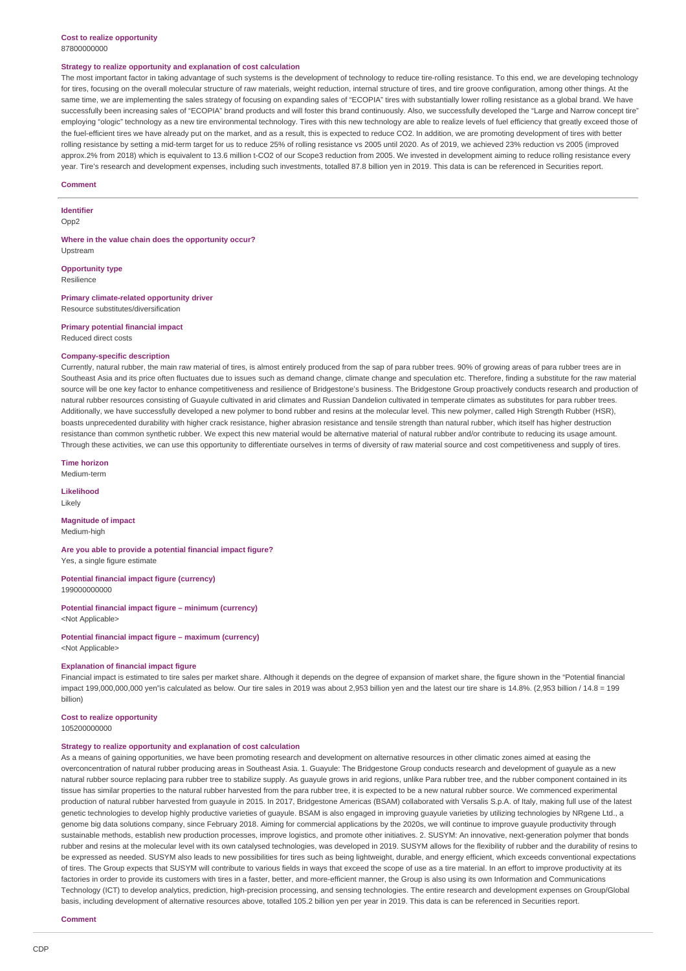## **Cost to realize opportunity** 87800000000

#### **Strategy to realize opportunity and explanation of cost calculation**

The most important factor in taking advantage of such systems is the development of technology to reduce tire-rolling resistance. To this end, we are developing technology for tires, focusing on the overall molecular structure of raw materials, weight reduction, internal structure of tires, and tire groove configuration, among other things. At the same time, we are implementing the sales strategy of focusing on expanding sales of "ECOPIA" tires with substantially lower rolling resistance as a global brand. We have successfully been increasing sales of "ECOPIA" brand products and will foster this brand continuously. Also, we successfully developed the "Large and Narrow concept tire" employing "ologic" technology as a new tire environmental technology. Tires with this new technology are able to realize levels of fuel efficiency that greatly exceed those of the fuel-efficient tires we have already put on the market, and as a result, this is expected to reduce CO2. In addition, we are promoting development of tires with better rolling resistance by setting a mid-term target for us to reduce 25% of rolling resistance vs 2005 until 2020. As of 2019, we achieved 23% reduction vs 2005 (improved approx.2% from 2018) which is equivalent to 13.6 million t-CO2 of our Scope3 reduction from 2005. We invested in development aiming to reduce rolling resistance every year. Tire's research and development expenses, including such investments, totalled 87.8 billion yen in 2019. This data is can be referenced in Securities report.

#### **Comment**

# **Identifier**

Opp2

**Where in the value chain does the opportunity occur? Unctream** 

# **Opportunity type**

Resilience

## **Primary climate-related opportunity driver**

Resource substitutes/diversification

#### **Primary potential financial impact** Reduced direct costs

## **Company-specific description**

Currently, natural rubber, the main raw material of tires, is almost entirely produced from the sap of para rubber trees. 90% of growing areas of para rubber trees are in Southeast Asia and its price often fluctuates due to issues such as demand change, climate change and speculation etc. Therefore, finding a substitute for the raw material source will be one key factor to enhance competitiveness and resilience of Bridgestone's business. The Bridgestone Group proactively conducts research and production of natural rubber resources consisting of Guayule cultivated in arid climates and Russian Dandelion cultivated in temperate climates as substitutes for para rubber trees. Additionally, we have successfully developed a new polymer to bond rubber and resins at the molecular level. This new polymer, called High Strength Rubber (HSR), boasts unprecedented durability with higher crack resistance, higher abrasion resistance and tensile strength than natural rubber, which itself has higher destruction resistance than common synthetic rubber. We expect this new material would be alternative material of natural rubber and/or contribute to reducing its usage amount. Through these activities, we can use this opportunity to differentiate ourselves in terms of diversity of raw material source and cost competitiveness and supply of tires.

### **Time horizon**

Medium-term

**Likelihood** Likely

#### **Magnitude of impact** Medium-high

**Are you able to provide a potential financial impact figure?** Yes, a single figure estimate

**Potential financial impact figure (currency)** 199000000000

**Potential financial impact figure – minimum (currency)** <Not Applicable>

**Potential financial impact figure – maximum (currency)** <Not Applicable>

#### **Explanation of financial impact figure**

Financial impact is estimated to tire sales per market share. Although it depends on the degree of expansion of market share, the figure shown in the "Potential financial impact 199,000,000,000 yen"is calculated as below. Our tire sales in 2019 was about 2,953 billion yen and the latest our tire share is 14.8%. (2,953 billion / 14.8 = 199 billion)

## **Cost to realize opportunity**

105200000000

### **Strategy to realize opportunity and explanation of cost calculation**

As a means of gaining opportunities, we have been promoting research and development on alternative resources in other climatic zones aimed at easing the overconcentration of natural rubber producing areas in Southeast Asia. 1. Guayule: The Bridgestone Group conducts research and development of guayule as a new natural rubber source replacing para rubber tree to stabilize supply. As guayule grows in arid regions, unlike Para rubber tree, and the rubber component contained in its tissue has similar properties to the natural rubber harvested from the para rubber tree, it is expected to be a new natural rubber source. We commenced experimental production of natural rubber harvested from guayule in 2015. In 2017, Bridgestone Americas (BSAM) collaborated with Versalis S.p.A. of Italy, making full use of the latest genetic technologies to develop highly productive varieties of guayule. BSAM is also engaged in improving guayule varieties by utilizing technologies by NRgene Ltd., a genome big data solutions company, since February 2018. Aiming for commercial applications by the 2020s, we will continue to improve guayule productivity through sustainable methods, establish new production processes, improve logistics, and promote other initiatives. 2. SUSYM: An innovative, next-generation polymer that bonds rubber and resins at the molecular level with its own catalysed technologies, was developed in 2019. SUSYM allows for the flexibility of rubber and the durability of resins to be expressed as needed. SUSYM also leads to new possibilities for tires such as being lightweight, durable, and energy efficient, which exceeds conventional expectations of tires. The Group expects that SUSYM will contribute to various fields in ways that exceed the scope of use as a tire material. In an effort to improve productivity at its factories in order to provide its customers with tires in a faster, better, and more-efficient manner, the Group is also using its own Information and Communications Technology (ICT) to develop analytics, prediction, high-precision processing, and sensing technologies. The entire research and development expenses on Group/Global basis, including development of alternative resources above, totalled 105.2 billion yen per year in 2019. This data is can be referenced in Securities report.

#### **Comment**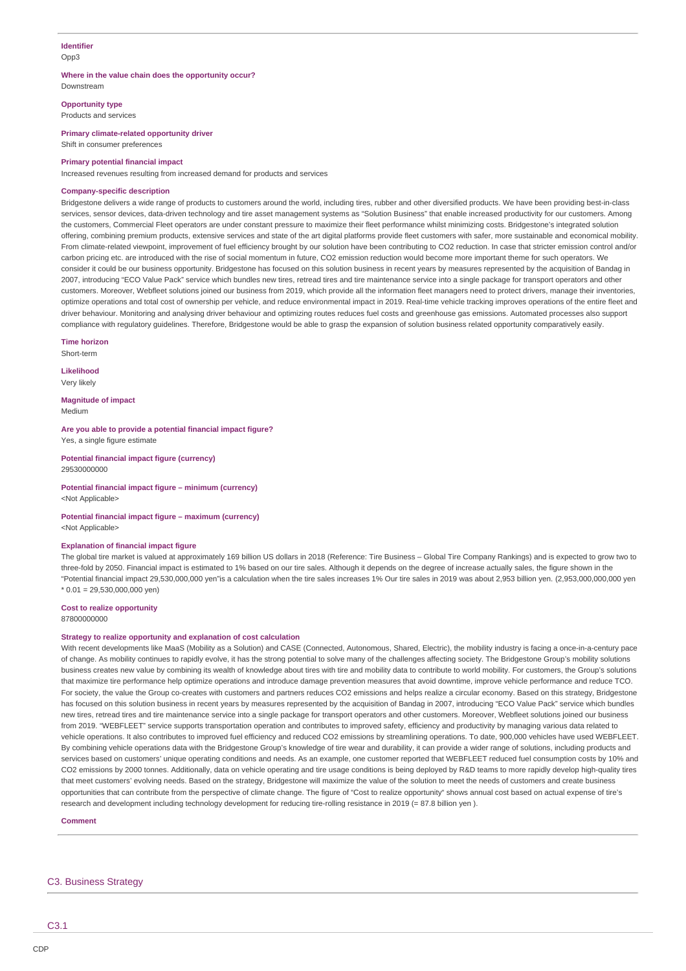# **Identifier** Opp3

#### **Where in the value chain does the opportunity occur?** Downstream

**Opportunity type**

Products and services

**Primary climate-related opportunity driver** Shift in consumer preferences

#### **Primary potential financial impact**

Increased revenues resulting from increased demand for products and services

#### **Company-specific description**

Bridgestone delivers a wide range of products to customers around the world, including tires, rubber and other diversified products. We have been providing best-in-class services, sensor devices, data-driven technology and tire asset management systems as "Solution Business" that enable increased productivity for our customers. Among the customers, Commercial Fleet operators are under constant pressure to maximize their fleet performance whilst minimizing costs. Bridgestone's integrated solution offering, combining premium products, extensive services and state of the art digital platforms provide fleet customers with safer, more sustainable and economical mobility. From climate-related viewpoint, improvement of fuel efficiency brought by our solution have been contributing to CO2 reduction. In case that stricter emission control and/or carbon pricing etc. are introduced with the rise of social momentum in future, CO2 emission reduction would become more important theme for such operators. We consider it could be our business opportunity. Bridgestone has focused on this solution business in recent years by measures represented by the acquisition of Bandag in 2007, introducing "ECO Value Pack" service which bundles new tires, retread tires and tire maintenance service into a single package for transport operators and other customers. Moreover, Webfleet solutions joined our business from 2019, which provide all the information fleet managers need to protect drivers, manage their inventories, optimize operations and total cost of ownership per vehicle, and reduce environmental impact in 2019. Real-time vehicle tracking improves operations of the entire fleet and driver behaviour. Monitoring and analysing driver behaviour and optimizing routes reduces fuel costs and greenhouse gas emissions. Automated processes also support compliance with regulatory guidelines. Therefore, Bridgestone would be able to grasp the expansion of solution business related opportunity comparatively easily.

**Time horizon**

Short-term

**Likelihood** Very likely

**Magnitude of impact** Medium

**Are you able to provide a potential financial impact figure?** Yes, a single figure estimate

**Potential financial impact figure (currency)** 29530000000

**Potential financial impact figure – minimum (currency)** <Not Applicable>

### **Potential financial impact figure – maximum (currency)** <Not Applicable>

#### **Explanation of financial impact figure**

The global tire market is valued at approximately 169 billion US dollars in 2018 (Reference: Tire Business – Global Tire Company Rankings) and is expected to grow two to three-fold by 2050. Financial impact is estimated to 1% based on our tire sales. Although it depends on the degree of increase actually sales, the figure shown in the "Potential financial impact 29,530,000,000 yen"is a calculation when the tire sales increases 1% Our tire sales in 2019 was about 2,953 billion yen. (2,953,000,000,000 yen  $*$  0.01 = 29.530.000.000 yen)

**Cost to realize opportunity** 87800000000

# **Strategy to realize opportunity and explanation of cost calculation**

With recent developments like MaaS (Mobility as a Solution) and CASE (Connected, Autonomous, Shared, Electric), the mobility industry is facing a once-in-a-century pace of change. As mobility continues to rapidly evolve, it has the strong potential to solve many of the challenges affecting society. The Bridgestone Group's mobility solutions business creates new value by combining its wealth of knowledge about tires with tire and mobility data to contribute to world mobility. For customers, the Group's solutions that maximize tire performance help optimize operations and introduce damage prevention measures that avoid downtime, improve vehicle performance and reduce TCO. For society, the value the Group co-creates with customers and partners reduces CO2 emissions and helps realize a circular economy. Based on this strategy, Bridgestone has focused on this solution business in recent years by measures represented by the acquisition of Bandag in 2007, introducing "ECO Value Pack" service which bundles new tires, retread tires and tire maintenance service into a single package for transport operators and other customers. Moreover, Webfleet solutions joined our business from 2019. "WEBFLEET" service supports transportation operation and contributes to improved safety, efficiency and productivity by managing various data related to vehicle operations. It also contributes to improved fuel efficiency and reduced CO2 emissions by streamlining operations. To date, 900,000 vehicles have used WEBFLEET. By combining vehicle operations data with the Bridgestone Group's knowledge of tire wear and durability, it can provide a wider range of solutions, including products and services based on customers' unique operating conditions and needs. As an example, one customer reported that WEBFLEET reduced fuel consumption costs by 10% and CO2 emissions by 2000 tonnes. Additionally, data on vehicle operating and tire usage conditions is being deployed by R&D teams to more rapidly develop high-quality tires that meet customers' evolving needs. Based on the strategy, Bridgestone will maximize the value of the solution to meet the needs of customers and create business opportunities that can contribute from the perspective of climate change. The figure of "Cost to realize opportunity" shows annual cost based on actual expense of tire's research and development including technology development for reducing tire-rolling resistance in 2019 (= 87.8 billion yen ).

**Comment**

# C3. Business Strategy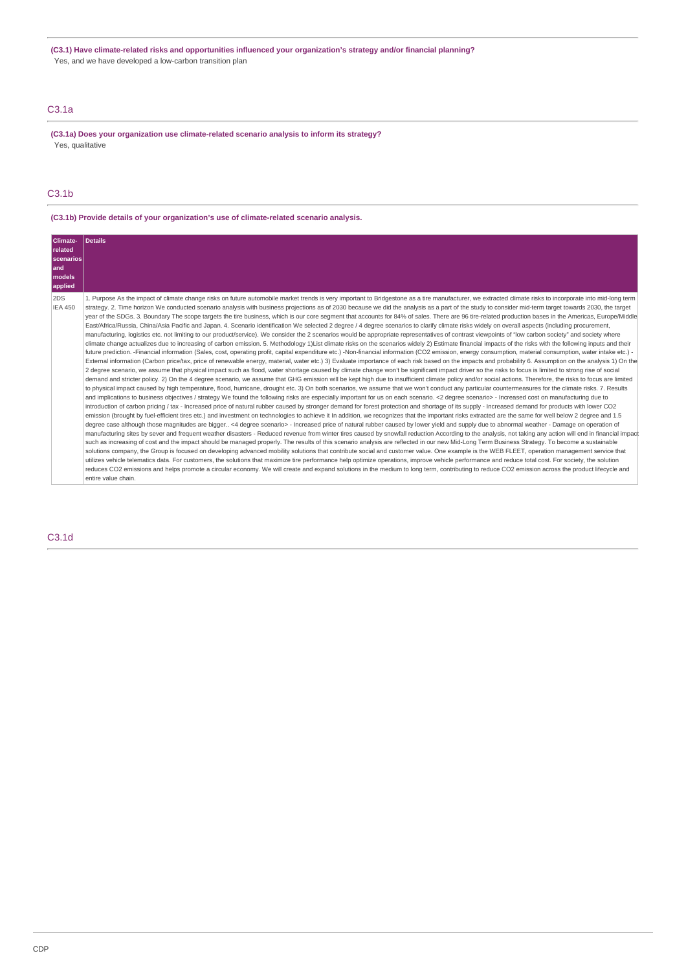**(C3.1) Have climate-related risks and opportunities influenced your organization's strategy and/or financial planning?** Yes, and we have developed a low-carbon transition plan

# C3.1a

**(C3.1a) Does your organization use climate-related scenario analysis to inform its strategy?** Yes, qualitative

# C3.1b

# **(C3.1b) Provide details of your organization's use of climate-related scenario analysis.**

| Climate-<br>related<br>scenarios<br>and<br>models<br>applied | Details                                                                                                                                                                                                                                                                                                                                                                                                                                                                                                                                                                                                                                                                                                                                                                                                                                                                                                                                                                                                                                                                                                                                                                                                                                                                                                                                                                                                                                                                                                                                                                                                                                                                                                                                                                                                                                                                                                                                                                                                                                                                                                                                                                                                                                                                                                                                                                                                                                                                                                                                                                                                                                                                                                                                                                                                                                                                                                                                                                                                                                                                                                                                                                                                                                                                                                                                                                                                                                                                                                                                                                                                                                                                                                                                                                                                                                                                                                                                                                                                                                                                                                                                                                                  |
|--------------------------------------------------------------|------------------------------------------------------------------------------------------------------------------------------------------------------------------------------------------------------------------------------------------------------------------------------------------------------------------------------------------------------------------------------------------------------------------------------------------------------------------------------------------------------------------------------------------------------------------------------------------------------------------------------------------------------------------------------------------------------------------------------------------------------------------------------------------------------------------------------------------------------------------------------------------------------------------------------------------------------------------------------------------------------------------------------------------------------------------------------------------------------------------------------------------------------------------------------------------------------------------------------------------------------------------------------------------------------------------------------------------------------------------------------------------------------------------------------------------------------------------------------------------------------------------------------------------------------------------------------------------------------------------------------------------------------------------------------------------------------------------------------------------------------------------------------------------------------------------------------------------------------------------------------------------------------------------------------------------------------------------------------------------------------------------------------------------------------------------------------------------------------------------------------------------------------------------------------------------------------------------------------------------------------------------------------------------------------------------------------------------------------------------------------------------------------------------------------------------------------------------------------------------------------------------------------------------------------------------------------------------------------------------------------------------------------------------------------------------------------------------------------------------------------------------------------------------------------------------------------------------------------------------------------------------------------------------------------------------------------------------------------------------------------------------------------------------------------------------------------------------------------------------------------------------------------------------------------------------------------------------------------------------------------------------------------------------------------------------------------------------------------------------------------------------------------------------------------------------------------------------------------------------------------------------------------------------------------------------------------------------------------------------------------------------------------------------------------------------------------------------------------------------------------------------------------------------------------------------------------------------------------------------------------------------------------------------------------------------------------------------------------------------------------------------------------------------------------------------------------------------------------------------------------------------------------------------------------------------|
| 2DS<br><b>IEA 450</b>                                        | 1. Purpose As the impact of climate change risks on future automobile market trends is very important to Bridgestone as a tire manufacturer, we extracted climate risks to incorporate into mid-long term<br>strategy. 2. Time horizon We conducted scenario analysis with business projections as of 2030 because we did the analysis as a part of the study to consider mid-term target towards 2030, the target<br>year of the SDGs. 3. Boundary The scope targets the tire business, which is our core segment that accounts for 84% of sales. There are 96 tire-related production bases in the Americas, Europe/Middle<br>East/Africa/Russia, China/Asia Pacific and Japan. 4. Scenario identification We selected 2 degree / 4 degree scenarios to clarify climate risks widely on overall aspects (including procurement,<br>manufacturing, logistics etc. not limiting to our product/service). We consider the 2 scenarios would be appropriate representatives of contrast viewpoints of "low carbon society" and society where<br>climate change actualizes due to increasing of carbon emission. 5. Methodology 1) List climate risks on the scenarios widely 2) Estimate financial impacts of the risks with the following inputs and their<br>future prediction. -Financial information (Sales, cost, operating profit, capital expenditure etc.) -Non-financial information (CO2 emission, energy consumption, material consumption, water intake etc.) -<br>External information (Carbon price/tax, price of renewable energy, material, water etc.) 3) Evaluate importance of each risk based on the impacts and probability 6. Assumption on the analysis 1) On the<br>2 degree scenario, we assume that physical impact such as flood, water shortage caused by climate change won't be significant impact driver so the risks to focus is limited to strong rise of social<br>demand and stricter policy. 2) On the 4 degree scenario, we assume that GHG emission will be kept high due to insufficient climate policy and/or social actions. Therefore, the risks to focus are limited<br>to physical impact caused by high temperature, flood, hurricane, drought etc. 3) On both scenarios, we assume that we won't conduct any particular countermeasures for the climate risks. 7. Results<br>and implications to business objectives / strategy We found the following risks are especially important for us on each scenario. <2 degree scenario> - Increased cost on manufacturing due to<br>introduction of carbon pricing / tax - Increased price of natural rubber caused by stronger demand for forest protection and shortage of its supply - Increased demand for products with lower CO2<br>emission (brought by fuel-efficient tires etc.) and investment on technologies to achieve it In addition, we recognizes that the important risks extracted are the same for well below 2 degree and 1.5<br>degree case although those magnitudes are bigger <4 degree scenario> - Increased price of natural rubber caused by lower yield and supply due to abnormal weather - Damage on operation of<br>manufacturing sites by sever and frequent weather disasters - Reduced revenue from winter tires caused by snowfall reduction According to the analysis, not taking any action will end in financial impact<br>such as increasing of cost and the impact should be managed properly. The results of this scenario analysis are reflected in our new Mid-Long Term Business Strategy. To become a sustainable<br>solutions company, the Group is focused on developing advanced mobility solutions that contribute social and customer value. One example is the WEB FLEET, operation management service that<br>utilizes vehicle telematics data. For customers, the solutions that maximize tire performance help optimize operations, improve vehicle performance and reduce total cost. For society, the solution<br>reduces CO2 emissions and helps promote a circular economy. We will create and expand solutions in the medium to long term, contributing to reduce CO2 emission across the product lifecycle and<br>entire value chain. |

# C3.1d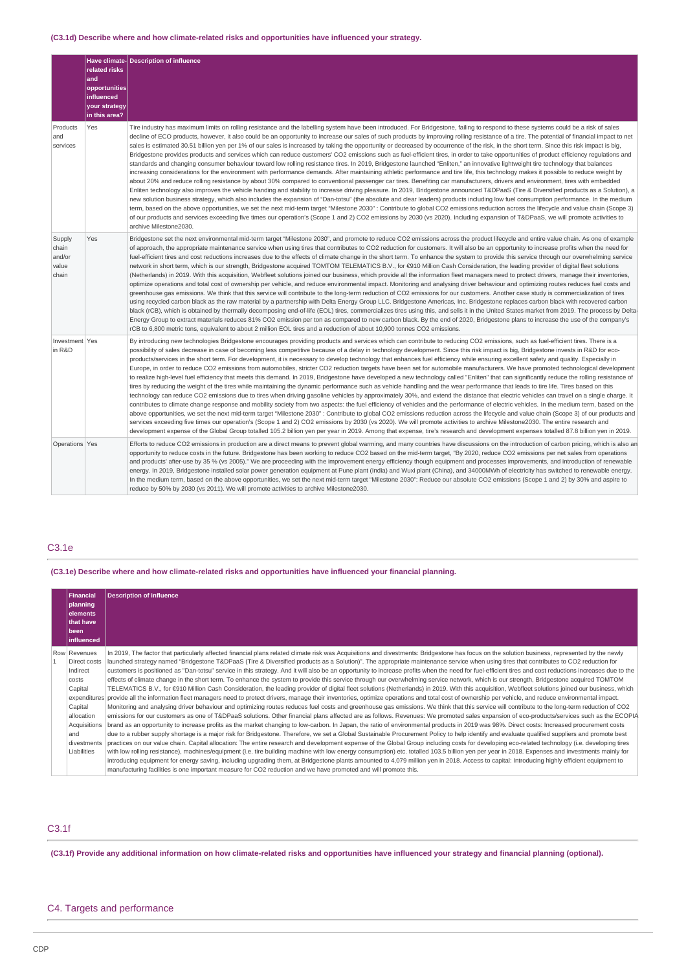# **(C3.1d) Describe where and how climate-related risks and opportunities have influenced your strategy.**

|                                             | related risks<br>and<br>opportunities<br>influenced<br>your strategy<br>in this area? | Have climate-Description of influence                                                                                                                                                                                                                                                                                                                                                                                                                                                                                                                                                                                                                                                                                                                                                                                                                                                                                                                                                                                                                                                                                                                                                                                                                                                                                                                                                                                                                                                                                                                                                                                                                                                                                                                                                                                                                                                                                                                                                                                                                                                                                           |
|---------------------------------------------|---------------------------------------------------------------------------------------|---------------------------------------------------------------------------------------------------------------------------------------------------------------------------------------------------------------------------------------------------------------------------------------------------------------------------------------------------------------------------------------------------------------------------------------------------------------------------------------------------------------------------------------------------------------------------------------------------------------------------------------------------------------------------------------------------------------------------------------------------------------------------------------------------------------------------------------------------------------------------------------------------------------------------------------------------------------------------------------------------------------------------------------------------------------------------------------------------------------------------------------------------------------------------------------------------------------------------------------------------------------------------------------------------------------------------------------------------------------------------------------------------------------------------------------------------------------------------------------------------------------------------------------------------------------------------------------------------------------------------------------------------------------------------------------------------------------------------------------------------------------------------------------------------------------------------------------------------------------------------------------------------------------------------------------------------------------------------------------------------------------------------------------------------------------------------------------------------------------------------------|
| Products<br>and<br>services                 | Yes                                                                                   | Tire industry has maximum limits on rolling resistance and the labelling system have been introduced. For Bridgestone, failing to respond to these systems could be a risk of sales<br>decline of ECO products, however, it also could be an opportunity to increase our sales of such products by improving rolling resistance of a tire. The potential of financial impact to net<br>sales is estimated 30.51 billion yen per 1% of our sales is increased by taking the opportunity or decreased by occurrence of the risk, in the short term. Since this risk impact is big,<br>Bridgestone provides products and services which can reduce customers' CO2 emissions such as fuel-efficient tires, in order to take opportunities of product efficiency requlations and<br>standards and changing consumer behaviour toward low rolling resistance tires. In 2019, Bridgestone launched "Enliten," an innovative lightweight tire technology that balances<br>increasing considerations for the environment with performance demands. After maintaining athletic performance and tire life, this technology makes it possible to reduce weight by<br>about 20% and reduce rolling resistance by about 30% compared to conventional passenger car tires. Benefiting car manufacturers, drivers and environment, tires with embedded<br>Enliten technology also improves the vehicle handing and stability to increase driving pleasure. In 2019, Bridgestone announced T&DPaaS (Tire & Diversified products as a Solution), a<br>new solution business strategy, which also includes the expansion of "Dan-totsu" (the absolute and clear leaders) products including low fuel consumption performance. In the medium<br>term, based on the above opportunities, we set the next mid-term target "Milestone 2030": Contribute to global CO2 emissions reduction across the lifecycle and value chain (Scope 3)<br>of our products and services exceeding five times our operation's (Scope 1 and 2) CO2 emissions by 2030 (vs 2020). Including expansion of T&DPaaS, we will promote activities to<br>archive Milestone2030. |
| Supply<br>chain<br>and/or<br>value<br>chain | Yes                                                                                   | Bridgestone set the next environmental mid-term target "Milestone 2030", and promote to reduce CO2 emissions across the product lifecycle and entire value chain. As one of example<br>of approach, the appropriate maintenance service when using tires that contributes to CO2 reduction for customers. It will also be an opportunity to increase profits when the need for<br>fuel-efficient tires and cost reductions increases due to the effects of climate change in the short term. To enhance the system to provide this service through our overwhelming service<br>network in short term, which is our strength, Bridgestone acquired TOMTOM TELEMATICS B.V., for €910 Million Cash Consideration, the leading provider of digital fleet solutions<br>(Netherlands) in 2019. With this acquisition, Webfleet solutions joined our business, which provide all the information fleet managers need to protect drivers, manage their inventories,<br>optimize operations and total cost of ownership per vehicle, and reduce environmental impact. Monitoring and analysing driver behaviour and optimizing routes reduces fuel costs and<br>greenhouse gas emissions. We think that this service will contribute to the long-term reduction of CO2 emissions for our customers. Another case study is commercialization of tires<br>using recycled carbon black as the raw material by a partnership with Delta Energy Group LLC. Bridgestone Americas, Inc. Bridgestone replaces carbon black with recovered carbon<br>black (rCB), which is obtained by thermally decomposing end-of-life (EOL) tires, commercializes tires using this, and sells it in the United States market from 2019. The process by Delta-<br>Energy Group to extract materials reduces 81% CO2 emission per ton as compared to new carbon black. By the end of 2020, Bridgestone plans to increase the use of the company's<br>rCB to 6,800 metric tons, equivalent to about 2 million EOL tires and a reduction of about 10,900 tonnes CO2 emissions.                                                                                     |
| Investment Yes<br>in R&D                    |                                                                                       | By introducing new technologies Bridgestone encourages providing products and services which can contribute to reducing CO2 emissions, such as fuel-efficient tires. There is a<br>possibility of sales decrease in case of becoming less competitive because of a delay in technology development. Since this risk impact is big, Bridgestone invests in R&D for eco-<br>products/services in the short term. For development, it is necessary to develop technology that enhances fuel efficiency while ensuring excellent safety and quality. Especially in<br>Europe, in order to reduce CO2 emissions from automobiles, stricter CO2 reduction targets have been set for automobile manufacturers. We have promoted technological development<br>to realize high-level fuel efficiency that meets this demand. In 2019, Bridgestone have developed a new technology called "Enliten" that can significantly reduce the rolling resistance of<br>tires by reducing the weight of the tires while maintaining the dynamic performance such as vehicle handling and the wear performance that leads to tire life. Tires based on this<br>technology can reduce CO2 emissions due to tires when driving gasoline vehicles by approximately 30%, and extend the distance that electric vehicles can travel on a single charge. It<br>contributes to climate change response and mobility society from two aspects: the fuel efficiency of vehicles and the performance of electric vehicles. In the medium term, based on the<br>above opportunities, we set the next mid-term target "Milestone 2030": Contribute to global CO2 emissions reduction across the lifecycle and value chain (Scope 3) of our products and<br>services exceeding five times our operation's (Scope 1 and 2) CO2 emissions by 2030 (vs 2020). We will promote activities to archive Milestone2030. The entire research and<br>development expense of the Global Group totalled 105.2 billion yen per year in 2019. Among that expense, tire's research and development expenses totalled 87.8 billion yen in 2019.                                  |
| Operations Yes                              |                                                                                       | Efforts to reduce CO2 emissions in production are a direct means to prevent global warming, and many countries have discussions on the introduction of carbon pricing, which is also an<br>opportunity to reduce costs in the future. Bridgestone has been working to reduce CO2 based on the mid-term target, "By 2020, reduce CO2 emissions per net sales from operations<br>and products' after-use by 35 % (vs 2005)." We are proceeding with the improvement energy efficiency though equipment and processes improvements, and introduction of renewable<br>energy. In 2019, Bridgestone installed solar power generation equipment at Pune plant (India) and Wuxi plant (China), and 34000MWh of electricity has switched to renewable energy.<br>In the medium term, based on the above opportunities, we set the next mid-term target "Milestone 2030": Reduce our absolute CO2 emissions (Scope 1 and 2) by 30% and aspire to<br>reduce by 50% by 2030 (vs 2011). We will promote activities to archive Milestone2030.                                                                                                                                                                                                                                                                                                                                                                                                                                                                                                                                                                                                                                                                                                                                                                                                                                                                                                                                                                                                                                                                                                |

# C3.1e

**(C3.1e) Describe where and how climate-related risks and opportunities have influenced your financial planning.**

| Financial<br>planning<br>elements<br>that have<br>been<br>influenced | <b>Description of influence</b>                                                                                                                                                                                                                                                                                                                                                                  |
|----------------------------------------------------------------------|--------------------------------------------------------------------------------------------------------------------------------------------------------------------------------------------------------------------------------------------------------------------------------------------------------------------------------------------------------------------------------------------------|
| Row Revenues<br>Direct costs                                         | In 2019, The factor that particularly affected financial plans related climate risk was Acquisitions and divestments: Bridgestone has focus on the solution business, represented by the newly                                                                                                                                                                                                   |
| Indirect                                                             | launched strategy named "Bridgestone T&DPaaS (Tire & Diversified products as a Solution)". The appropriate maintenance service when using tires that contributes to CO2 reduction for<br>customers is positioned as "Dan-totsu" service in this strategy. And it will also be an opportunity to increase profits when the need for fuel-efficient tires and cost reductions increases due to the |
| costs                                                                | effects of climate change in the short term. To enhance the system to provide this service through our overwhelming service network, which is our strength, Bridgestone acquired TOMTOM                                                                                                                                                                                                          |
| Capital                                                              | TELEMATICS B.V., for €910 Million Cash Consideration, the leading provider of digital fleet solutions (Netherlands) in 2019. With this acquisition, Webfleet solutions joined our business, which                                                                                                                                                                                                |
|                                                                      | expenditures provide all the information fleet managers need to protect drivers, manage their inventories, optimize operations and total cost of ownership per vehicle, and reduce environmental impact.                                                                                                                                                                                         |
| Capital                                                              | Monitoring and analysing driver behaviour and optimizing routes reduces fuel costs and greenhouse gas emissions. We think that this service will contribute to the long-term reduction of CO2                                                                                                                                                                                                    |
| allocation                                                           | emissions for our customers as one of T&DPaaS solutions. Other financial plans affected are as follows. Revenues: We promoted sales expansion of eco-products/services such as the ECOPIA                                                                                                                                                                                                        |
| Acquisitions                                                         | brand as an opportunity to increase profits as the market changing to low-carbon. In Japan, the ratio of environmental products in 2019 was 98%. Direct costs: Increased procurement costs                                                                                                                                                                                                       |
| and                                                                  | due to a rubber supply shortage is a major risk for Bridgestone. Therefore, we set a Global Sustainable Procurement Policy to help identify and evaluate qualified suppliers and promote best                                                                                                                                                                                                    |
| divestments                                                          | practices on our value chain. Capital allocation: The entire research and development expense of the Global Group including costs for developing eco-related technology (i.e. developing tires                                                                                                                                                                                                   |
| Liabilities                                                          | with low rolling resistance), machines/equipment (i.e. tire building machine with low energy consumption) etc. totalled 103.5 billion yen per year in 2018. Expenses and investments mainly for                                                                                                                                                                                                  |
|                                                                      | introducing equipment for energy saving, including upgrading them, at Bridgestone plants amounted to 4,079 million yen in 2018. Access to capital: Introducing highly efficient equipment to                                                                                                                                                                                                     |
|                                                                      | manufacturing facilities is one important measure for CO2 reduction and we have promoted and will promote this.                                                                                                                                                                                                                                                                                  |

# C3.1f

**(C3.1f) Provide any additional information on how climate-related risks and opportunities have influenced your strategy and financial planning (optional).**

# C4. Targets and performance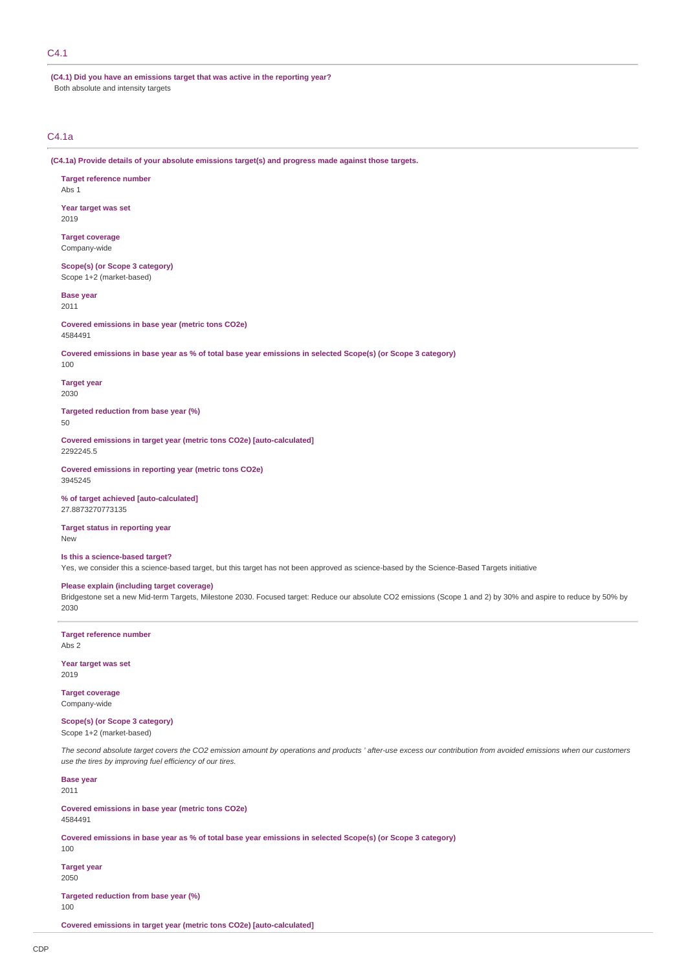# C4.1

**(C4.1) Did you have an emissions target that was active in the reporting year?** Both absolute and intensity targets

# C4.1a

**(C4.1a) Provide details of your absolute emissions target(s) and progress made against those targets.**

**Target reference number** Abs 1

**Year target was set** 2019

**Target coverage** Company-wide

**Scope(s) (or Scope 3 category)** Scope 1+2 (market-based)

# **Base year**

2011

**Covered emissions in base year (metric tons CO2e)** 4584491

**Covered emissions in base year as % of total base year emissions in selected Scope(s) (or Scope 3 category)**

100

**Target year** 2030

**Targeted reduction from base year (%)** 50

**Covered emissions in target year (metric tons CO2e) [auto-calculated]** 2292245.5

**Covered emissions in reporting year (metric tons CO2e)** 3945245

**% of target achieved [auto-calculated]** 27.8873270773135

**Target status in reporting year** New

## **Is this a science-based target?**

Yes, we consider this a science-based target, but this target has not been approved as science-based by the Science-Based Targets initiative

# **Please explain (including target coverage)**

Bridgestone set a new Mid-term Targets, Milestone 2030. Focused target: Reduce our absolute CO2 emissions (Scope 1 and 2) by 30% and aspire to reduce by 50% by 2030

**Target reference number** Abs 2

**Year target was set** 2019

**Target coverage** Company-wide

# **Scope(s) (or Scope 3 category)**

Scope 1+2 (market-based)

*The second absolute target covers the CO2 emission amount by operations and products ' after-use excess our contribution from avoided emissions when our customers use the tires by improving fuel efficiency of our tires.*

#### **Base year** 2011

**Covered emissions in base year (metric tons CO2e)** 4584491

**Covered emissions in base year as % of total base year emissions in selected Scope(s) (or Scope 3 category)**

**Target year**

100

2050

**Targeted reduction from base year (%)** 100

**Covered emissions in target year (metric tons CO2e) [auto-calculated]**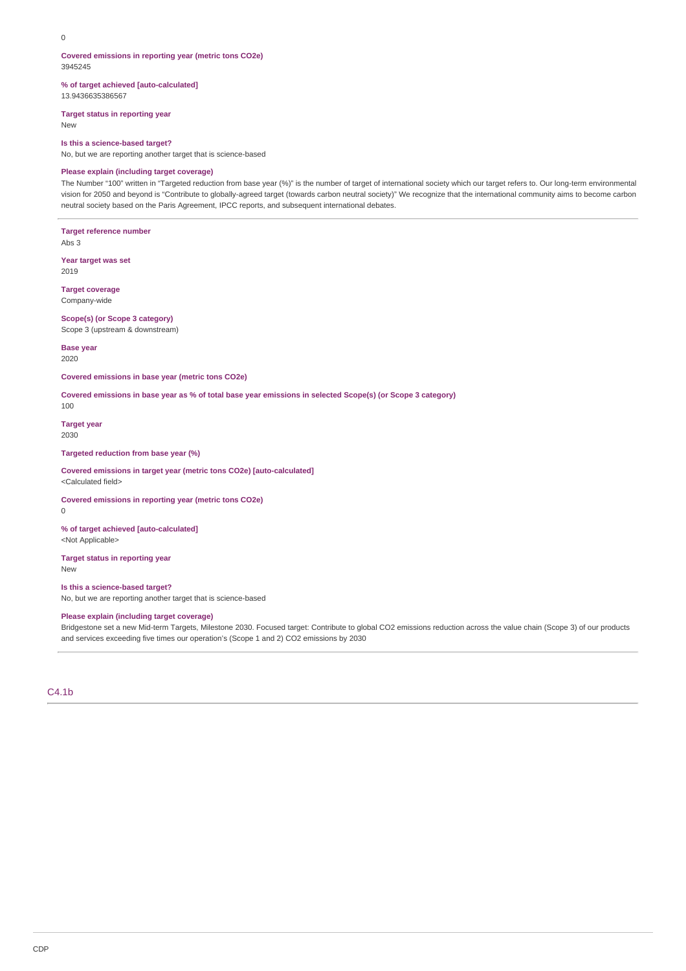#### **Covered emissions in reporting year (metric tons CO2e)** 3945245

**% of target achieved [auto-calculated]** 13.9436635386567

**Target status in reporting year**

New

#### **Is this a science-based target?**

No, but we are reporting another target that is science-based

# **Please explain (including target coverage)**

The Number "100" written in "Targeted reduction from base year (%)" is the number of target of international society which our target refers to. Our long-term environmental vision for 2050 and beyond is "Contribute to globally-agreed target (towards carbon neutral society)" We recognize that the international community aims to become carbon neutral society based on the Paris Agreement, IPCC reports, and subsequent international debates.

**Target reference number** Abs 3

**Year target was set** 2019

**Target coverage** Company-wide

# **Scope(s) (or Scope 3 category)**

Scope 3 (upstream & downstream)

**Base year** 2020

**Covered emissions in base year (metric tons CO2e)**

**Covered emissions in base year as % of total base year emissions in selected Scope(s) (or Scope 3 category)**

**Target year** 2030

100

**Targeted reduction from base year (%)**

**Covered emissions in target year (metric tons CO2e) [auto-calculated]** <Calculated field>

**Covered emissions in reporting year (metric tons CO2e)** 0

**% of target achieved [auto-calculated]** <Not Applicable>

**Target status in reporting year** New

# **Is this a science-based target?**

No, but we are reporting another target that is science-based

# **Please explain (including target coverage)**

Bridgestone set a new Mid-term Targets, Milestone 2030. Focused target: Contribute to global CO2 emissions reduction across the value chain (Scope 3) of our products and services exceeding five times our operation's (Scope 1 and 2) CO2 emissions by 2030

C4.1b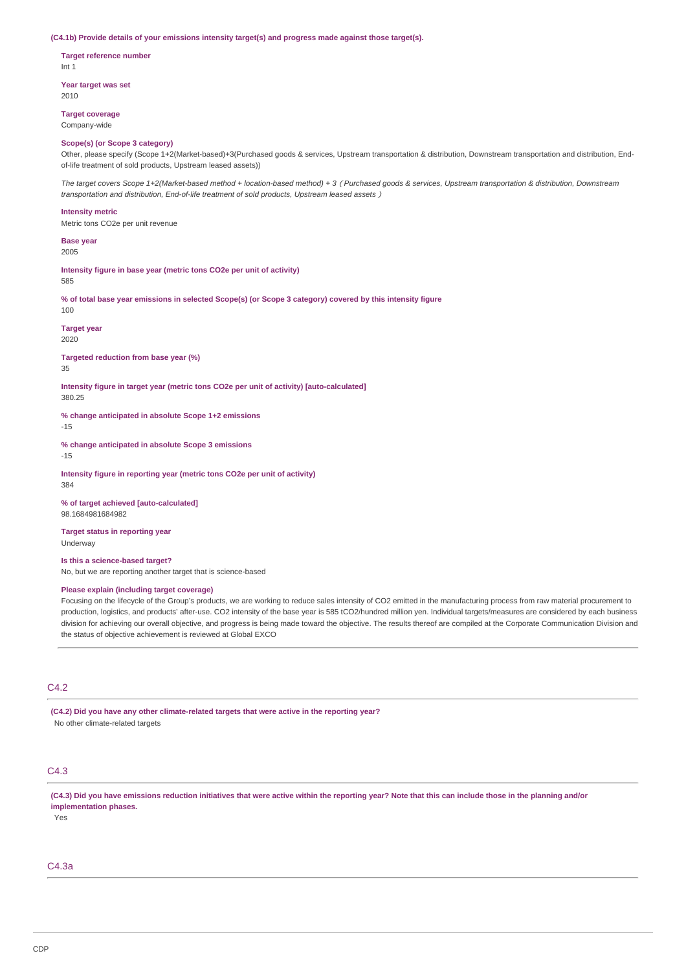#### **(C4.1b) Provide details of your emissions intensity target(s) and progress made against those target(s).**

**Target reference number** Int 1

**Year target was set** 2010

**Target coverage**

Company-wide

#### **Scope(s) (or Scope 3 category)**

Other, please specify (Scope 1+2(Market-based)+3(Purchased goods & services, Upstream transportation & distribution, Downstream transportation and distribution, Endof-life treatment of sold products, Upstream leased assets))

*The target covers Scope 1+2(Market-based method + location-based method) + 3*(*Purchased goods & services, Upstream transportation & distribution, Downstream transportation and distribution, End-of-life treatment of sold products, Upstream leased assets*)

#### **Intensity metric**

Metric tons CO2e per unit revenue

**Base year** 2005

**Intensity figure in base year (metric tons CO2e per unit of activity)** 585

**% of total base year emissions in selected Scope(s) (or Scope 3 category) covered by this intensity figure** 100

**Target year** 2020

**Targeted reduction from base year (%)** 35

**Intensity figure in target year (metric tons CO2e per unit of activity) [auto-calculated]** 380.25

**% change anticipated in absolute Scope 1+2 emissions**

-15

**% change anticipated in absolute Scope 3 emissions**

-15

**Intensity figure in reporting year (metric tons CO2e per unit of activity)** 384

**% of target achieved [auto-calculated]** 98.1684981684982

**Target status in reporting year** Underway

**Is this a science-based target?**

No, but we are reporting another target that is science-based

# **Please explain (including target coverage)**

Focusing on the lifecycle of the Group's products, we are working to reduce sales intensity of CO2 emitted in the manufacturing process from raw material procurement to production, logistics, and products' after-use. CO2 intensity of the base year is 585 tCO2/hundred million yen. Individual targets/measures are considered by each business division for achieving our overall objective, and progress is being made toward the objective. The results thereof are compiled at the Corporate Communication Division and the status of objective achievement is reviewed at Global EXCO

# C4.2

**(C4.2) Did you have any other climate-related targets that were active in the reporting year?** No other climate-related targets

# C4.3

**(C4.3) Did you have emissions reduction initiatives that were active within the reporting year? Note that this can include those in the planning and/or implementation phases.**

Yes

C4.3a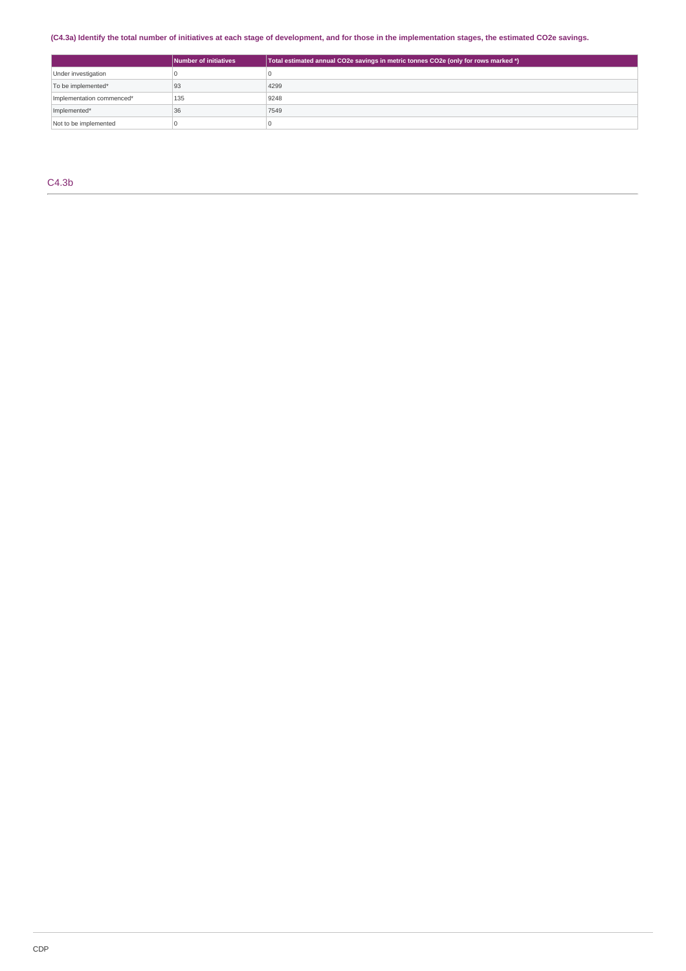# **(C4.3a) Identify the total number of initiatives at each stage of development, and for those in the implementation stages, the estimated CO2e savings.**

|                           | Number of initiatives | Total estimated annual CO2e savings in metric tonnes CO2e (only for rows marked *) |
|---------------------------|-----------------------|------------------------------------------------------------------------------------|
| Under investigation       |                       |                                                                                    |
| To be implemented*        | 93                    | 4299                                                                               |
| Implementation commenced* | 135                   | 9248                                                                               |
| Implemented*              | 36                    | 7549                                                                               |
| Not to be implemented     |                       |                                                                                    |

C4.3b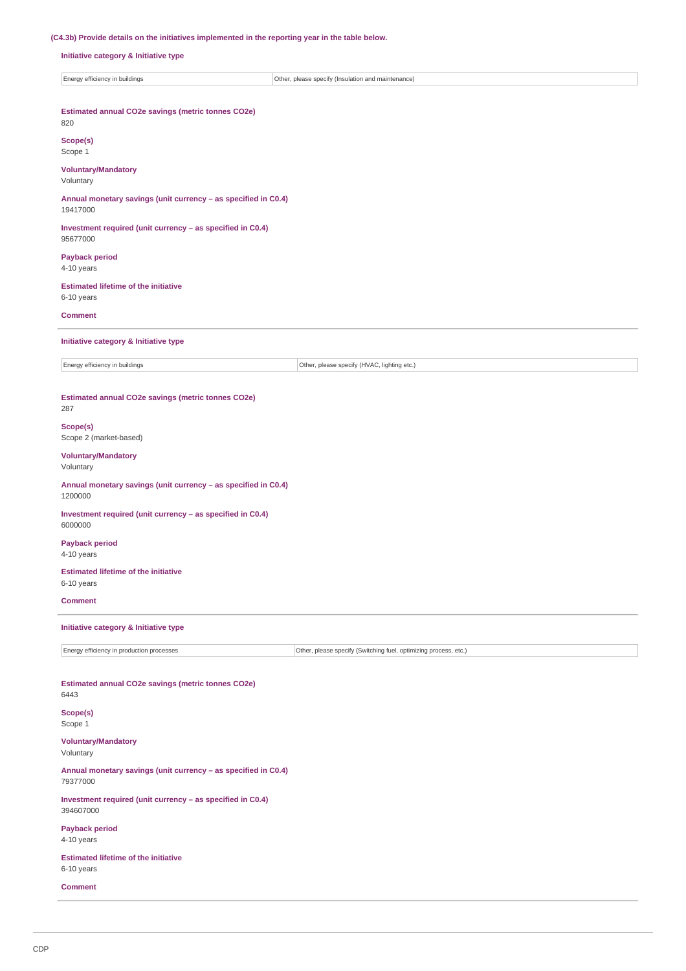# **(C4.3b) Provide details on the initiatives implemented in the reporting year in the table below.**

**Initiative category & Initiative type**

| Energy efficiency in buildings | Other<br>. please specify (Insulation and<br>l maintenance) |
|--------------------------------|-------------------------------------------------------------|
|                                |                                                             |

| Estimated annual CO2e savings (metric tonnes CO2e)<br>820                  |                                                                  |
|----------------------------------------------------------------------------|------------------------------------------------------------------|
| Scope(s)<br>Scope 1                                                        |                                                                  |
| <b>Voluntary/Mandatory</b><br>Voluntary                                    |                                                                  |
| Annual monetary savings (unit currency - as specified in C0.4)<br>19417000 |                                                                  |
| Investment required (unit currency - as specified in C0.4)<br>95677000     |                                                                  |
| <b>Payback period</b><br>4-10 years                                        |                                                                  |
| <b>Estimated lifetime of the initiative</b><br>6-10 years                  |                                                                  |
| <b>Comment</b>                                                             |                                                                  |
| Initiative category & Initiative type                                      |                                                                  |
| Energy efficiency in buildings                                             | Other, please specify (HVAC, lighting etc.)                      |
|                                                                            |                                                                  |
| Estimated annual CO2e savings (metric tonnes CO2e)<br>287                  |                                                                  |
| Scope(s)<br>Scope 2 (market-based)                                         |                                                                  |
| <b>Voluntary/Mandatory</b><br>Voluntary                                    |                                                                  |
| Annual monetary savings (unit currency - as specified in C0.4)<br>1200000  |                                                                  |
| Investment required (unit currency - as specified in C0.4)<br>6000000      |                                                                  |
| <b>Payback period</b><br>4-10 years                                        |                                                                  |
| <b>Estimated lifetime of the initiative</b><br>6-10 years                  |                                                                  |
| <b>Comment</b>                                                             |                                                                  |
| Initiative category & Initiative type                                      |                                                                  |
| Energy efficiency in production processes                                  | Other, please specify (Switching fuel, optimizing process, etc.) |
|                                                                            |                                                                  |
| Estimated annual CO2e savings (metric tonnes CO2e)<br>6443                 |                                                                  |
| Scope(s)<br>Scope 1                                                        |                                                                  |
| <b>Voluntary/Mandatory</b><br>Voluntary                                    |                                                                  |
| Annual monetary savings (unit currency - as specified in C0.4)<br>79377000 |                                                                  |
| Investment required (unit currency - as specified in C0.4)<br>394607000    |                                                                  |
| <b>Payback period</b><br>4-10 years                                        |                                                                  |
| <b>Estimated lifetime of the initiative</b><br>6-10 years                  |                                                                  |
| <b>Comment</b>                                                             |                                                                  |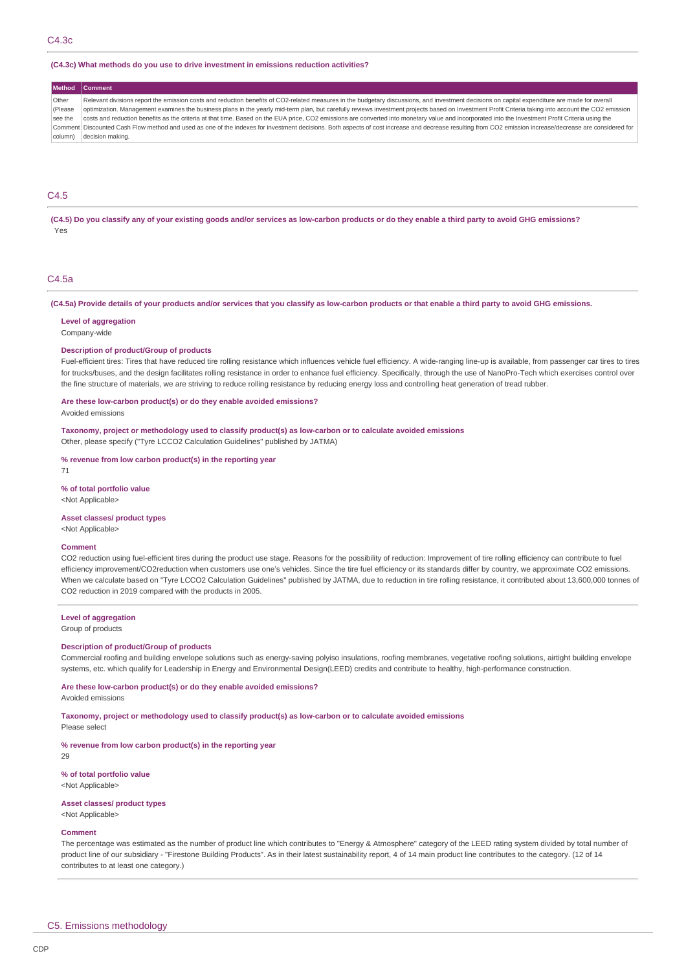#### **(C4.3c) What methods do you use to drive investment in emissions reduction activities?**

## **Method Com**

Other (Please see the Comment Discounted Cash Flow method and used as one of the indexes for investment decisions. Both aspects of cost increase and decrease resulting from CO2 emission increase/decrease are considered for column) decision making. Relevant divisions report the emission costs and reduction benefits of CO2-related measures in the budgetary discussions, and investment decisions on capital expenditure are made for overall optimization. Management examines the business plans in the yearly mid-term plan, but carefully reviews investment projects based on Investment Profit Criteria taking into account the CO2 emission costs and reduction benefits as the criteria at that time. Based on the EUA price, CO2 emissions are converted into monetary value and incorporated into the Investment Profit Criteria using the

# C4.5

**(C4.5) Do you classify any of your existing goods and/or services as low-carbon products or do they enable a third party to avoid GHG emissions?** Yes

# C4.5a

**(C4.5a) Provide details of your products and/or services that you classify as low-carbon products or that enable a third party to avoid GHG emissions.**

#### **Level of aggregation**

Company-wide

#### **Description of product/Group of products**

Fuel-efficient tires: Tires that have reduced tire rolling resistance which influences vehicle fuel efficiency. A wide-ranging line-up is available, from passenger car tires to tires for trucks/buses, and the design facilitates rolling resistance in order to enhance fuel efficiency. Specifically, through the use of NanoPro-Tech which exercises control over the fine structure of materials, we are striving to reduce rolling resistance by reducing energy loss and controlling heat generation of tread rubber.

#### **Are these low-carbon product(s) or do they enable avoided emissions?**

Avoided emissions

**Taxonomy, project or methodology used to classify product(s) as low-carbon or to calculate avoided emissions** Other, please specify ("Tyre LCCO2 Calculation Guidelines" published by JATMA)

# **% revenue from low carbon product(s) in the reporting year**

71

# **% of total portfolio value**

<Not Applicable>

## **Asset classes/ product types**

<Not Applicable>

### **Comment**

CO2 reduction using fuel-efficient tires during the product use stage. Reasons for the possibility of reduction: Improvement of tire rolling efficiency can contribute to fuel efficiency improvement/CO2reduction when customers use one's vehicles. Since the tire fuel efficiency or its standards differ by country, we approximate CO2 emissions. When we calculate based on "Tyre LCCO2 Calculation Guidelines" published by JATMA, due to reduction in tire rolling resistance, it contributed about 13,600,000 tonnes of CO2 reduction in 2019 compared with the products in 2005.

# **Level of aggregation**

Group of products

## **Description of product/Group of products**

Commercial roofing and building envelope solutions such as energy-saving polyiso insulations, roofing membranes, vegetative roofing solutions, airtight building envelope systems, etc. which qualify for Leadership in Energy and Environmental Design(LEED) credits and contribute to healthy, high-performance construction.

# **Are these low-carbon product(s) or do they enable avoided emissions?**

Avoided emissions

Please select

**Taxonomy, project or methodology used to classify product(s) as low-carbon or to calculate avoided emissions**

#### **% revenue from low carbon product(s) in the reporting year**

29

#### **% of total portfolio value** <Not Applicable>

#### **Asset classes/ product types**

<Not Applicable>

# **Comment**

The percentage was estimated as the number of product line which contributes to "Energy & Atmosphere" category of the LEED rating system divided by total number of product line of our subsidiary - "Firestone Building Products". As in their latest sustainability report, 4 of 14 main product line contributes to the category. (12 of 14 contributes to at least one category.)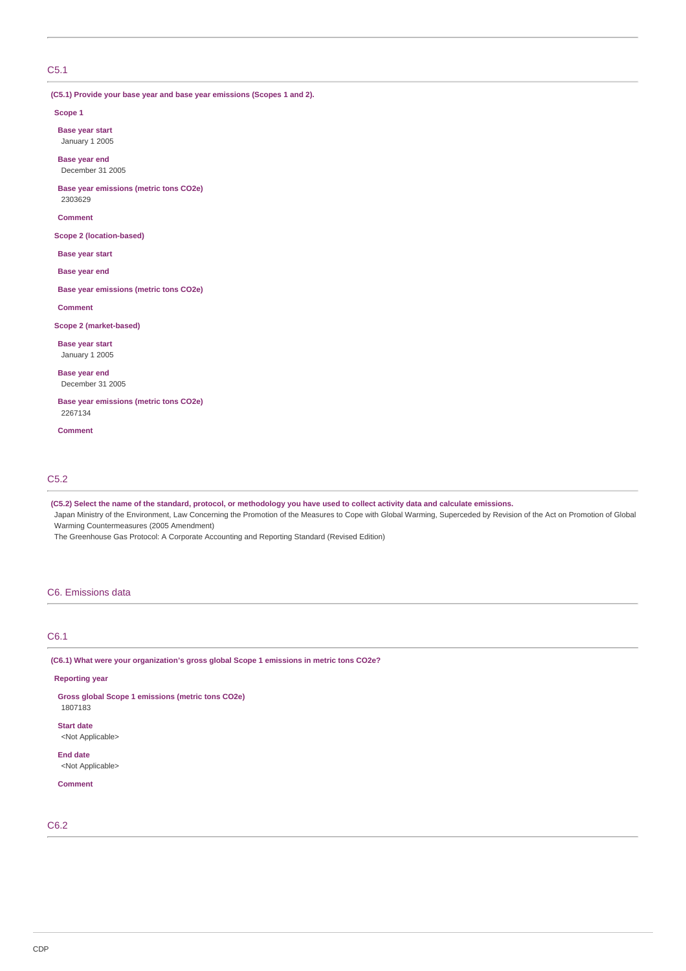# C5.1

**(C5.1) Provide your base year and base year emissions (Scopes 1 and 2).**

#### **Scope 1**

**Base year start** January 1 2005

**Base year end** December 31 2005

**Base year emissions (metric tons CO2e)** 2303629

**Comment**

**Scope 2 (location-based)**

**Base year start**

**Base year end**

**Base year emissions (metric tons CO2e)**

**Comment**

**Scope 2 (market-based)**

**Base year start** January 1 2005

**Base year end** December 31 2005

**Base year emissions (metric tons CO2e)** 2267134

**Comment**

# C5.2

**(C5.2) Select the name of the standard, protocol, or methodology you have used to collect activity data and calculate emissions.**

Japan Ministry of the Environment, Law Concerning the Promotion of the Measures to Cope with Global Warming, Superceded by Revision of the Act on Promotion of Global Warming Countermeasures (2005 Amendment)

The Greenhouse Gas Protocol: A Corporate Accounting and Reporting Standard (Revised Edition)

# C6. Emissions data

# C6.1

**(C6.1) What were your organization's gross global Scope 1 emissions in metric tons CO2e?**

### **Reporting year**

**Gross global Scope 1 emissions (metric tons CO2e)** 1807183

**Start date**

<Not Applicable>

**End date** <Not Applicable>

# **Comment**

# C6.2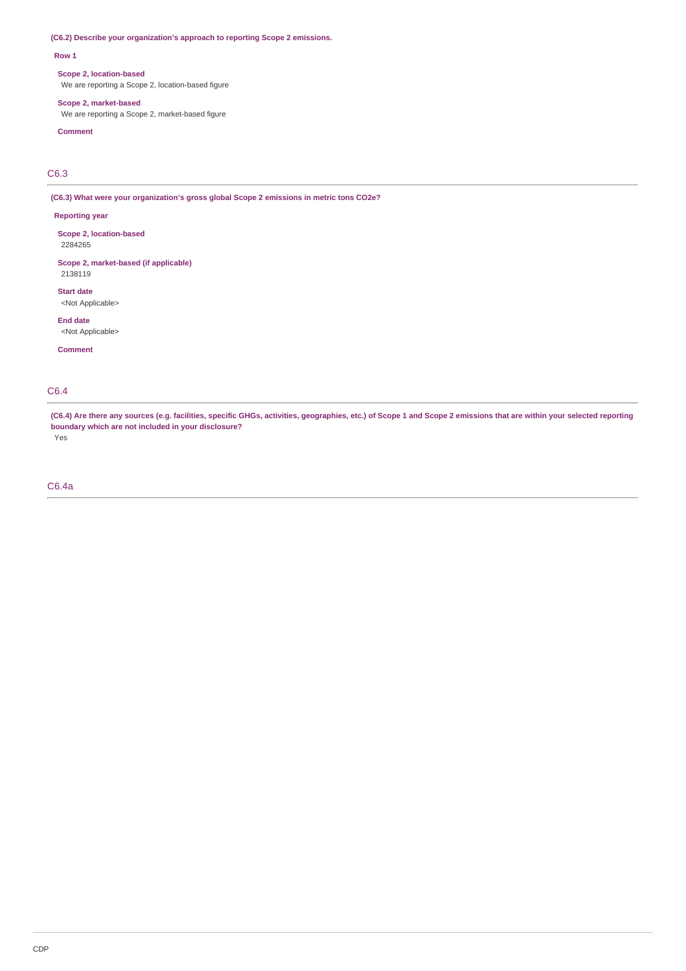# **(C6.2) Describe your organization's approach to reporting Scope 2 emissions.**

## **Row 1**

## **Scope 2, location-based**

We are reporting a Scope 2, location-based figure

## **Scope 2, market-based**

We are reporting a Scope 2, market-based figure

# **Comment**

C6.3

**(C6.3) What were your organization's gross global Scope 2 emissions in metric tons CO2e?**

# **Reporting year**

**Scope 2, location-based** 2284265

**Scope 2, market-based (if applicable)** 2138119

**Start date** <Not Applicable>

**End date** <Not Applicable>

**Comment**

# C6.4

**(C6.4) Are there any sources (e.g. facilities, specific GHGs, activities, geographies, etc.) of Scope 1 and Scope 2 emissions that are within your selected reporting boundary which are not included in your disclosure?**

Yes

# C6.4a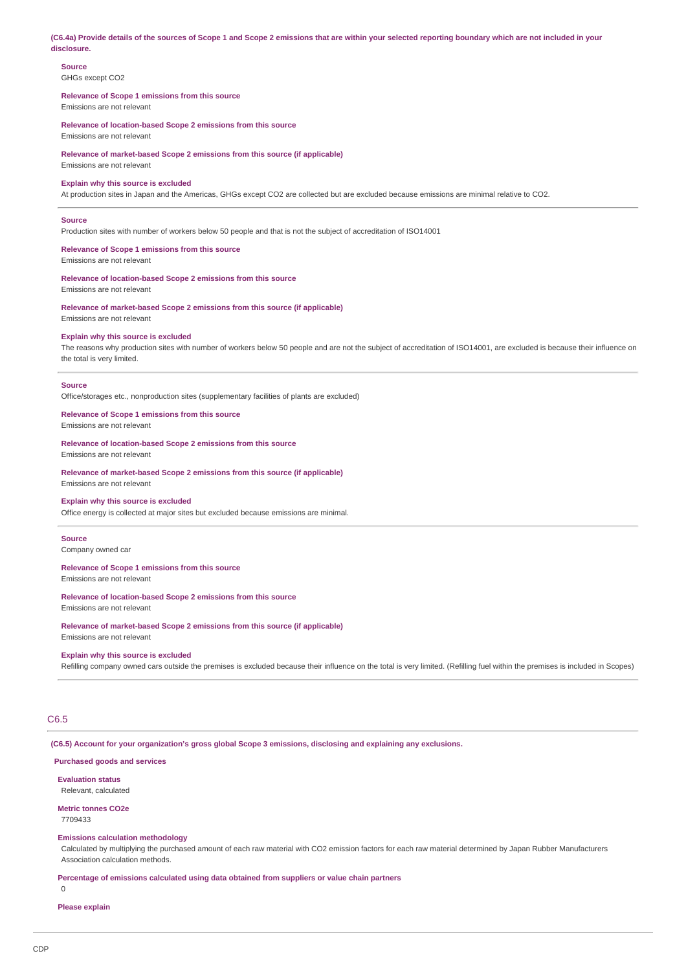**(C6.4a) Provide details of the sources of Scope 1 and Scope 2 emissions that are within your selected reporting boundary which are not included in your disclosure.**

# **Source**

GHGs except CO2

## **Relevance of Scope 1 emissions from this source** Emissions are not relevant

**Relevance of location-based Scope 2 emissions from this source** Emissions are not relevant

**Relevance of market-based Scope 2 emissions from this source (if applicable)** Emissions are not relevant

# **Explain why this source is excluded**

At production sites in Japan and the Americas, GHGs except CO2 are collected but are excluded because emissions are minimal relative to CO2.

## **Source**

Production sites with number of workers below 50 people and that is not the subject of accreditation of ISO14001

# **Relevance of Scope 1 emissions from this source**

Emissions are not relevant

# **Relevance of location-based Scope 2 emissions from this source**

Emissions are not relevant

**Relevance of market-based Scope 2 emissions from this source (if applicable)** Emissions are not relevant

#### **Explain why this source is excluded**

The reasons why production sites with number of workers below 50 people and are not the subject of accreditation of ISO14001, are excluded is because their influence on the total is very limited.

#### **Source**

Office/storages etc., nonproduction sites (supplementary facilities of plants are excluded)

#### **Relevance of Scope 1 emissions from this source**

Emissions are not relevant

**Relevance of location-based Scope 2 emissions from this source**

Emissions are not relevant

**Relevance of market-based Scope 2 emissions from this source (if applicable)** Emissions are not relevant

# **Explain why this source is excluded**

Office energy is collected at major sites but excluded because emissions are minimal.

#### **Source**

Company owned car

## **Relevance of Scope 1 emissions from this source**

# Emissions are not relevant

# **Relevance of location-based Scope 2 emissions from this source**

Emissions are not relevant

# **Relevance of market-based Scope 2 emissions from this source (if applicable)**

Emissions are not relevant

## **Explain why this source is excluded**

Refilling company owned cars outside the premises is excluded because their influence on the total is very limited. (Refilling fuel within the premises is included in Scopes)

# C6.5

**(C6.5) Account for your organization's gross global Scope 3 emissions, disclosing and explaining any exclusions.**

# **Purchased goods and services**

# **Evaluation status**

Relevant, calculated

**Metric tonnes CO2e** 7709433

# **Emissions calculation methodology**

Calculated by multiplying the purchased amount of each raw material with CO2 emission factors for each raw material determined by Japan Rubber Manufacturers Association calculation methods.

**Percentage of emissions calculated using data obtained from suppliers or value chain partners**  $\theta$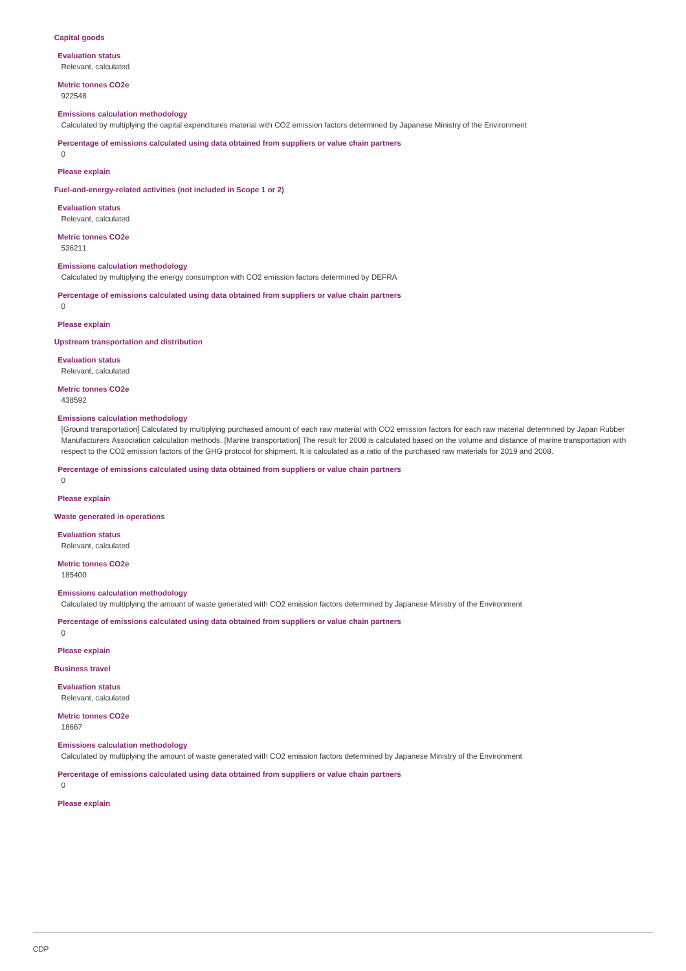## **Capital goods**

**Evaluation status** Relevant, calculated

**Metric tonnes CO2e** 922548

## **Emissions calculation methodology**

Calculated by multiplying the capital expenditures material with CO2 emission factors determined by Japanese Ministry of the Environment

**Percentage of emissions calculated using data obtained from suppliers or value chain partners**

 $\Omega$ 

## **Please explain**

**Fuel-and-energy-related activities (not included in Scope 1 or 2)**

**Evaluation status** Relevant, calculated

**Metric tonnes CO2e** 536211

#### **Emissions calculation methodology**

Calculated by multiplying the energy consumption with CO2 emission factors determined by DEFRA

**Percentage of emissions calculated using data obtained from suppliers or value chain partners**  $\cap$ 

**Please explain**

**Upstream transportation and distribution**

**Evaluation status** Relevant, calculated

**Metric tonnes CO2e**

438592

# **Emissions calculation methodology**

[Ground transportation] Calculated by multiplying purchased amount of each raw material with CO2 emission factors for each raw material determined by Japan Rubber Manufacturers Association calculation methods. [Marine transportation] The result for 2008 is calculated based on the volume and distance of marine transportation with respect to the CO2 emission factors of the GHG protocol for shipment. It is calculated as a ratio of the purchased raw materials for 2019 and 2008.

**Percentage of emissions calculated using data obtained from suppliers or value chain partners**

 $\Omega$ 

## **Please explain**

**Waste generated in operations**

**Evaluation status** Relevant, calculated

**Metric tonnes CO2e**

185400

**Emissions calculation methodology**

Calculated by multiplying the amount of waste generated with CO2 emission factors determined by Japanese Ministry of the Environment

**Percentage of emissions calculated using data obtained from suppliers or value chain partners**

 $\Omega$ 

**Please explain**

**Business travel**

**Evaluation status** Relevant, calculated

**Metric tonnes CO2e** 18667

#### **Emissions calculation methodology**

Calculated by multiplying the amount of waste generated with CO2 emission factors determined by Japanese Ministry of the Environment

**Percentage of emissions calculated using data obtained from suppliers or value chain partners**

 $\cap$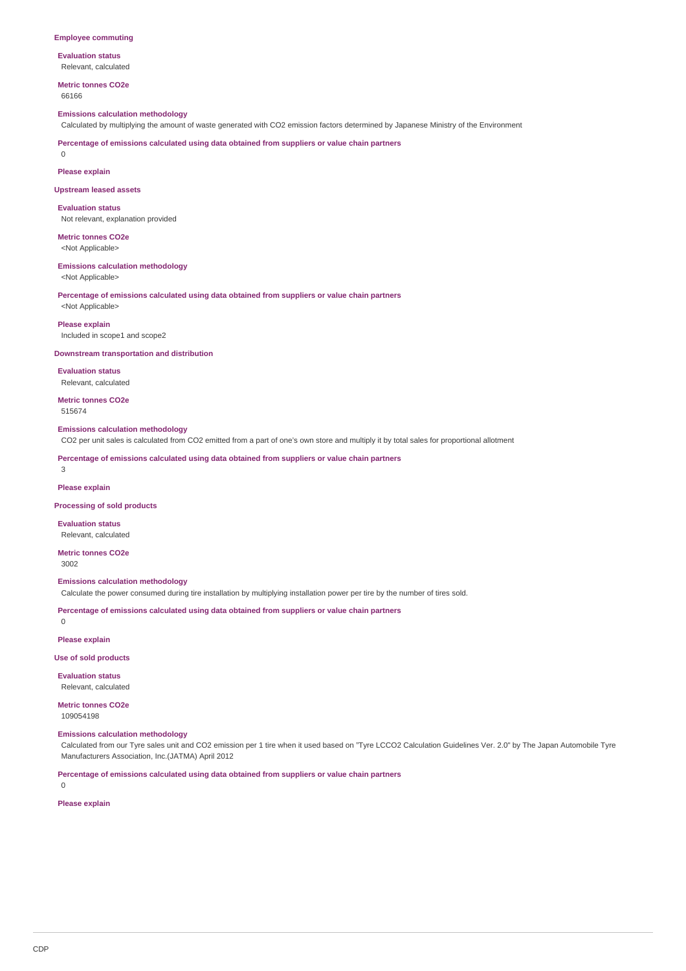#### **Employee commuting**

**Evaluation status** Relevant, calculated

**Metric tonnes CO2e** 66166

## **Emissions calculation methodology**

Calculated by multiplying the amount of waste generated with CO2 emission factors determined by Japanese Ministry of the Environment

**Percentage of emissions calculated using data obtained from suppliers or value chain partners**

 $\Omega$ 

## **Please explain**

#### **Upstream leased assets**

**Evaluation status** Not relevant, explanation provided

**Metric tonnes CO2e**

<Not Applicable>

# **Emissions calculation methodology**

<Not Applicable>

**Percentage of emissions calculated using data obtained from suppliers or value chain partners** <Not Applicable>

#### **Please explain**

Included in scope1 and scope2

### **Downstream transportation and distribution**

**Evaluation status** Relevant, calculated

**Metric tonnes CO2e** 515674

# **Emissions calculation methodology**

CO2 per unit sales is calculated from CO2 emitted from a part of one's own store and multiply it by total sales for proportional allotment

**Percentage of emissions calculated using data obtained from suppliers or value chain partners**

3

### **Please explain**

**Processing of sold products**

#### **Evaluation status** Relevant, calculated

**Metric tonnes CO2e**

# 3002

 $\theta$ 

**Emissions calculation methodology**

Calculate the power consumed during tire installation by multiplying installation power per tire by the number of tires sold.

**Percentage of emissions calculated using data obtained from suppliers or value chain partners**

**Please explain**

## **Use of sold products**

**Evaluation status**

Relevant, calculated

**Metric tonnes CO2e** 109054198

# **Emissions calculation methodology**

Calculated from our Tyre sales unit and CO2 emission per 1 tire when it used based on "Tyre LCCO2 Calculation Guidelines Ver. 2.0" by The Japan Automobile Tyre Manufacturers Association, Inc.(JATMA) April 2012

**Percentage of emissions calculated using data obtained from suppliers or value chain partners**

 $\Omega$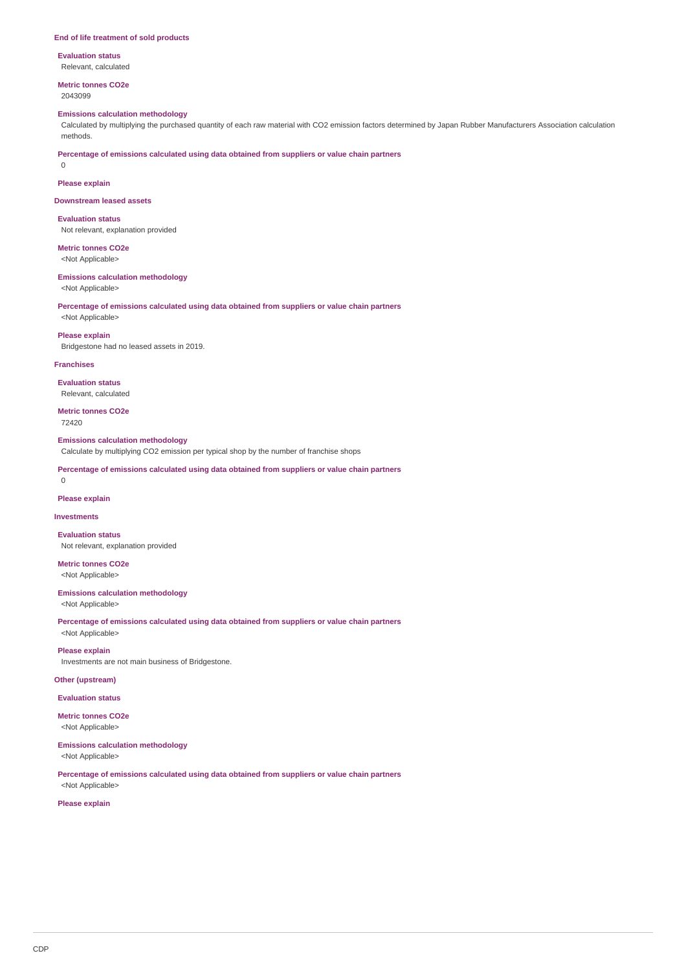#### **End of life treatment of sold products**

**Evaluation status** Relevant, calculated

**Metric tonnes CO2e** 2043099

# **Emissions calculation methodology**

Calculated by multiplying the purchased quantity of each raw material with CO2 emission factors determined by Japan Rubber Manufacturers Association calculation methods.

**Percentage of emissions calculated using data obtained from suppliers or value chain partners**

**Please explain**

0

**Downstream leased assets**

**Evaluation status** Not relevant, explanation provided

**Metric tonnes CO2e**

<Not Applicable>

## **Emissions calculation methodology**

<Not Applicable>

<Not Applicable>

**Percentage of emissions calculated using data obtained from suppliers or value chain partners**

# **Please explain**

Bridgestone had no leased assets in 2019.

#### **Franchises**

**Evaluation status** Relevant, calculated

**Metric tonnes CO2e** 72420

#### **Emissions calculation methodology**

Calculate by multiplying CO2 emission per typical shop by the number of franchise shops

**Percentage of emissions calculated using data obtained from suppliers or value chain partners**

#### $\Omega$

**Please explain**

## **Investments**

**Evaluation status** Not relevant, explanation provided

**Metric tonnes CO2e** <Not Applicable>

# **Emissions calculation methodology**

<Not Applicable>

**Percentage of emissions calculated using data obtained from suppliers or value chain partners** <Not Applicable>

**Please explain**

Investments are not main business of Bridgestone.

# **Other (upstream)**

**Evaluation status**

**Metric tonnes CO2e** <Not Applicable>

# **Emissions calculation methodology**

<Not Applicable>

**Percentage of emissions calculated using data obtained from suppliers or value chain partners** <Not Applicable>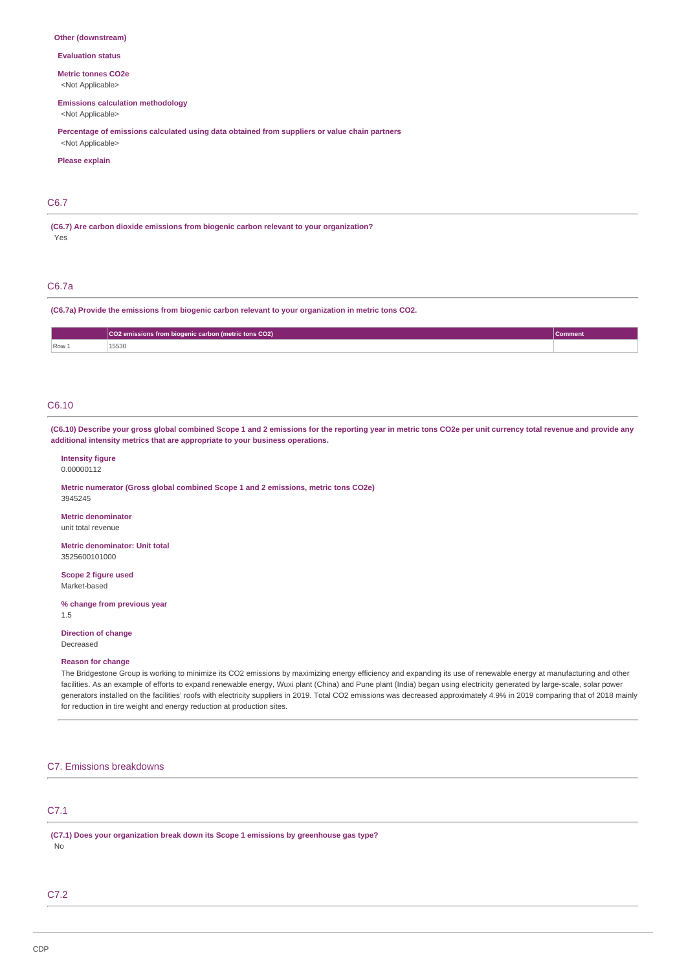#### **Other (downstream)**

**Evaluation status**

**Metric tonnes CO2e**

<Not Applicable>

# **Emissions calculation methodology**

<Not Applicable>

**Percentage of emissions calculated using data obtained from suppliers or value chain partners** <Not Applicable>

#### **Please explain**

# C6.7

**(C6.7) Are carbon dioxide emissions from biogenic carbon relevant to your organization?** Yes

# C6.7a

**(C6.7a) Provide the emissions from biogenic carbon relevant to your organization in metric tons CO2.**

|       | CO2 emissions from biogenic carbon (metric tons CO2) | ment |
|-------|------------------------------------------------------|------|
| Row 1 | 15530<br>.                                           |      |

## C6.10

**(C6.10) Describe your gross global combined Scope 1 and 2 emissions for the reporting year in metric tons CO2e per unit currency total revenue and provide any additional intensity metrics that are appropriate to your business operations.**

## **Intensity figure** 0.00000112

**Metric numerator (Gross global combined Scope 1 and 2 emissions, metric tons CO2e)** 3945245

# **Metric denominator**

unit total revenue

**Metric denominator: Unit total** 3525600101000

**Scope 2 figure used** Market-based

**% change from previous year**

1.5

# **Direction of change** Decreased

#### **Reason for change**

The Bridgestone Group is working to minimize its CO2 emissions by maximizing energy efficiency and expanding its use of renewable energy at manufacturing and other facilities. As an example of efforts to expand renewable energy, Wuxi plant (China) and Pune plant (India) began using electricity generated by large-scale, solar power generators installed on the facilities' roofs with electricity suppliers in 2019. Total CO2 emissions was decreased approximately 4.9% in 2019 comparing that of 2018 mainly for reduction in tire weight and energy reduction at production sites.

# C7. Emissions breakdowns

# C7.1

**(C7.1) Does your organization break down its Scope 1 emissions by greenhouse gas type?** No

# C7.2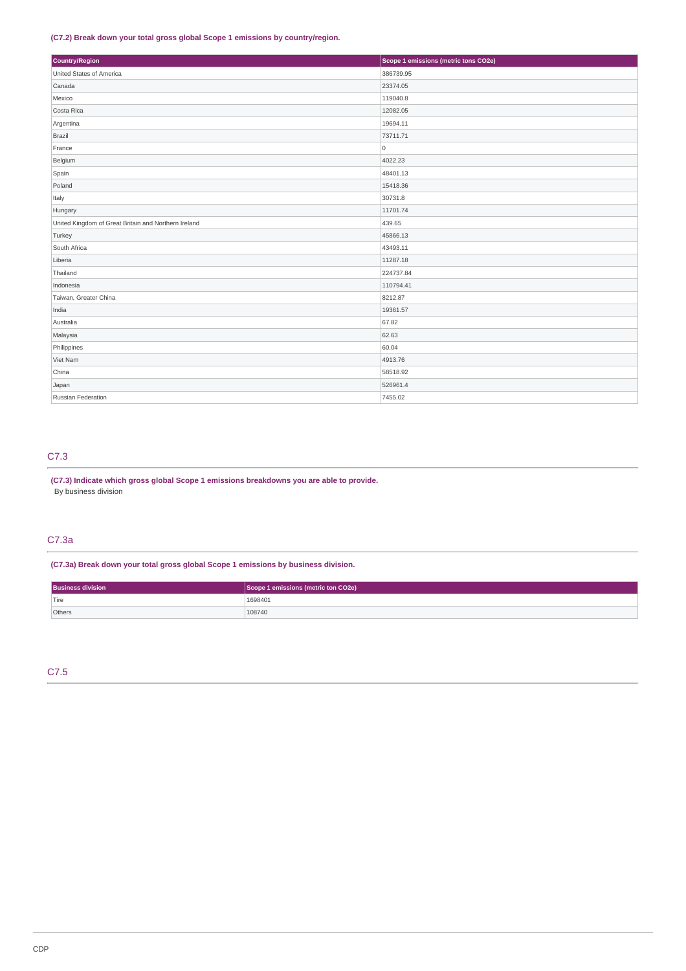# **(C7.2) Break down your total gross global Scope 1 emissions by country/region.**

| Country/Region                                       | Scope 1 emissions (metric tons CO2e) |  |  |
|------------------------------------------------------|--------------------------------------|--|--|
| United States of America                             | 386739.95                            |  |  |
| Canada                                               | 23374.05                             |  |  |
| Mexico                                               | 119040.8                             |  |  |
| Costa Rica                                           | 12082.05                             |  |  |
| Argentina                                            | 19694.11                             |  |  |
| Brazil                                               | 73711.71                             |  |  |
| France                                               | $\overline{0}$                       |  |  |
| Belgium                                              | 4022.23                              |  |  |
| Spain                                                | 48401.13                             |  |  |
| Poland                                               | 15418.36                             |  |  |
| Italy                                                | 30731.8                              |  |  |
| Hungary                                              | 11701.74                             |  |  |
| United Kingdom of Great Britain and Northern Ireland | 439.65                               |  |  |
| Turkey                                               | 45866.13                             |  |  |
| South Africa                                         | 43493.11                             |  |  |
| Liberia                                              | 11287.18                             |  |  |
| Thailand                                             | 224737.84                            |  |  |
| Indonesia                                            | 110794.41                            |  |  |
| Taiwan, Greater China                                | 8212.87                              |  |  |
| India                                                | 19361.57                             |  |  |
| Australia                                            | 67.82                                |  |  |
| Malaysia                                             | 62.63                                |  |  |
| Philippines                                          | 60.04                                |  |  |
| Viet Nam                                             | 4913.76                              |  |  |
| China                                                | 58518.92                             |  |  |
| Japan                                                | 526961.4                             |  |  |
| Russian Federation                                   | 7455.02                              |  |  |

# C7.3

# **(C7.3) Indicate which gross global Scope 1 emissions breakdowns you are able to provide.** By business division

# C7.3a

**(C7.3a) Break down your total gross global Scope 1 emissions by business division.**

| <b>Business division</b> | Scope 1 emissions (metric ton CO2e) |
|--------------------------|-------------------------------------|
| $ $ Tire                 | 1698401                             |
| Others                   | 108740                              |

C7.5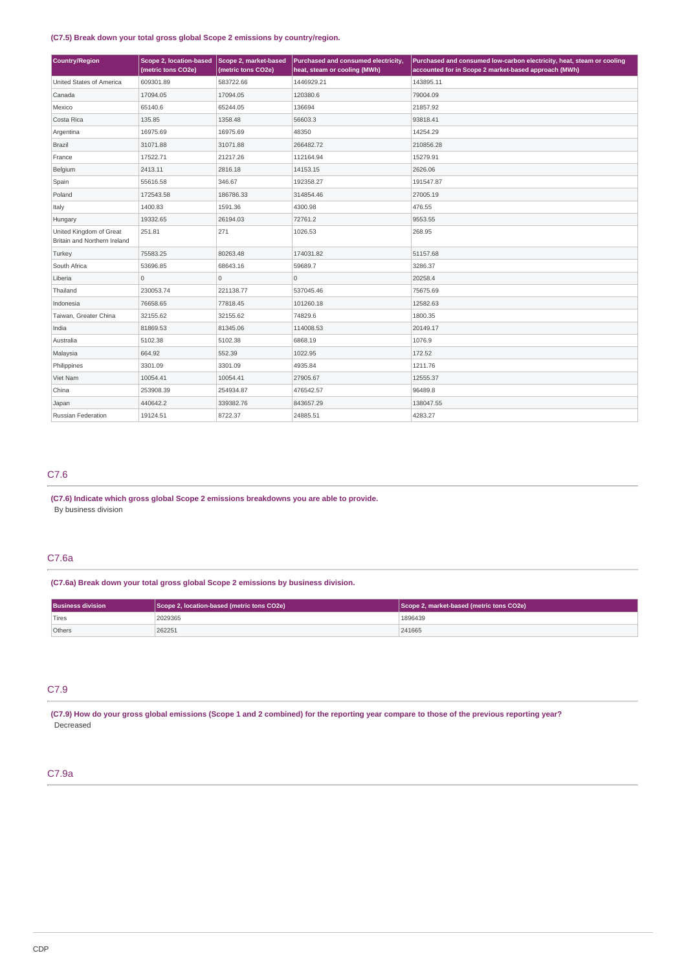# **(C7.5) Break down your total gross global Scope 2 emissions by country/region.**

| <b>Country/Region</b>                                   | Scope 2, location-based<br>(metric tons CO2e) | Scope 2, market-based<br>(metric tons CO2e) | Purchased and consumed electricity,<br>heat, steam or cooling (MWh) | Purchased and consumed low-carbon electricity, heat, steam or cooling<br>accounted for in Scope 2 market-based approach (MWh) |
|---------------------------------------------------------|-----------------------------------------------|---------------------------------------------|---------------------------------------------------------------------|-------------------------------------------------------------------------------------------------------------------------------|
| United States of America                                | 609301.89                                     | 583722.66                                   | 1446929.21                                                          | 143895.11                                                                                                                     |
| Canada                                                  | 17094.05                                      | 17094.05                                    | 120380.6                                                            | 79004.09                                                                                                                      |
| Mexico                                                  | 65140.6                                       | 65244.05                                    | 136694                                                              | 21857.92                                                                                                                      |
| Costa Rica                                              | 135.85                                        | 1358.48                                     | 56603.3                                                             | 93818.41                                                                                                                      |
| Argentina                                               | 16975.69                                      | 16975.69                                    | 48350                                                               | 14254.29                                                                                                                      |
| Brazil                                                  | 31071.88                                      | 31071.88                                    | 266482.72                                                           | 210856.28                                                                                                                     |
| France                                                  | 17522.71                                      | 21217.26                                    | 112164.94                                                           | 15279.91                                                                                                                      |
| Belgium                                                 | 2413.11                                       | 2816.18                                     | 14153.15                                                            | 2626.06                                                                                                                       |
| Spain                                                   | 55616.58                                      | 346.67                                      | 192358.27                                                           | 191547.87                                                                                                                     |
| Poland                                                  | 172543.58                                     | 186786.33                                   | 314854.46                                                           | 27005.19                                                                                                                      |
| Italy                                                   | 1400.83                                       | 1591.36                                     | 4300.98                                                             | 476.55                                                                                                                        |
| Hungary                                                 | 19332.65                                      | 26194.03                                    | 72761.2                                                             | 9553.55                                                                                                                       |
| United Kingdom of Great<br>Britain and Northern Ireland | 251.81                                        | 271                                         | 1026.53                                                             | 268.95                                                                                                                        |
| Turkey                                                  | 75583.25                                      | 80263.48                                    | 174031.82                                                           | 51157.68                                                                                                                      |
| South Africa                                            | 53696.85                                      | 68643.16                                    | 59689.7                                                             | 3286.37                                                                                                                       |
| Liberia                                                 | $\mathbf 0$                                   | $\mathbf 0$                                 | 0                                                                   | 20258.4                                                                                                                       |
| Thailand                                                | 230053.74                                     | 221138.77                                   | 537045.46                                                           | 75675.69                                                                                                                      |
| Indonesia                                               | 76658.65                                      | 77818.45                                    | 101260.18                                                           | 12582.63                                                                                                                      |
| Taiwan, Greater China                                   | 32155.62                                      | 32155.62                                    | 74829.6                                                             | 1800.35                                                                                                                       |
| India                                                   | 81869.53                                      | 81345.06                                    | 114008.53                                                           | 20149.17                                                                                                                      |
| Australia                                               | 5102.38                                       | 5102.38                                     | 6868.19                                                             | 1076.9                                                                                                                        |
| Malaysia                                                | 664.92                                        | 552.39                                      | 1022.95                                                             | 172.52                                                                                                                        |
| Philippines                                             | 3301.09                                       | 3301.09                                     | 4935.84                                                             | 1211.76                                                                                                                       |
| Viet Nam                                                | 10054.41                                      | 10054.41                                    | 27905.67                                                            | 12555.37                                                                                                                      |
| China                                                   | 253908.39                                     | 254934.87                                   | 476542.57                                                           | 96489.8                                                                                                                       |
| Japan                                                   | 440642.2                                      | 339382.76                                   | 843657.29                                                           | 138047.55                                                                                                                     |
| Russian Federation                                      | 19124.51                                      | 8722.37                                     | 24885.51                                                            | 4283.27                                                                                                                       |

# C7.6

**(C7.6) Indicate which gross global Scope 2 emissions breakdowns you are able to provide.** By business division

# C7.6a

**(C7.6a) Break down your total gross global Scope 2 emissions by business division.**

| <b>Business division</b> | Scope 2, location-based (metric tons CO2e) | Scope 2, market-based (metric tons CO2e) |  |
|--------------------------|--------------------------------------------|------------------------------------------|--|
| Tires                    | 2029365                                    | 1896439                                  |  |
| Others                   | 262251                                     | 241665                                   |  |

# C7.9

**(C7.9) How do your gross global emissions (Scope 1 and 2 combined) for the reporting year compare to those of the previous reporting year?** Decreased

# C7.9a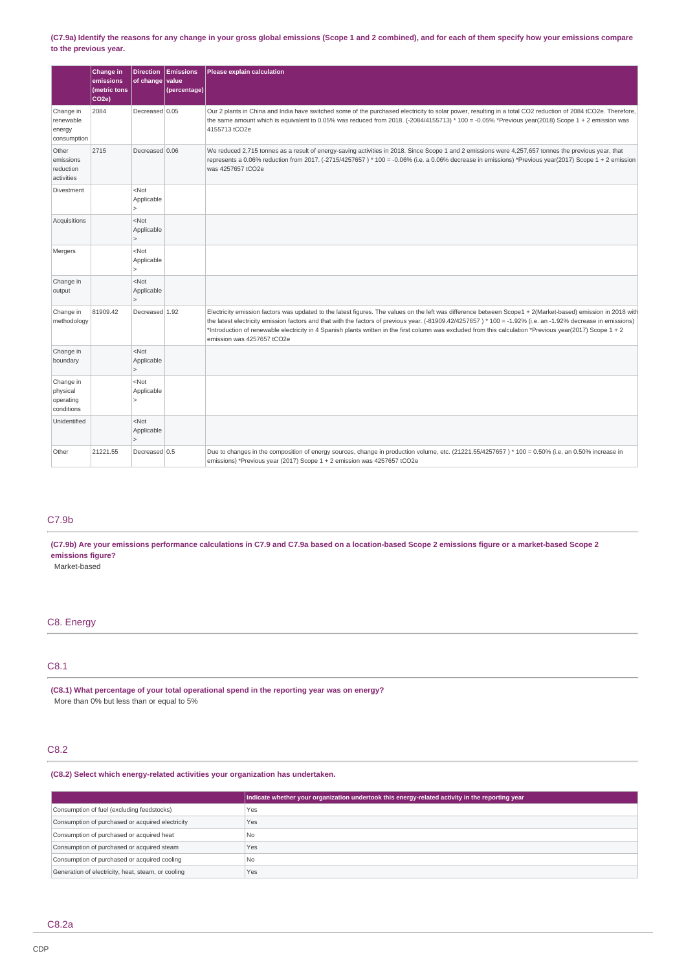# **(C7.9a) Identify the reasons for any change in your gross global emissions (Scope 1 and 2 combined), and for each of them specify how your emissions compare to the previous year.**

|                                                  | Change in<br>emissions<br>(metric tons<br>CO <sub>2e</sub> ) | <b>Direction</b><br>of change           | <b>Emissions</b><br>value<br>(percentage) | Please explain calculation                                                                                                                                                                                                                                                                                                                                                                                                                                                                                                |
|--------------------------------------------------|--------------------------------------------------------------|-----------------------------------------|-------------------------------------------|---------------------------------------------------------------------------------------------------------------------------------------------------------------------------------------------------------------------------------------------------------------------------------------------------------------------------------------------------------------------------------------------------------------------------------------------------------------------------------------------------------------------------|
| Change in<br>renewable<br>energy<br>consumption  | 2084                                                         | Decreased 0.05                          |                                           | Our 2 plants in China and India have switched some of the purchased electricity to solar power, resulting in a total CO2 reduction of 2084 tCO2e. Therefore,<br>the same amount which is equivalent to 0.05% was reduced from 2018. (-2084/4155713) * 100 = -0.05% *Previous year(2018) Scope 1 + 2 emission was<br>4155713 tCO2e                                                                                                                                                                                         |
| Other<br>emissions<br>reduction<br>activities    | 2715                                                         | Decreased 0.06                          |                                           | We reduced 2,715 tonnes as a result of energy-saving activities in 2018. Since Scope 1 and 2 emissions were 4,257,657 tonnes the previous year, that<br>represents a 0.06% reduction from 2017. (-2715/4257657 ) * 100 = -0.06% (i.e. a 0.06% decrease in emissions) *Previous year(2017) Scope 1 + 2 emission<br>was 4257657 tCO2e                                                                                                                                                                                       |
| Divestment                                       |                                                              | $<$ Not<br>Applicable                   |                                           |                                                                                                                                                                                                                                                                                                                                                                                                                                                                                                                           |
| Acquisitions                                     |                                                              | $<$ Not<br>Applicable<br>$\geq$         |                                           |                                                                                                                                                                                                                                                                                                                                                                                                                                                                                                                           |
| Mergers                                          |                                                              | $<$ Not<br>Applicable<br>$\geq$         |                                           |                                                                                                                                                                                                                                                                                                                                                                                                                                                                                                                           |
| Change in<br>output                              |                                                              | $<$ Not<br>Applicable                   |                                           |                                                                                                                                                                                                                                                                                                                                                                                                                                                                                                                           |
| Change in<br>methodology                         | 81909.42                                                     | Decreased 1.92                          |                                           | Electricity emission factors was updated to the latest figures. The values on the left was difference between Scope1 + 2(Market-based) emission in 2018 with<br>the latest electricity emission factors and that with the factors of previous year. (-81909.42/4257657) * 100 = -1.92% (i.e. an -1.92% decrease in emissions)<br>*Introduction of renewable electricity in 4 Spanish plants written in the first column was excluded from this calculation *Previous year(2017) Scope 1 + 2<br>emission was 4257657 tCO2e |
| Change in<br>boundary                            |                                                              | $<$ Not<br>Applicable<br>$\overline{ }$ |                                           |                                                                                                                                                                                                                                                                                                                                                                                                                                                                                                                           |
| Change in<br>physical<br>operating<br>conditions |                                                              | $<$ Not<br>Applicable<br>5              |                                           |                                                                                                                                                                                                                                                                                                                                                                                                                                                                                                                           |
| Unidentified                                     |                                                              | $<$ Not<br>Applicable                   |                                           |                                                                                                                                                                                                                                                                                                                                                                                                                                                                                                                           |
| Other                                            | 21221.55                                                     | Decreased 0.5                           |                                           | Due to changes in the composition of energy sources, change in production volume, etc. (21221.55/4257657) * 100 = 0.50% (i.e. an 0.50% increase in<br>emissions) *Previous year (2017) Scope 1 + 2 emission was 4257657 tCO2e                                                                                                                                                                                                                                                                                             |

# C7.9b

**(C7.9b) Are your emissions performance calculations in C7.9 and C7.9a based on a location-based Scope 2 emissions figure or a market-based Scope 2 emissions figure?**

Market-based

# C8. Energy

# C8.1

**(C8.1) What percentage of your total operational spend in the reporting year was on energy?** More than 0% but less than or equal to 5%

# C8.2

# **(C8.2) Select which energy-related activities your organization has undertaken.**

|                                                    | Indicate whether your organization undertook this energy-related activity in the reporting year |  |  |
|----------------------------------------------------|-------------------------------------------------------------------------------------------------|--|--|
| Consumption of fuel (excluding feedstocks)         | Yes                                                                                             |  |  |
| Consumption of purchased or acquired electricity   | Yes                                                                                             |  |  |
| Consumption of purchased or acquired heat          | <b>No</b>                                                                                       |  |  |
| Consumption of purchased or acquired steam         | Yes                                                                                             |  |  |
| Consumption of purchased or acquired cooling       | No                                                                                              |  |  |
| Generation of electricity, heat, steam, or cooling | Yes                                                                                             |  |  |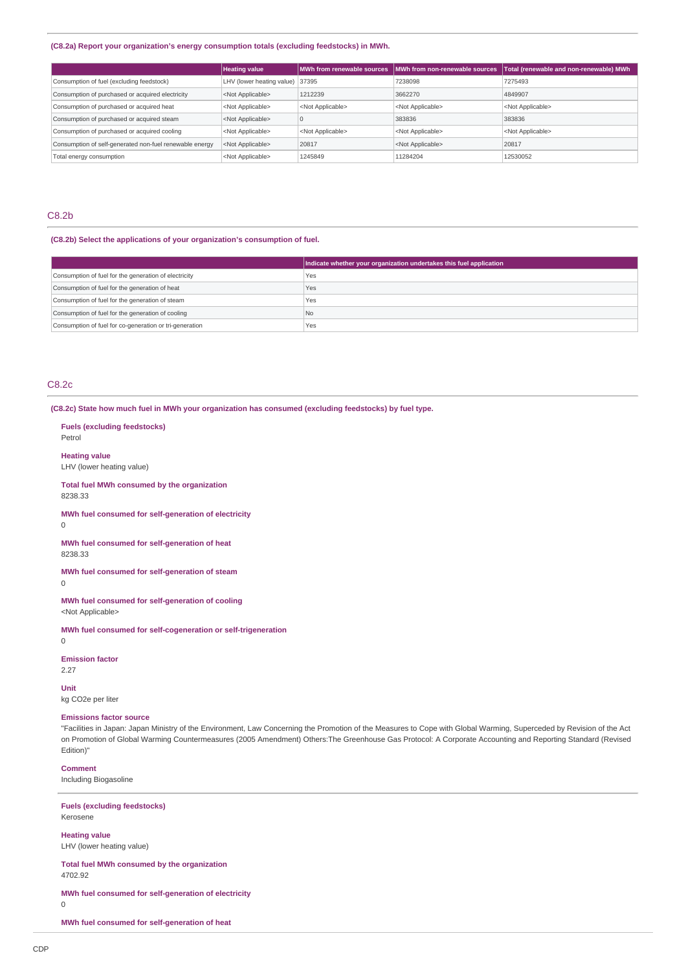# **(C8.2a) Report your organization's energy consumption totals (excluding feedstocks) in MWh.**

|                                                         | <b>Heating value</b>            |                           | MWh from renewable sources IMWh from non-renewable sources | Total (renewable and non-renewable) MWh |
|---------------------------------------------------------|---------------------------------|---------------------------|------------------------------------------------------------|-----------------------------------------|
| Consumption of fuel (excluding feedstock)               | LHV (lower heating value) 37395 |                           | 7238098                                                    | 7275493                                 |
| Consumption of purchased or acquired electricity        | <not applicable=""></not>       | 1212239                   | 3662270                                                    | 4849907                                 |
| Consumption of purchased or acquired heat               | <not applicable=""></not>       | <not applicable=""></not> | <not applicable=""></not>                                  | <not applicable=""></not>               |
| Consumption of purchased or acquired steam              | <not applicable=""></not>       |                           | 383836                                                     | 383836                                  |
| Consumption of purchased or acquired cooling            | <not applicable=""></not>       | <not applicable=""></not> | <not applicable=""></not>                                  | <not applicable=""></not>               |
| Consumption of self-generated non-fuel renewable energy | <not applicable=""></not>       | 20817                     | <not applicable=""></not>                                  | 20817                                   |
| Total energy consumption                                | <not applicable=""></not>       | 1245849                   | 11284204                                                   | 12530052                                |

# C8.2b

# **(C8.2b) Select the applications of your organization's consumption of fuel.**

|                                                         | Indicate whether your organization undertakes this fuel application |
|---------------------------------------------------------|---------------------------------------------------------------------|
| Consumption of fuel for the generation of electricity   | Yes                                                                 |
| Consumption of fuel for the generation of heat          | Yes                                                                 |
| Consumption of fuel for the generation of steam         | Yes                                                                 |
| Consumption of fuel for the generation of cooling       | N <sub>o</sub>                                                      |
| Consumption of fuel for co-generation or tri-generation | Yes                                                                 |

# C8.2c

**Fuels (excluding feedstocks)**

**(C8.2c) State how much fuel in MWh your organization has consumed (excluding feedstocks) by fuel type.**

| Petrol                                                                                                                                                                                                                                                                                                                                                                             |
|------------------------------------------------------------------------------------------------------------------------------------------------------------------------------------------------------------------------------------------------------------------------------------------------------------------------------------------------------------------------------------|
| <b>Heating value</b><br>LHV (lower heating value)                                                                                                                                                                                                                                                                                                                                  |
| Total fuel MWh consumed by the organization<br>8238.33                                                                                                                                                                                                                                                                                                                             |
| MWh fuel consumed for self-generation of electricity<br>0                                                                                                                                                                                                                                                                                                                          |
| MWh fuel consumed for self-generation of heat<br>8238.33                                                                                                                                                                                                                                                                                                                           |
| MWh fuel consumed for self-generation of steam<br>0                                                                                                                                                                                                                                                                                                                                |
| MWh fuel consumed for self-generation of cooling<br><not applicable=""></not>                                                                                                                                                                                                                                                                                                      |
| MWh fuel consumed for self-cogeneration or self-trigeneration<br>0                                                                                                                                                                                                                                                                                                                 |
| <b>Emission factor</b><br>2.27                                                                                                                                                                                                                                                                                                                                                     |
| Unit<br>kg CO2e per liter                                                                                                                                                                                                                                                                                                                                                          |
| <b>Emissions factor source</b><br>"Facilities in Japan: Japan Ministry of the Environment, Law Concerning the Promotion of the Measures to Cope with Global Warming, Superceded by Revision of the Act<br>on Promotion of Global Warming Countermeasures (2005 Amendment) Others: The Greenhouse Gas Protocol: A Corporate Accounting and Reporting Standard (Revised<br>Edition)" |
| <b>Comment</b><br>Including Biogasoline                                                                                                                                                                                                                                                                                                                                            |
| <b>Fuels (excluding feedstocks)</b><br>Kerosene                                                                                                                                                                                                                                                                                                                                    |
| <b>Heating value</b><br>LHV (lower heating value)                                                                                                                                                                                                                                                                                                                                  |
| Total fuel MWh consumed by the organization<br>4702.92                                                                                                                                                                                                                                                                                                                             |
| MWh fuel consumed for self-generation of electricity<br>0                                                                                                                                                                                                                                                                                                                          |
| MWh fuel consumed for self-generation of heat                                                                                                                                                                                                                                                                                                                                      |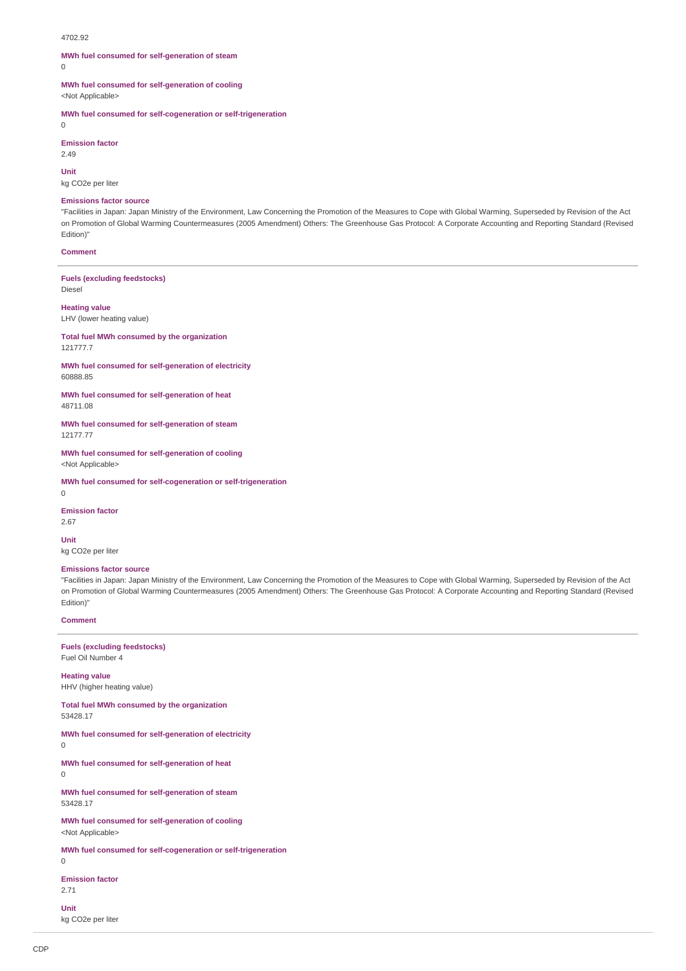#### 4702.92

# **MWh fuel consumed for self-generation of steam**

 $\Omega$ 

**MWh fuel consumed for self-generation of cooling**

<Not Applicable>

**MWh fuel consumed for self-cogeneration or self-trigeneration**  $\Omega$ 

**Emission factor**

 $2.49$ 

**Unit**

kg CO2e per liter

#### **Emissions factor source**

"Facilities in Japan: Japan Ministry of the Environment, Law Concerning the Promotion of the Measures to Cope with Global Warming, Superseded by Revision of the Act on Promotion of Global Warming Countermeasures (2005 Amendment) Others: The Greenhouse Gas Protocol: A Corporate Accounting and Reporting Standard (Revised Edition)"

# **Comment**

**Fuels (excluding feedstocks)** Diesel

# **Heating value**

LHV (lower heating value)

**Total fuel MWh consumed by the organization** 121777.7

**MWh fuel consumed for self-generation of electricity** 60888.85

**MWh fuel consumed for self-generation of heat** 48711.08

**MWh fuel consumed for self-generation of steam** 12177.77

**MWh fuel consumed for self-generation of cooling** <Not Applicable>

**MWh fuel consumed for self-cogeneration or self-trigeneration**

**Emission factor** 2.67

 $\Omega$ 

**Unit** kg CO2e per liter

## **Emissions factor source**

"Facilities in Japan: Japan Ministry of the Environment, Law Concerning the Promotion of the Measures to Cope with Global Warming, Superseded by Revision of the Act on Promotion of Global Warming Countermeasures (2005 Amendment) Others: The Greenhouse Gas Protocol: A Corporate Accounting and Reporting Standard (Revised Edition)"

#### **Comment**

## **Fuels (excluding feedstocks)** Fuel Oil Number 4

**Heating value** HHV (higher heating value)

**Total fuel MWh consumed by the organization** 53428.17

**MWh fuel consumed for self-generation of electricity**

 $\theta$ 

**MWh fuel consumed for self-generation of heat** 0

**MWh fuel consumed for self-generation of steam** 53428.17

**MWh fuel consumed for self-generation of cooling** <Not Applicable>

**MWh fuel consumed for self-cogeneration or self-trigeneration**

 $\Omega$ 

**Emission factor**

2.71 **Unit**

kg CO2e per liter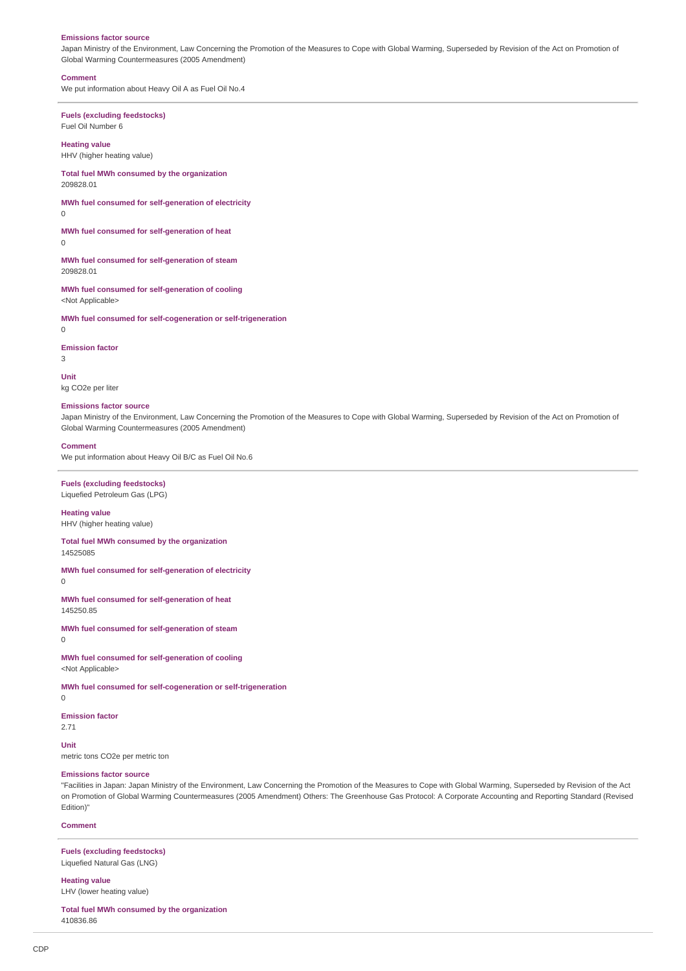#### **Emissions factor source**

Japan Ministry of the Environment, Law Concerning the Promotion of the Measures to Cope with Global Warming, Superseded by Revision of the Act on Promotion of Global Warming Countermeasures (2005 Amendment)

#### **Comment**

We put information about Heavy Oil A as Fuel Oil No.4

## **Fuels (excluding feedstocks)** Fuel Oil Number 6

**Heating value**

HHV (higher heating value)

**Total fuel MWh consumed by the organization** 209828.01

**MWh fuel consumed for self-generation of electricity**

 $\theta$ 

**MWh fuel consumed for self-generation of heat** 0

**MWh fuel consumed for self-generation of steam** 209828.01

**MWh fuel consumed for self-generation of cooling** <Not Applicable>

**MWh fuel consumed for self-cogeneration or self-trigeneration**

# 0

**Emission factor** 3

**Unit** kg CO2e per liter

#### **Emissions factor source**

Japan Ministry of the Environment, Law Concerning the Promotion of the Measures to Cope with Global Warming, Superseded by Revision of the Act on Promotion of Global Warming Countermeasures (2005 Amendment)

# **Comment**

We put information about Heavy Oil B/C as Fuel Oil No.6

**Fuels (excluding feedstocks)** Liquefied Petroleum Gas (LPG)

**Heating value** HHV (higher heating value)

**Total fuel MWh consumed by the organization** 14525085

**MWh fuel consumed for self-generation of electricity**

 $\Omega$ 

**MWh fuel consumed for self-generation of heat** 145250.85

**MWh fuel consumed for self-generation of steam**

 $\theta$ 

**MWh fuel consumed for self-generation of cooling** <Not Applicable>

**MWh fuel consumed for self-cogeneration or self-trigeneration**

 $\Omega$ 

**Emission factor** 2.71

**Unit** metric tons CO2e per metric ton

## **Emissions factor source**

"Facilities in Japan: Japan Ministry of the Environment, Law Concerning the Promotion of the Measures to Cope with Global Warming, Superseded by Revision of the Act on Promotion of Global Warming Countermeasures (2005 Amendment) Others: The Greenhouse Gas Protocol: A Corporate Accounting and Reporting Standard (Revised Edition)"

## **Comment**

**Fuels (excluding feedstocks)** Liquefied Natural Gas (LNG)

**Heating value**

LHV (lower heating value)

**Total fuel MWh consumed by the organization** 410836.86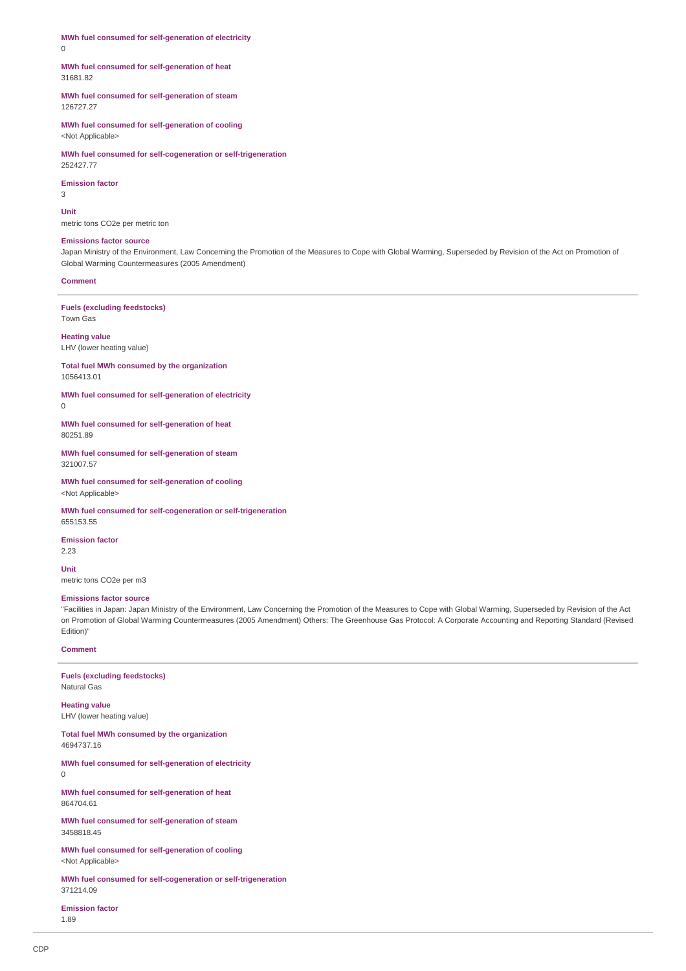**MWh fuel consumed for self-generation of electricity** 0

## **MWh fuel consumed for self-generation of heat** 31681.82

**MWh fuel consumed for self-generation of steam** 126727.27

**MWh fuel consumed for self-generation of cooling** <Not Applicable>

**MWh fuel consumed for self-cogeneration or self-trigeneration** 252427.77

## **Emission factor**

3

**Unit**

metric tons CO2e per metric ton

# **Emissions factor source**

Japan Ministry of the Environment, Law Concerning the Promotion of the Measures to Cope with Global Warming, Superseded by Revision of the Act on Promotion of Global Warming Countermeasures (2005 Amendment)

# **Comment**

**Fuels (excluding feedstocks)** Town Gas

**Heating value** LHV (lower heating value)

**Total fuel MWh consumed by the organization** 1056413.01

**MWh fuel consumed for self-generation of electricity**  $\Omega$ 

**MWh fuel consumed for self-generation of heat** 80251.89

**MWh fuel consumed for self-generation of steam** 321007.57

**MWh fuel consumed for self-generation of cooling** <Not Applicable>

**MWh fuel consumed for self-cogeneration or self-trigeneration** 655153.55

**Emission factor**

2.23

**Unit** metric tons CO2e per m3

## **Emissions factor source**

"Facilities in Japan: Japan Ministry of the Environment, Law Concerning the Promotion of the Measures to Cope with Global Warming, Superseded by Revision of the Act on Promotion of Global Warming Countermeasures (2005 Amendment) Others: The Greenhouse Gas Protocol: A Corporate Accounting and Reporting Standard (Revised Edition)"

# **Comment**

**Fuels (excluding feedstocks)** Natural Gas

**Heating value** LHV (lower heating value)

**Total fuel MWh consumed by the organization** 4694737.16

**MWh fuel consumed for self-generation of electricity** 0

**MWh fuel consumed for self-generation of heat** 864704.61

**MWh fuel consumed for self-generation of steam** 3458818.45

**MWh fuel consumed for self-generation of cooling** <Not Applicable>

**MWh fuel consumed for self-cogeneration or self-trigeneration** 371214.09

**Emission factor** 1.89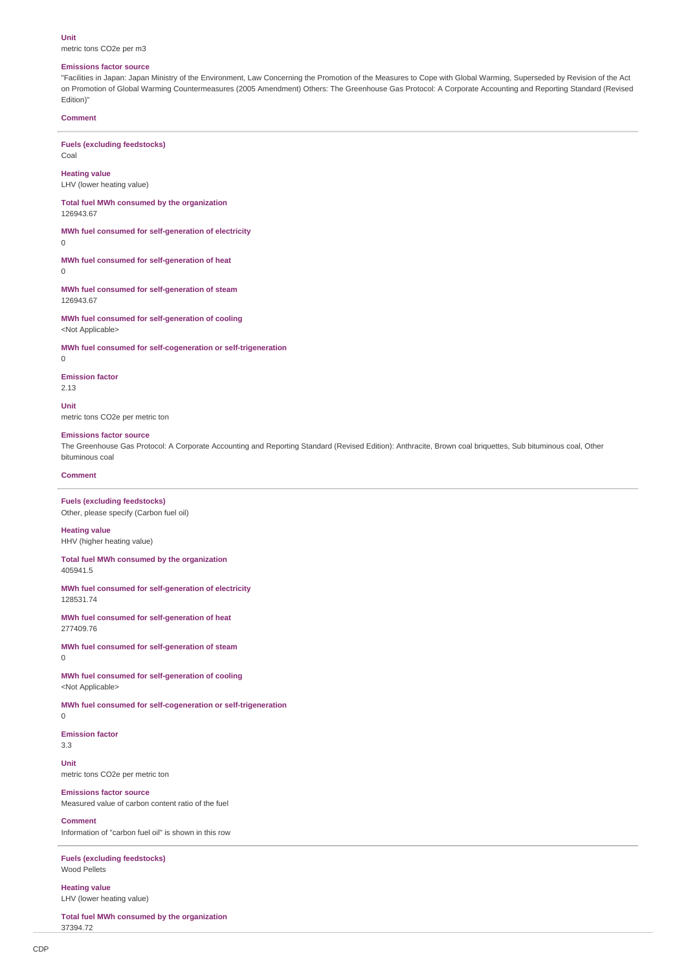#### **Unit**

metric tons CO2e per m3

## **Emissions factor source**

"Facilities in Japan: Japan Ministry of the Environment, Law Concerning the Promotion of the Measures to Cope with Global Warming, Superseded by Revision of the Act on Promotion of Global Warming Countermeasures (2005 Amendment) Others: The Greenhouse Gas Protocol: A Corporate Accounting and Reporting Standard (Revised Edition)"

## **Comment**

# **Fuels (excluding feedstocks)**

Coal **Heating value**

LHV (lower heating value)

**Total fuel MWh consumed by the organization** 126943.67

**MWh fuel consumed for self-generation of electricity**

0

**MWh fuel consumed for self-generation of heat**  $\Omega$ 

**MWh fuel consumed for self-generation of steam** 126943.67

**MWh fuel consumed for self-generation of cooling** <Not Applicable>

**MWh fuel consumed for self-cogeneration or self-trigeneration**

 $\overline{0}$ 

## **Emission factor**

2.13

**Unit**

metric tons CO2e per metric ton

#### **Emissions factor source**

The Greenhouse Gas Protocol: A Corporate Accounting and Reporting Standard (Revised Edition): Anthracite, Brown coal briquettes, Sub bituminous coal, Other bituminous coal

## **Comment**

**Fuels (excluding feedstocks)** Other, please specify (Carbon fuel oil)

**Heating value** HHV (higher heating value)

**Total fuel MWh consumed by the organization**

405941.5

**MWh fuel consumed for self-generation of electricity** 128531.74

**MWh fuel consumed for self-generation of heat** 277409.76

**MWh fuel consumed for self-generation of steam**  $\Omega$ 

**MWh fuel consumed for self-generation of cooling** <Not Applicable>

**MWh fuel consumed for self-cogeneration or self-trigeneration**

0

**Emission factor** 3.3

**Unit** metric tons CO2e per metric ton

#### **Emissions factor source**

Measured value of carbon content ratio of the fuel

# **Comment**

Information of "carbon fuel oil" is shown in this row

**Fuels (excluding feedstocks)** Wood Pellets

**Heating value** LHV (lower heating value)

**Total fuel MWh consumed by the organization** 37394.72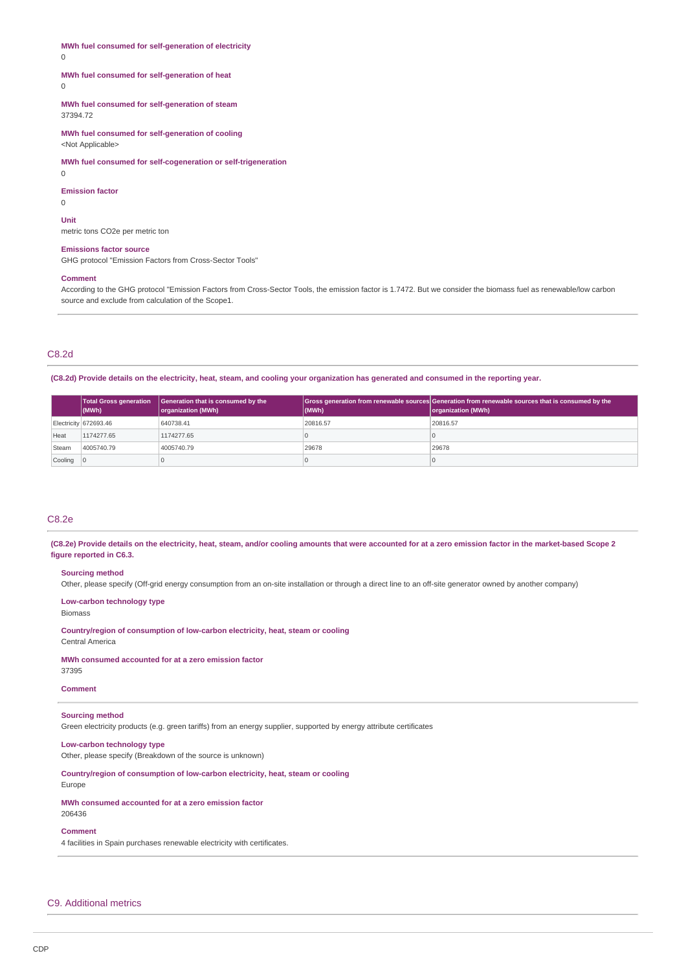**MWh fuel consumed for self-generation of electricity**

 $\Omega$ 

# **MWh fuel consumed for self-generation of heat**

 $\Omega$ 

**MWh fuel consumed for self-generation of steam** 37394.72

**MWh fuel consumed for self-generation of cooling** <Not Applicable>

**MWh fuel consumed for self-cogeneration or self-trigeneration**

0

**Emission factor**

 $\cap$ **Unit**

metric tons CO2e per metric ton

## **Emissions factor source**

GHG protocol "Emission Factors from Cross-Sector Tools"

#### **Comment**

According to the GHG protocol "Emission Factors from Cross-Sector Tools, the emission factor is 1.7472. But we consider the biomass fuel as renewable/low carbon source and exclude from calculation of the Scope1.

# C8.2d

**(C8.2d) Provide details on the electricity, heat, steam, and cooling your organization has generated and consumed in the reporting year.**

|                           | <b>Total Gross generation</b><br>(MWh) | Generation that is consumed by the<br>organization (MWh) | (MWh)    | Gross generation from renewable sources Generation from renewable sources that is consumed by the<br>organization (MWh) |
|---------------------------|----------------------------------------|----------------------------------------------------------|----------|-------------------------------------------------------------------------------------------------------------------------|
|                           | Electricity 672693.46                  | 640738.41                                                | 20816.57 | 20816.57                                                                                                                |
| Heat                      | 1174277.65                             | 1174277.65                                               |          |                                                                                                                         |
| Steam                     | 4005740.79                             | 4005740.79                                               | 29678    | 29678                                                                                                                   |
| $\vert$ Cooling $\vert$ 0 |                                        |                                                          |          |                                                                                                                         |

# C8.2e

**(C8.2e) Provide details on the electricity, heat, steam, and/or cooling amounts that were accounted for at a zero emission factor in the market-based Scope 2 figure reported in C6.3.**

# **Sourcing method**

Other, please specify (Off-grid energy consumption from an on-site installation or through a direct line to an off-site generator owned by another company)

**Low-carbon technology type**

## Biomass

**Country/region of consumption of low-carbon electricity, heat, steam or cooling** Central America

# **MWh consumed accounted for at a zero emission factor**

37395

# **Comment**

# **Sourcing method**

Green electricity products (e.g. green tariffs) from an energy supplier, supported by energy attribute certificates

# **Low-carbon technology type**

Other, please specify (Breakdown of the source is unknown)

**Country/region of consumption of low-carbon electricity, heat, steam or cooling**

# Europe

**MWh consumed accounted for at a zero emission factor** 206436

**Comment**

4 facilities in Spain purchases renewable electricity with certificates.

# C9. Additional metrics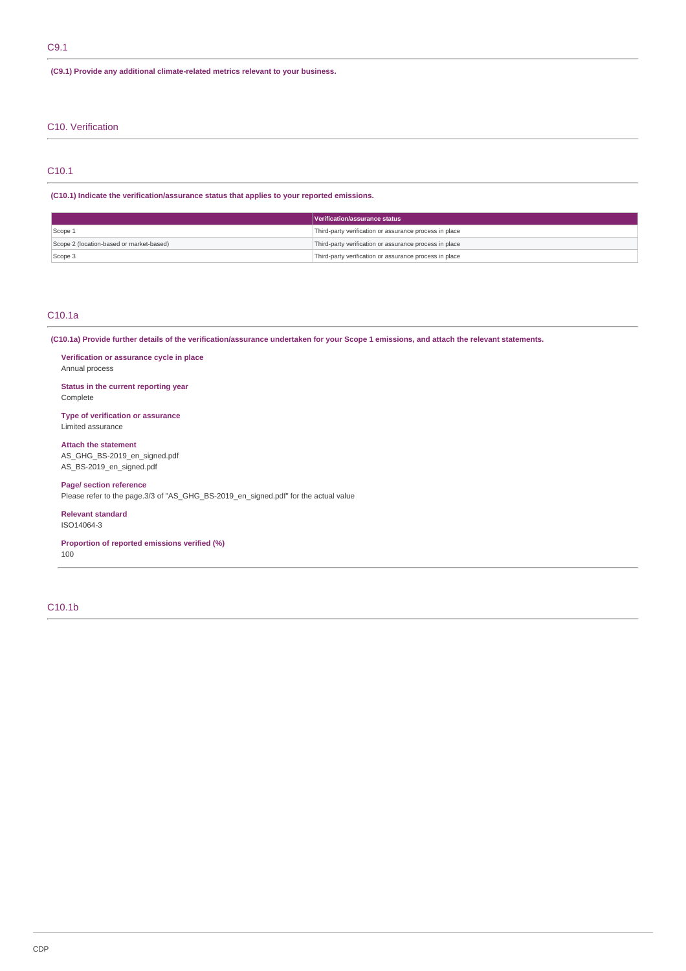# C9.1

# **(C9.1) Provide any additional climate-related metrics relevant to your business.**

# C10. Verification

# C10.1

# **(C10.1) Indicate the verification/assurance status that applies to your reported emissions.**

|                                          | Verification/assurance status                          |  |
|------------------------------------------|--------------------------------------------------------|--|
| Scope 1                                  | Third-party verification or assurance process in place |  |
| Scope 2 (location-based or market-based) | Third-party verification or assurance process in place |  |
| Scope 3                                  | Third-party verification or assurance process in place |  |

# C10.1a

**(C10.1a) Provide further details of the verification/assurance undertaken for your Scope 1 emissions, and attach the relevant statements.**

**Verification or assurance cycle in place** Annual process

**Status in the current reporting year** Complete

**Type of verification or assurance** Limited assurance

**Attach the statement** AS\_GHG\_BS-2019\_en\_signed.pdf AS\_BS-2019\_en\_signed.pdf

# **Page/ section reference** Please refer to the page.3/3 of "AS\_GHG\_BS-2019\_en\_signed.pdf" for the actual value

**Relevant standard** ISO14064-3

**Proportion of reported emissions verified (%)**

100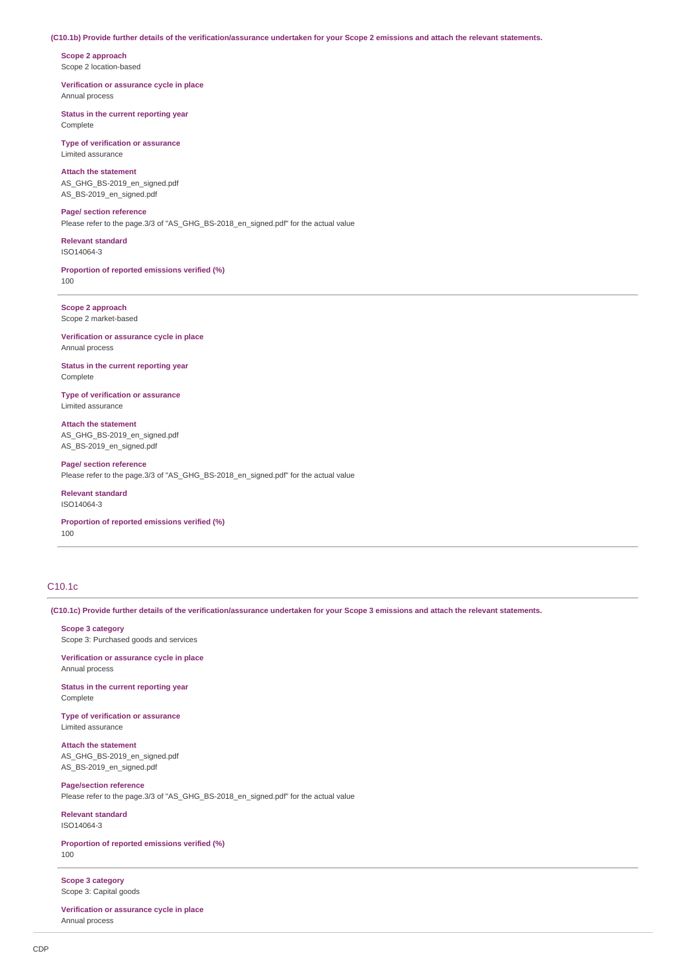## **(C10.1b) Provide further details of the verification/assurance undertaken for your Scope 2 emissions and attach the relevant statements.**

**Scope 2 approach** Scope 2 location-based

**Verification or assurance cycle in place** Annual process

**Status in the current reporting year** Complete

**Type of verification or assurance** Limited assurance

**Attach the statement** AS\_GHG\_BS-2019\_en\_signed.pdf AS\_BS-2019\_en\_signed.pdf

**Page/ section reference** Please refer to the page.3/3 of "AS\_GHG\_BS-2018\_en\_signed.pdf" for the actual value

**Relevant standard** ISO14064-3

**Proportion of reported emissions verified (%)** 100

**Scope 2 approach** Scope 2 market-based

**Verification or assurance cycle in place** Annual process

**Status in the current reporting year** Complete

**Type of verification or assurance** Limited assurance

**Attach the statement** AS\_GHG\_BS-2019\_en\_signed.pdf AS\_BS-2019\_en\_signed.pdf

**Page/ section reference** Please refer to the page.3/3 of "AS\_GHG\_BS-2018\_en\_signed.pdf" for the actual value

**Relevant standard** ISO14064-3

**Proportion of reported emissions verified (%)** 100

# C10.1c

**(C10.1c) Provide further details of the verification/assurance undertaken for your Scope 3 emissions and attach the relevant statements.**

**Scope 3 category** Scope 3: Purchased goods and services

**Verification or assurance cycle in place** Annual process

**Status in the current reporting year Complete** 

**Type of verification or assurance** Limited assurance

**Attach the statement** AS\_GHG\_BS-2019\_en\_signed.pdf AS\_BS-2019\_en\_signed.pdf

**Page/section reference** Please refer to the page.3/3 of "AS\_GHG\_BS-2018\_en\_signed.pdf" for the actual value

**Relevant standard** ISO14064-3

**Proportion of reported emissions verified (%)** 100

**Scope 3 category** Scope 3: Capital goods

**Verification or assurance cycle in place** Annual process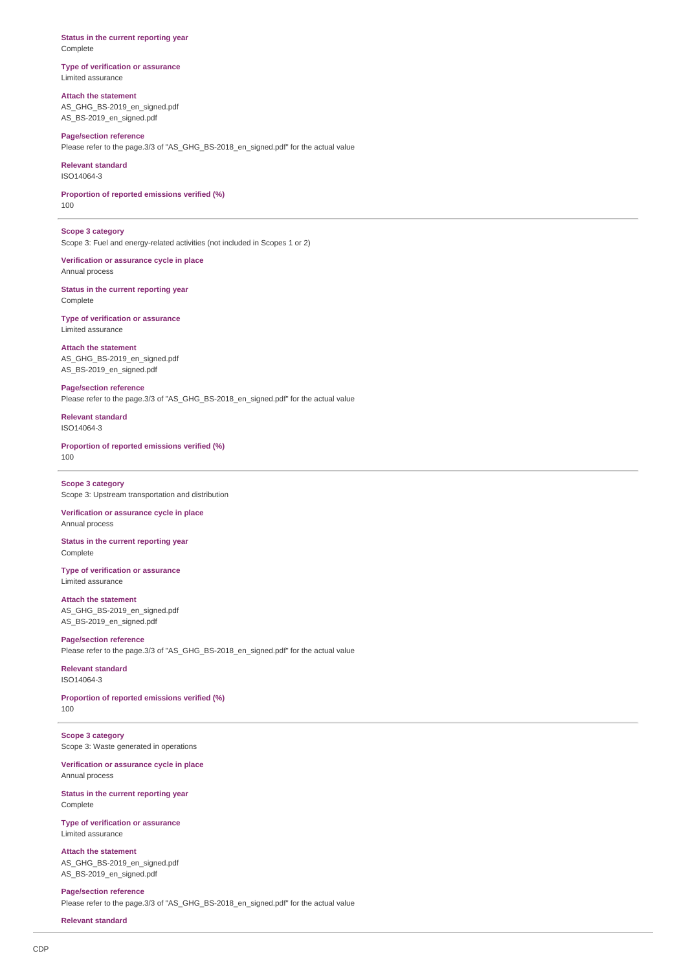**Status in the current reporting year** Complete

**Type of verification or assurance** Limited assurance

**Attach the statement** AS\_GHG\_BS-2019\_en\_signed.pdf AS\_BS-2019\_en\_signed.pdf

**Page/section reference** Please refer to the page.3/3 of "AS\_GHG\_BS-2018\_en\_signed.pdf" for the actual value

**Relevant standard** ISO14064-3

**Proportion of reported emissions verified (%)** 100

**Scope 3 category** Scope 3: Fuel and energy-related activities (not included in Scopes 1 or 2)

**Verification or assurance cycle in place** Annual process

**Status in the current reporting year** Complete

**Type of verification or assurance** Limited assurance

**Attach the statement** AS\_GHG\_BS-2019\_en\_signed.pdf AS\_BS-2019\_en\_signed.pdf

**Page/section reference** Please refer to the page.3/3 of "AS\_GHG\_BS-2018\_en\_signed.pdf" for the actual value

**Relevant standard** ISO14064-3

**Proportion of reported emissions verified (%)** 100

**Scope 3 category** Scope 3: Upstream transportation and distribution

**Verification or assurance cycle in place** Annual process

**Status in the current reporting year** Complete

**Type of verification or assurance** Limited assurance

**Attach the statement** AS\_GHG\_BS-2019\_en\_signed.pdf AS\_BS-2019\_en\_signed.pdf

**Page/section reference** Please refer to the page.3/3 of "AS\_GHG\_BS-2018\_en\_signed.pdf" for the actual value

**Relevant standard** ISO14064-3

**Proportion of reported emissions verified (%)** 100

**Scope 3 category** Scope 3: Waste generated in operations

**Verification or assurance cycle in place** Annual process

**Status in the current reporting year** Complete

**Type of verification or assurance** Limited assurance

**Attach the statement** AS\_GHG\_BS-2019\_en\_signed.pdf AS\_BS-2019\_en\_signed.pdf

**Page/section reference** Please refer to the page.3/3 of "AS\_GHG\_BS-2018\_en\_signed.pdf" for the actual value

**Relevant standard**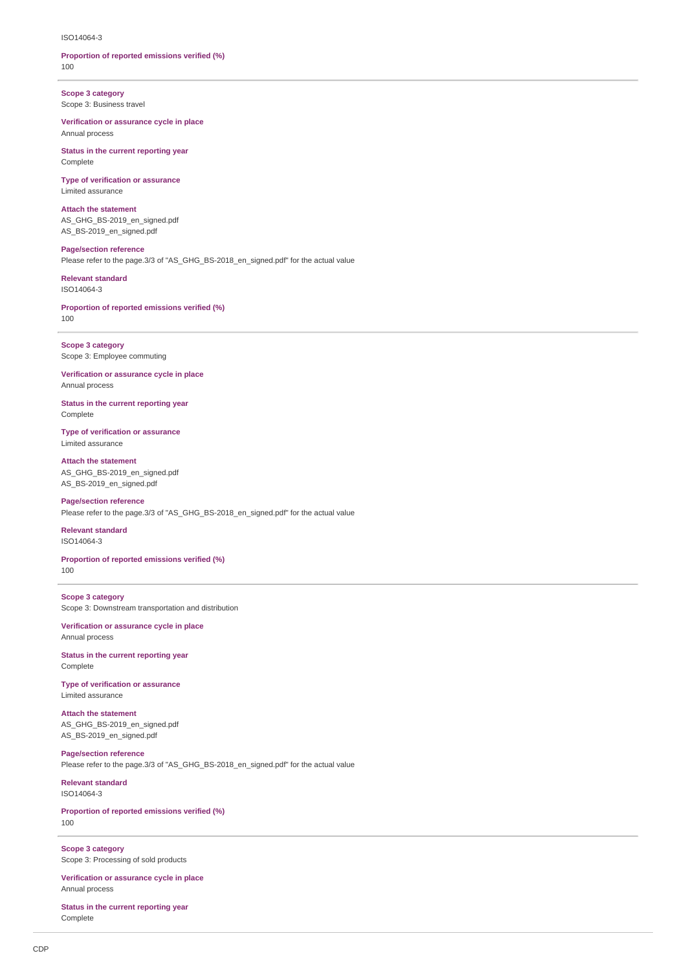#### ISO14064-3

## **Proportion of reported emissions verified (%)** 100

**Scope 3 category** Scope 3: Business travel

**Verification or assurance cycle in place** Annual process

**Status in the current reporting year** Complete

**Type of verification or assurance** Limited assurance

**Attach the statement** AS\_GHG\_BS-2019\_en\_signed.pdf AS\_BS-2019\_en\_signed.pdf

**Page/section reference** Please refer to the page.3/3 of "AS\_GHG\_BS-2018\_en\_signed.pdf" for the actual value

**Relevant standard** ISO14064-3

**Proportion of reported emissions verified (%)** 100

**Scope 3 category** Scope 3: Employee commuting

**Verification or assurance cycle in place** Annual process

**Status in the current reporting year** Complete

**Type of verification or assurance** Limited assurance

**Attach the statement** AS\_GHG\_BS-2019\_en\_signed.pdf AS\_BS-2019\_en\_signed.pdf

**Page/section reference** Please refer to the page.3/3 of "AS\_GHG\_BS-2018\_en\_signed.pdf" for the actual value

**Relevant standard** ISO14064-3

**Proportion of reported emissions verified (%)** 100

**Scope 3 category** Scope 3: Downstream transportation and distribution

**Verification or assurance cycle in place** Annual process

**Status in the current reporting year** Complete

**Type of verification or assurance** Limited assurance

**Attach the statement** AS\_GHG\_BS-2019\_en\_signed.pdf AS\_BS-2019\_en\_signed.pdf

**Page/section reference** Please refer to the page.3/3 of "AS\_GHG\_BS-2018\_en\_signed.pdf" for the actual value

**Relevant standard** ISO14064-3

**Proportion of reported emissions verified (%)** 100

**Scope 3 category** Scope 3: Processing of sold products

**Verification or assurance cycle in place** Annual process

**Status in the current reporting year** Complete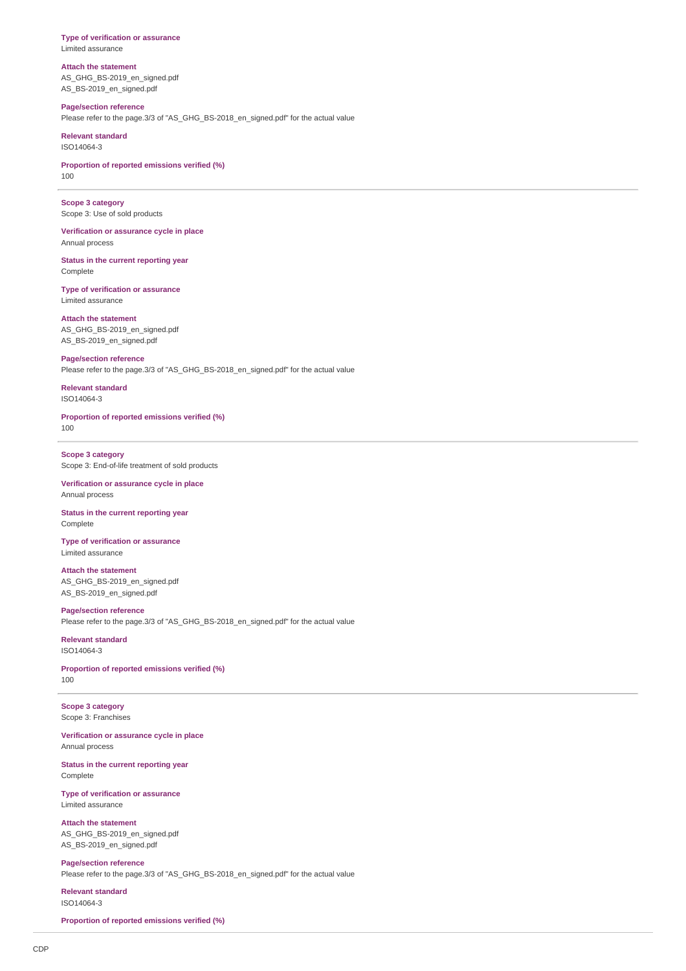**Type of verification or assurance** Limited assurance

**Attach the statement** AS\_GHG\_BS-2019\_en\_signed.pdf AS\_BS-2019\_en\_signed.pdf

**Page/section reference** Please refer to the page.3/3 of "AS\_GHG\_BS-2018\_en\_signed.pdf" for the actual value

**Relevant standard** ISO14064-3

**Proportion of reported emissions verified (%)** 100

**Scope 3 category** Scope 3: Use of sold products

**Verification or assurance cycle in place** Annual process

**Status in the current reporting year** Complete

**Type of verification or assurance** Limited assurance

**Attach the statement** AS\_GHG\_BS-2019\_en\_signed.pdf AS\_BS-2019\_en\_signed.pdf

**Page/section reference** Please refer to the page.3/3 of "AS\_GHG\_BS-2018\_en\_signed.pdf" for the actual value

**Relevant standard** ISO14064-3

**Proportion of reported emissions verified (%)** 100

**Scope 3 category** Scope 3: End-of-life treatment of sold products

**Verification or assurance cycle in place** Annual process

**Status in the current reporting year** Complete

**Type of verification or assurance** Limited assurance

**Attach the statement** AS\_GHG\_BS-2019\_en\_signed.pdf AS\_BS-2019\_en\_signed.pdf

**Page/section reference** Please refer to the page.3/3 of "AS\_GHG\_BS-2018\_en\_signed.pdf" for the actual value

**Relevant standard** ISO14064-3

**Proportion of reported emissions verified (%)** 100

**Scope 3 category** Scope 3: Franchises

**Verification or assurance cycle in place** Annual process

**Status in the current reporting year** Complete

**Type of verification or assurance** Limited assurance

**Attach the statement** AS\_GHG\_BS-2019\_en\_signed.pdf AS\_BS-2019\_en\_signed.pdf

**Page/section reference** Please refer to the page.3/3 of "AS\_GHG\_BS-2018\_en\_signed.pdf" for the actual value

**Relevant standard** ISO14064-3

**Proportion of reported emissions verified (%)**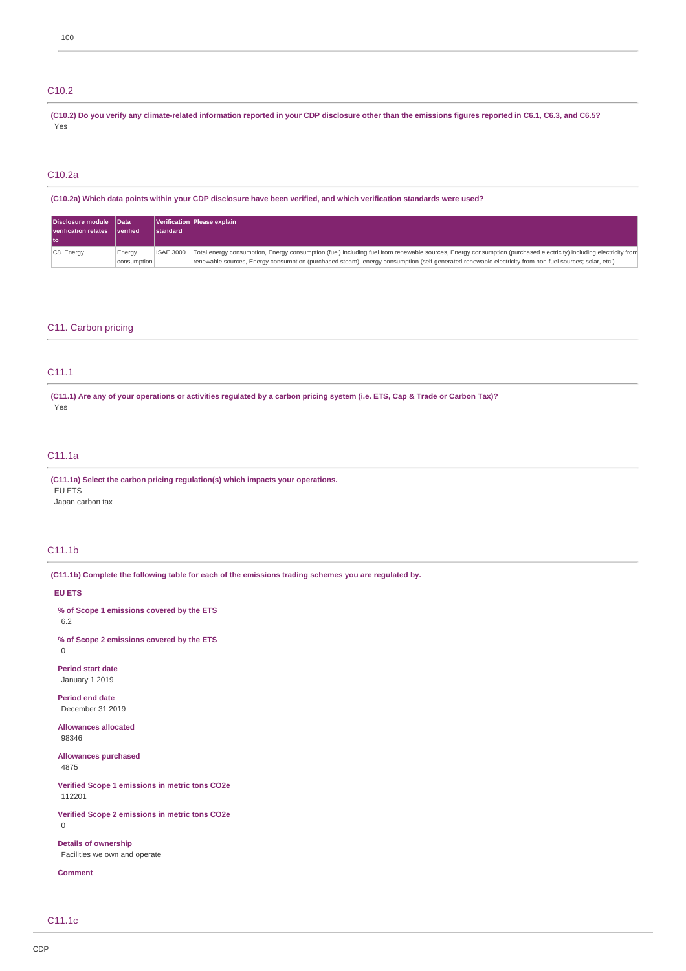# C10.2

**(C10.2) Do you verify any climate-related information reported in your CDP disclosure other than the emissions figures reported in C6.1, C6.3, and C6.5?** Yes

# C10.2a

**(C10.2a) Which data points within your CDP disclosure have been verified, and which verification standards were used?**

| Disclosure module Data      |                 |                  | Verification   Please explain                                                                                                                                    |
|-----------------------------|-----------------|------------------|------------------------------------------------------------------------------------------------------------------------------------------------------------------|
| <b>verification relates</b> | <i>verified</i> | <b>Istandard</b> |                                                                                                                                                                  |
|                             |                 |                  |                                                                                                                                                                  |
| C8. Energy                  | Energy          | <b>ISAE 3000</b> | Total energy consumption, Energy consumption (fuel) including fuel from renewable sources, Energy consumption (purchased electricity) including electricity from |
|                             | consumption     |                  | renewable sources, Energy consumption (purchased steam), energy consumption (self-generated renewable electricity from non-fuel sources; solar, etc.)            |

# C11. Carbon pricing

# C11.1

**(C11.1) Are any of your operations or activities regulated by a carbon pricing system (i.e. ETS, Cap & Trade or Carbon Tax)?** Yes

# C11.1a

**(C11.1a) Select the carbon pricing regulation(s) which impacts your operations. EU FTS** Japan carbon tax

# C11.1b

**(C11.1b) Complete the following table for each of the emissions trading schemes you are regulated by.**

# **EU ETS**

**% of Scope 1 emissions covered by the ETS** 6.2

**% of Scope 2 emissions covered by the ETS** 0

**Period start date** January 1 2019

**Period end date** December 31 2019

**Allowances allocated** 98346

**Allowances purchased** 4875

**Verified Scope 1 emissions in metric tons CO2e** 112201

**Verified Scope 2 emissions in metric tons CO2e** 0

**Details of ownership** Facilities we own and operate

**Comment**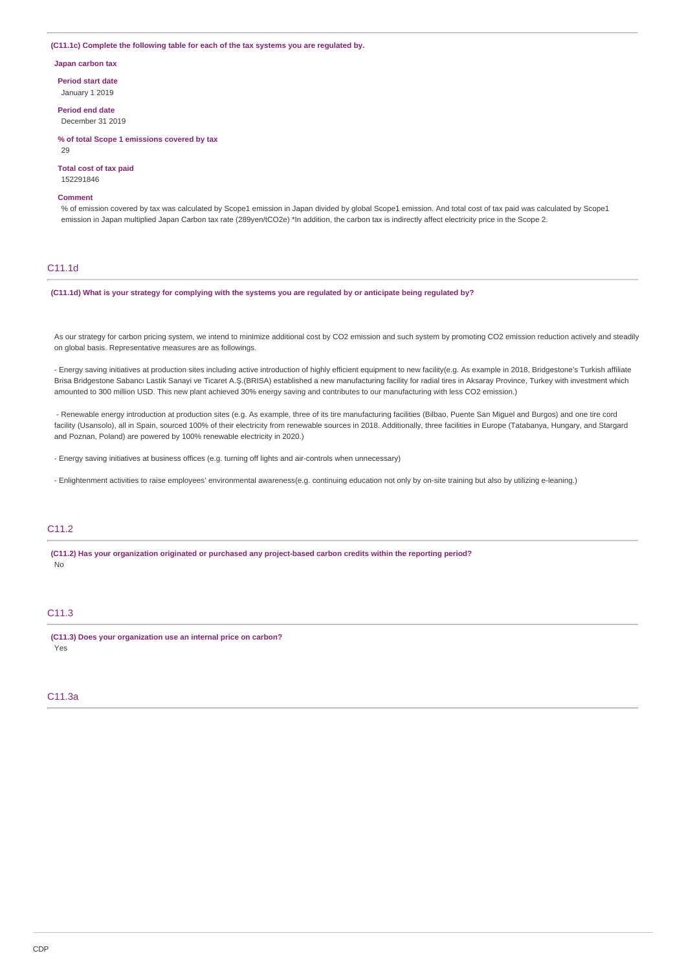## **(C11.1c) Complete the following table for each of the tax systems you are regulated by.**

**Japan carbon tax**

**Period start date** January 1 2019

**Period end date**

December 31 2019

**% of total Scope 1 emissions covered by tax**

 $29$ 

**Total cost of tax paid**

# 152291846 **Comment**

% of emission covered by tax was calculated by Scope1 emission in Japan divided by global Scope1 emission. And total cost of tax paid was calculated by Scope1 emission in Japan multiplied Japan Carbon tax rate (289yen/tCO2e) \*In addition, the carbon tax is indirectly affect electricity price in the Scope 2.

## C11.1d

**(C11.1d) What is your strategy for complying with the systems you are regulated by or anticipate being regulated by?**

As our strategy for carbon pricing system, we intend to minimize additional cost by CO2 emission and such system by promoting CO2 emission reduction actively and steadily on global basis. Representative measures are as followings.

- Energy saving initiatives at production sites including active introduction of highly efficient equipment to new facility(e.g. As example in 2018, Bridgestone's Turkish affiliate Brisa Bridgestone Sabancı Lastik Sanayi ve Ticaret A.Ş.(BRISA) established a new manufacturing facility for radial tires in Aksaray Province, Turkey with investment which amounted to 300 million USD. This new plant achieved 30% energy saving and contributes to our manufacturing with less CO2 emission.)

- Renewable energy introduction at production sites (e.g. As example, three of its tire manufacturing facilities (Bilbao, Puente San Miguel and Burgos) and one tire cord facility (Usansolo), all in Spain, sourced 100% of their electricity from renewable sources in 2018. Additionally, three facilities in Europe (Tatabanya, Hungary, and Stargard and Poznan, Poland) are powered by 100% renewable electricity in 2020.)

- Energy saving initiatives at business offices (e.g. turning off lights and air-controls when unnecessary)

- Enlightenment activities to raise employees' environmental awareness(e.g. continuing education not only by on-site training but also by utilizing e-leaning.)

# C<sub>11.2</sub>

**(C11.2) Has your organization originated or purchased any project-based carbon credits within the reporting period?** No

# C11.3

**(C11.3) Does your organization use an internal price on carbon?** Yes

## C11.3a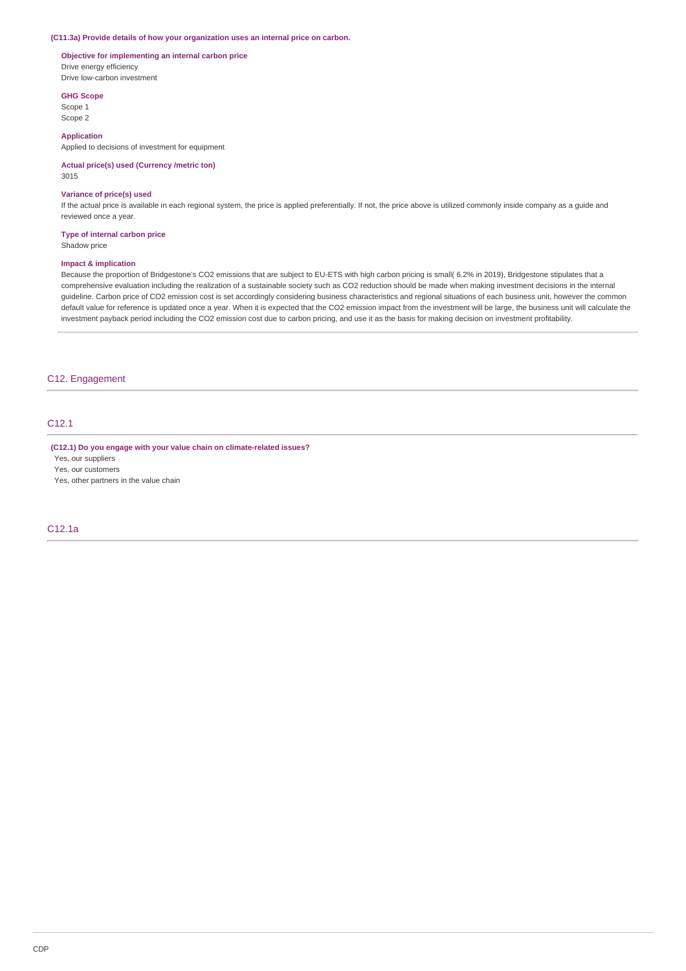#### **(C11.3a) Provide details of how your organization uses an internal price on carbon.**

# **Objective for implementing an internal carbon price** Drive energy efficiency Drive low-carbon investment

**GHG Scope**

Scope 1 Scope 2

# **Application**

Applied to decisions of investment for equipment

#### **Actual price(s) used (Currency /metric ton)** 3015

# **Variance of price(s) used**

If the actual price is available in each regional system, the price is applied preferentially. If not, the price above is utilized commonly inside company as a guide and reviewed once a year.

## **Type of internal carbon price**

Shadow price

## **Impact & implication**

Because the proportion of Bridgestone's CO2 emissions that are subject to EU-ETS with high carbon pricing is small( 6.2% in 2019), Bridgestone stipulates that a comprehensive evaluation including the realization of a sustainable society such as CO2 reduction should be made when making investment decisions in the internal guideline. Carbon price of CO2 emission cost is set accordingly considering business characteristics and regional situations of each business unit, however the common default value for reference is updated once a year. When it is expected that the CO2 emission impact from the investment will be large, the business unit will calculate the investment payback period including the CO2 emission cost due to carbon pricing, and use it as the basis for making decision on investment profitability.

# C12. Engagement

# C12.1

**(C12.1) Do you engage with your value chain on climate-related issues?**

Yes, our suppliers

Yes, our customers

Yes, other partners in the value chain

# C12.1a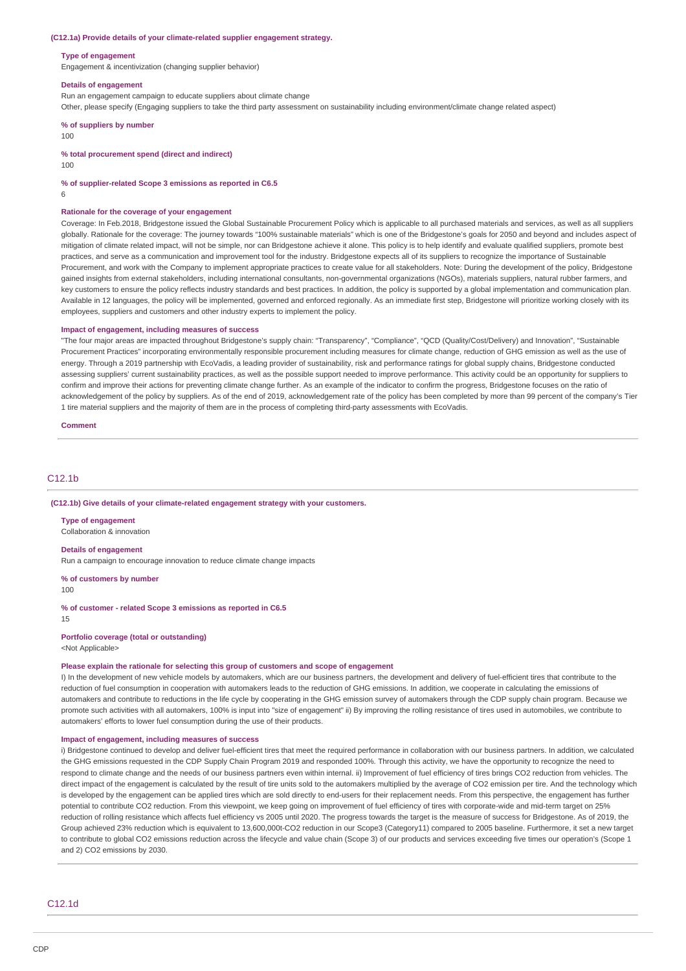#### **(C12.1a) Provide details of your climate-related supplier engagement strategy.**

#### **Type of engagement**

Engagement & incentivization (changing supplier behavior)

#### **Details of engagement**

Run an engagement campaign to educate suppliers about climate change

Other, please specify (Engaging suppliers to take the third party assessment on sustainability including environment/climate change related aspect)

**% of suppliers by number**

100

# **% total procurement spend (direct and indirect)**

100

#### **% of supplier-related Scope 3 emissions as reported in C6.5**

6

### **Rationale for the coverage of your engagement**

Coverage: In Feb.2018, Bridgestone issued the Global Sustainable Procurement Policy which is applicable to all purchased materials and services, as well as all suppliers globally. Rationale for the coverage: The journey towards "100% sustainable materials" which is one of the Bridgestone's goals for 2050 and beyond and includes aspect of mitigation of climate related impact, will not be simple, nor can Bridgestone achieve it alone. This policy is to help identify and evaluate qualified suppliers, promote best practices, and serve as a communication and improvement tool for the industry. Bridgestone expects all of its suppliers to recognize the importance of Sustainable Procurement, and work with the Company to implement appropriate practices to create value for all stakeholders. Note: During the development of the policy, Bridgestone gained insights from external stakeholders, including international consultants, non-governmental organizations (NGOs), materials suppliers, natural rubber farmers, and key customers to ensure the policy reflects industry standards and best practices. In addition, the policy is supported by a global implementation and communication plan. Available in 12 languages, the policy will be implemented, governed and enforced regionally. As an immediate first step, Bridgestone will prioritize working closely with its employees, suppliers and customers and other industry experts to implement the policy.

#### **Impact of engagement, including measures of success**

"The four major areas are impacted throughout Bridgestone's supply chain: "Transparency", "Compliance", "QCD (Quality/Cost/Delivery) and Innovation", "Sustainable Procurement Practices" incorporating environmentally responsible procurement including measures for climate change, reduction of GHG emission as well as the use of energy. Through a 2019 partnership with EcoVadis, a leading provider of sustainability, risk and performance ratings for global supply chains, Bridgestone conducted assessing suppliers' current sustainability practices, as well as the possible support needed to improve performance. This activity could be an opportunity for suppliers to confirm and improve their actions for preventing climate change further. As an example of the indicator to confirm the progress, Bridgestone focuses on the ratio of acknowledgement of the policy by suppliers. As of the end of 2019, acknowledgement rate of the policy has been completed by more than 99 percent of the company's Tier 1 tire material suppliers and the majority of them are in the process of completing third-party assessments with EcoVadis.

**Comment**

# C12.1b

#### **(C12.1b) Give details of your climate-related engagement strategy with your customers.**

**Type of engagement** Collaboration & innovation

#### **Details of engagement**

Run a campaign to encourage innovation to reduce climate change impacts

#### **% of customers by number**

100

## **% of customer - related Scope 3 emissions as reported in C6.5**

15

# **Portfolio coverage (total or outstanding)**

<Not Applicable>

#### **Please explain the rationale for selecting this group of customers and scope of engagement**

I) In the development of new vehicle models by automakers, which are our business partners, the development and delivery of fuel-efficient tires that contribute to the reduction of fuel consumption in cooperation with automakers leads to the reduction of GHG emissions. In addition, we cooperate in calculating the emissions of automakers and contribute to reductions in the life cycle by cooperating in the GHG emission survey of automakers through the CDP supply chain program. Because we promote such activities with all automakers, 100% is input into "size of engagement" ii) By improving the rolling resistance of tires used in automobiles, we contribute to automakers' efforts to lower fuel consumption during the use of their products.

#### **Impact of engagement, including measures of success**

i) Bridgestone continued to develop and deliver fuel-efficient tires that meet the required performance in collaboration with our business partners. In addition, we calculated the GHG emissions requested in the CDP Supply Chain Program 2019 and responded 100%. Through this activity, we have the opportunity to recognize the need to respond to climate change and the needs of our business partners even within internal. ii) Improvement of fuel efficiency of tires brings CO2 reduction from vehicles. The direct impact of the engagement is calculated by the result of tire units sold to the automakers multiplied by the average of CO2 emission per tire. And the technology which is developed by the engagement can be applied tires which are sold directly to end-users for their replacement needs. From this perspective, the engagement has further potential to contribute CO2 reduction. From this viewpoint, we keep going on improvement of fuel efficiency of tires with corporate-wide and mid-term target on 25% reduction of rolling resistance which affects fuel efficiency vs 2005 until 2020. The progress towards the target is the measure of success for Bridgestone. As of 2019, the Group achieved 23% reduction which is equivalent to 13,600,000t-CO2 reduction in our Scope3 (Category11) compared to 2005 baseline. Furthermore, it set a new target to contribute to global CO2 emissions reduction across the lifecycle and value chain (Scope 3) of our products and services exceeding five times our operation's (Scope 1 and 2) CO2 emissions by 2030.

C12.1d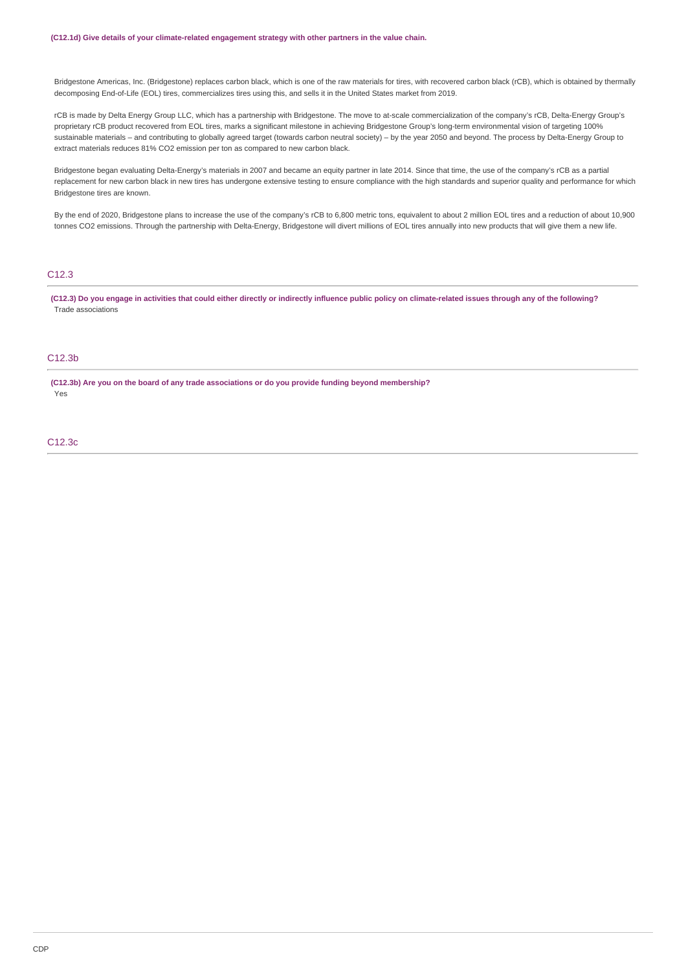Bridgestone Americas, Inc. (Bridgestone) replaces carbon black, which is one of the raw materials for tires, with recovered carbon black (rCB), which is obtained by thermally decomposing End-of-Life (EOL) tires, commercializes tires using this, and sells it in the United States market from 2019.

rCB is made by Delta Energy Group LLC, which has a partnership with Bridgestone. The move to at-scale commercialization of the company's rCB, Delta-Energy Group's proprietary rCB product recovered from EOL tires, marks a significant milestone in achieving Bridgestone Group's long-term environmental vision of targeting 100% sustainable materials – and contributing to globally agreed target (towards carbon neutral society) – by the year 2050 and beyond. The process by Delta-Energy Group to extract materials reduces 81% CO2 emission per ton as compared to new carbon black.

Bridgestone began evaluating Delta-Energy's materials in 2007 and became an equity partner in late 2014. Since that time, the use of the company's rCB as a partial replacement for new carbon black in new tires has undergone extensive testing to ensure compliance with the high standards and superior quality and performance for which Bridgestone tires are known.

By the end of 2020, Bridgestone plans to increase the use of the company's rCB to 6,800 metric tons, equivalent to about 2 million EOL tires and a reduction of about 10,900 tonnes CO2 emissions. Through the partnership with Delta-Energy, Bridgestone will divert millions of EOL tires annually into new products that will give them a new life.

# C12.3

**(C12.3) Do you engage in activities that could either directly or indirectly influence public policy on climate-related issues through any of the following?** Trade associations

# C12.3b

**(C12.3b) Are you on the board of any trade associations or do you provide funding beyond membership?** Yes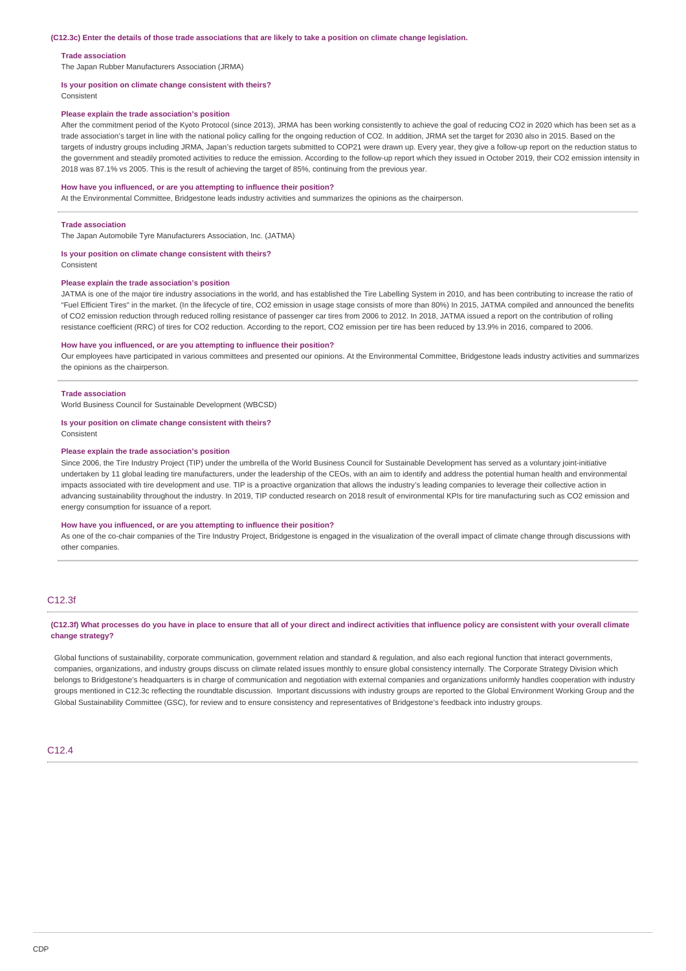#### **(C12.3c) Enter the details of those trade associations that are likely to take a position on climate change legislation.**

#### **Trade association**

The Japan Rubber Manufacturers Association (JRMA)

#### **Is your position on climate change consistent with theirs?**

Consistent

#### **Please explain the trade association's position**

After the commitment period of the Kyoto Protocol (since 2013), JRMA has been working consistently to achieve the goal of reducing CO2 in 2020 which has been set as a trade association's target in line with the national policy calling for the ongoing reduction of CO2. In addition, JRMA set the target for 2030 also in 2015. Based on the targets of industry groups including JRMA, Japan's reduction targets submitted to COP21 were drawn up. Every year, they give a follow-up report on the reduction status to the government and steadily promoted activities to reduce the emission. According to the follow-up report which they issued in October 2019, their CO2 emission intensity in 2018 was 87.1% vs 2005. This is the result of achieving the target of 85%, continuing from the previous year.

#### **How have you influenced, or are you attempting to influence their position?**

At the Environmental Committee, Bridgestone leads industry activities and summarizes the opinions as the chairperson.

#### **Trade association**

The Japan Automobile Tyre Manufacturers Association, Inc. (JATMA)

# **Is your position on climate change consistent with theirs?**

Consistent

#### **Please explain the trade association's position**

JATMA is one of the major tire industry associations in the world, and has established the Tire Labelling System in 2010, and has been contributing to increase the ratio of "Fuel Efficient Tires" in the market. (In the lifecycle of tire, CO2 emission in usage stage consists of more than 80%) In 2015, JATMA compiled and announced the benefits of CO2 emission reduction through reduced rolling resistance of passenger car tires from 2006 to 2012. In 2018, JATMA issued a report on the contribution of rolling resistance coefficient (RRC) of tires for CO2 reduction. According to the report, CO2 emission per tire has been reduced by 13.9% in 2016, compared to 2006.

## **How have you influenced, or are you attempting to influence their position?**

Our employees have participated in various committees and presented our opinions. At the Environmental Committee, Bridgestone leads industry activities and summarizes the opinions as the chairperson.

#### **Trade association**

World Business Council for Sustainable Development (WBCSD)

#### **Is your position on climate change consistent with theirs?**

Consistent

#### **Please explain the trade association's position**

Since 2006, the Tire Industry Project (TIP) under the umbrella of the World Business Council for Sustainable Development has served as a voluntary joint-initiative undertaken by 11 global leading tire manufacturers, under the leadership of the CEOs, with an aim to identify and address the potential human health and environmental impacts associated with tire development and use. TIP is a proactive organization that allows the industry's leading companies to leverage their collective action in advancing sustainability throughout the industry. In 2019, TIP conducted research on 2018 result of environmental KPIs for tire manufacturing such as CO2 emission and energy consumption for issuance of a report.

## **How have you influenced, or are you attempting to influence their position?**

As one of the co-chair companies of the Tire Industry Project, Bridgestone is engaged in the visualization of the overall impact of climate change through discussions with other companies.

# C12.3f

## **(C12.3f) What processes do you have in place to ensure that all of your direct and indirect activities that influence policy are consistent with your overall climate change strategy?**

Global functions of sustainability, corporate communication, government relation and standard & regulation, and also each regional function that interact governments. companies, organizations, and industry groups discuss on climate related issues monthly to ensure global consistency internally. The Corporate Strategy Division which belongs to Bridgestone's headquarters is in charge of communication and negotiation with external companies and organizations uniformly handles cooperation with industry groups mentioned in C12.3c reflecting the roundtable discussion. Important discussions with industry groups are reported to the Global Environment Working Group and the Global Sustainability Committee (GSC), for review and to ensure consistency and representatives of Bridgestone's feedback into industry groups.

# C12.4